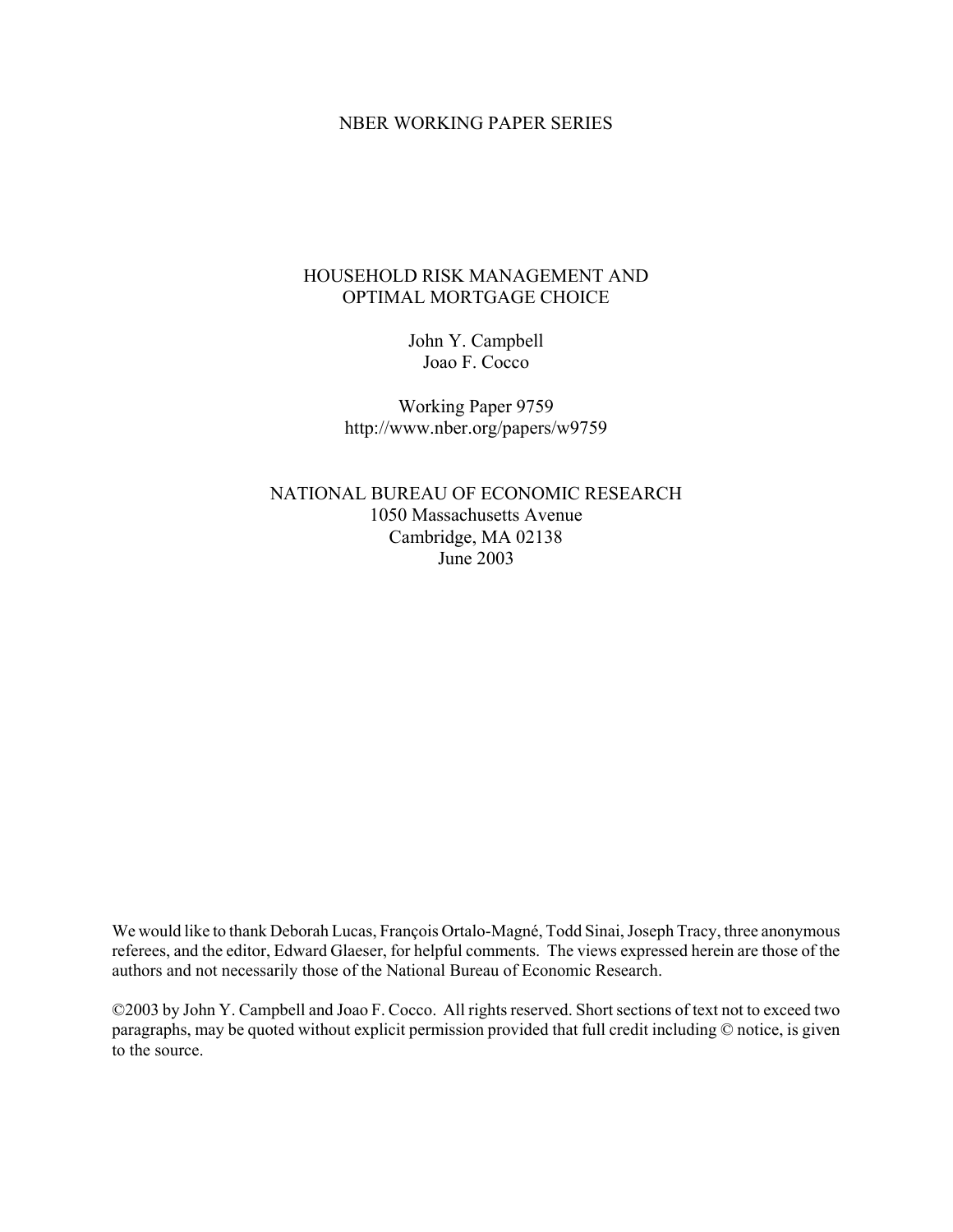# NBER WORKING PAPER SERIES

# HOUSEHOLD RISK MANAGEMENT AND OPTIMAL MORTGAGE CHOICE

John Y. Campbell Joao F. Cocco

Working Paper 9759 http://www.nber.org/papers/w9759

NATIONAL BUREAU OF ECONOMIC RESEARCH 1050 Massachusetts Avenue Cambridge, MA 02138 June 2003

We would like to thank Deborah Lucas, François Ortalo-Magné, Todd Sinai, Joseph Tracy, three anonymous referees, and the editor, Edward Glaeser, for helpful comments. The views expressed herein are those of the authors and not necessarily those of the National Bureau of Economic Research.

©2003 by John Y. Campbell and Joao F. Cocco. All rights reserved. Short sections of text not to exceed two paragraphs, may be quoted without explicit permission provided that full credit including © notice, is given to the source.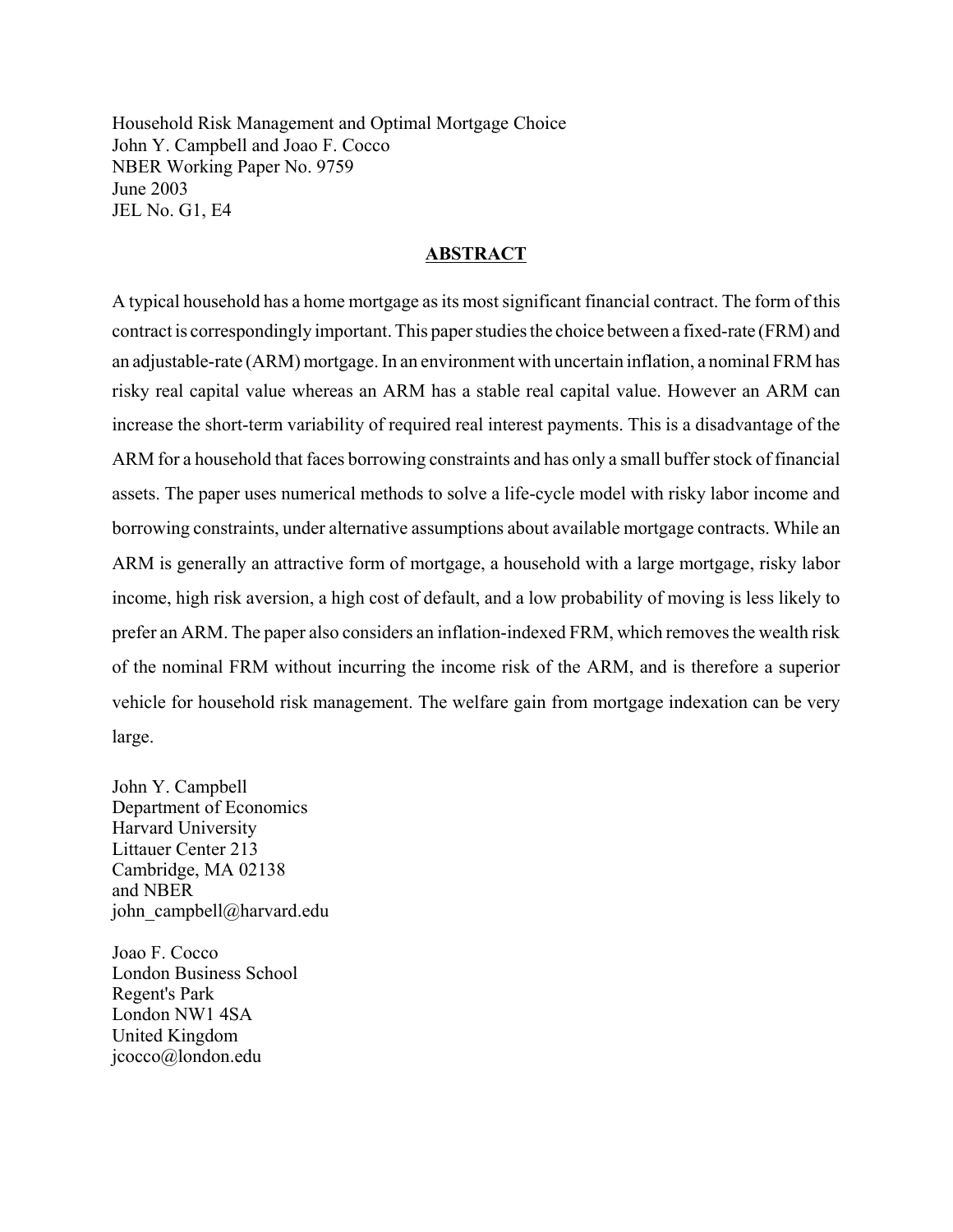Household Risk Management and Optimal Mortgage Choice John Y. Campbell and Joao F. Cocco NBER Working Paper No. 9759 June 2003 JEL No. G1, E4

# **ABSTRACT**

A typical household has a home mortgage as its most significant financial contract. The form of this contract is correspondingly important. This paper studies the choice between a fixed-rate (FRM) and an adjustable-rate (ARM) mortgage. In an environment with uncertain inflation, a nominal FRM has risky real capital value whereas an ARM has a stable real capital value. However an ARM can increase the short-term variability of required real interest payments. This is a disadvantage of the ARM for a household that faces borrowing constraints and has only a small buffer stock of financial assets. The paper uses numerical methods to solve a life-cycle model with risky labor income and borrowing constraints, under alternative assumptions about available mortgage contracts. While an ARM is generally an attractive form of mortgage, a household with a large mortgage, risky labor income, high risk aversion, a high cost of default, and a low probability of moving is less likely to prefer an ARM. The paper also considers an inflation-indexed FRM, which removes the wealth risk of the nominal FRM without incurring the income risk of the ARM, and is therefore a superior vehicle for household risk management. The welfare gain from mortgage indexation can be very large.

John Y. Campbell Department of Economics Harvard University Littauer Center 213 Cambridge, MA 02138 and NBER john\_campbell@harvard.edu

Joao F. Cocco London Business School Regent's Park London NW1 4SA United Kingdom jcocco@london.edu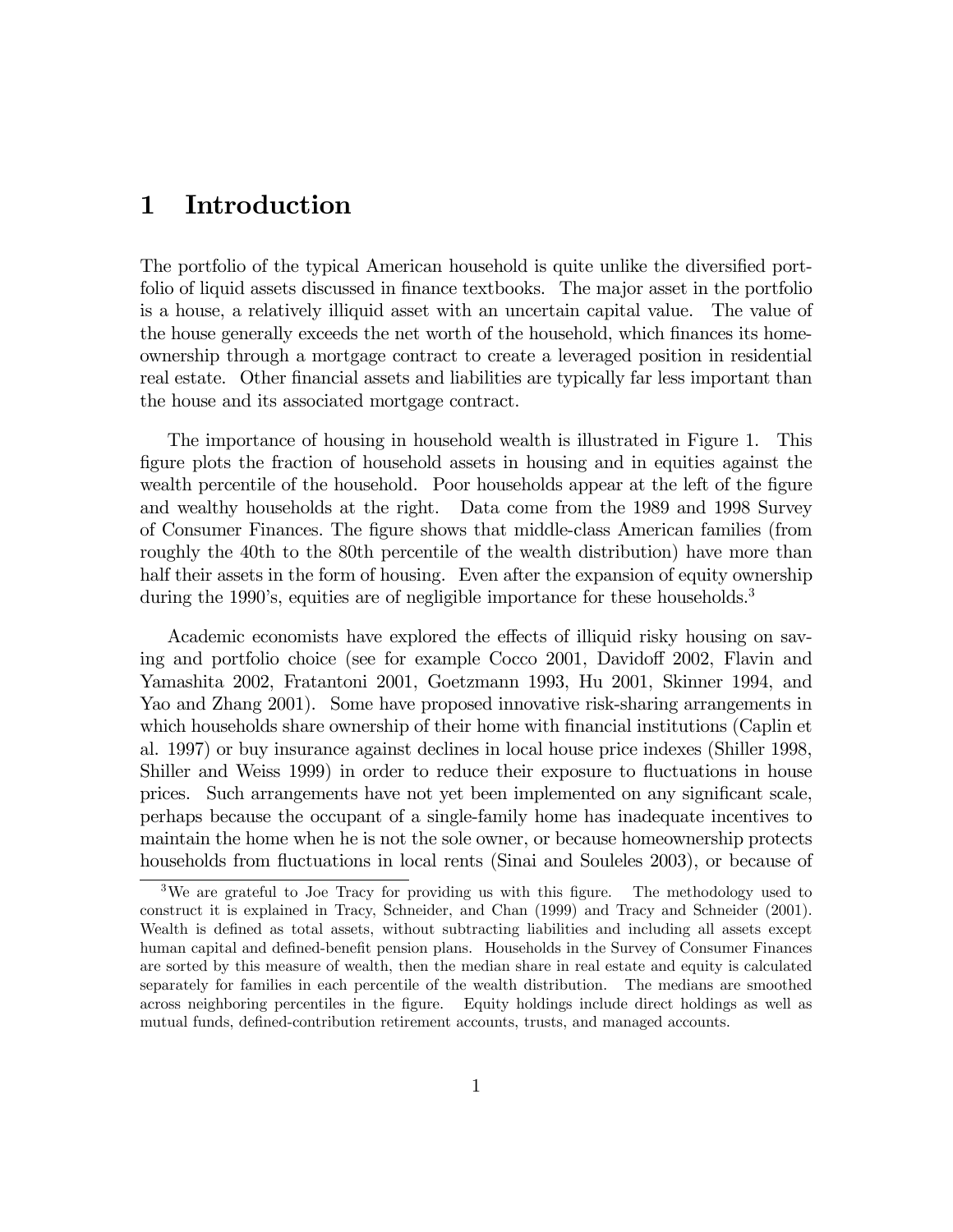# 1 Introduction

The portfolio of the typical American household is quite unlike the diversified portfolio of liquid assets discussed in finance textbooks. The major asset in the portfolio is a house, a relatively illiquid asset with an uncertain capital value. The value of the house generally exceeds the net worth of the household, which finances its homeownership through a mortgage contract to create a leveraged position in residential real estate. Other financial assets and liabilities are typically far less important than the house and its associated mortgage contract.

The importance of housing in household wealth is illustrated in Figure 1. This figure plots the fraction of household assets in housing and in equities against the wealth percentile of the household. Poor households appear at the left of the figure and wealthy households at the right. Data come from the 1989 and 1998 Survey of Consumer Finances. The figure shows that middle-class American families (from roughly the 40th to the 80th percentile of the wealth distribution) have more than half their assets in the form of housing. Even after the expansion of equity ownership during the 1990's, equities are of negligible importance for these households.<sup>3</sup>

Academic economists have explored the effects of illiquid risky housing on saving and portfolio choice (see for example Cocco 2001, Davidoff 2002, Flavin and Yamashita 2002, Fratantoni 2001, Goetzmann 1993, Hu 2001, Skinner 1994, and Yao and Zhang 2001). Some have proposed innovative risk-sharing arrangements in which households share ownership of their home with financial institutions (Caplin et al. 1997) or buy insurance against declines in local house price indexes (Shiller 1998, Shiller and Weiss 1999) in order to reduce their exposure to fluctuations in house prices. Such arrangements have not yet been implemented on any significant scale, perhaps because the occupant of a single-family home has inadequate incentives to maintain the home when he is not the sole owner, or because homeownership protects households from fluctuations in local rents (Sinai and Souleles 2003), or because of

<sup>&</sup>lt;sup>3</sup>We are grateful to Joe Tracy for providing us with this figure. The methodology used to construct it is explained in Tracy, Schneider, and Chan (1999) and Tracy and Schneider (2001). Wealth is defined as total assets, without subtracting liabilities and including all assets except human capital and defined-benefit pension plans. Households in the Survey of Consumer Finances are sorted by this measure of wealth, then the median share in real estate and equity is calculated separately for families in each percentile of the wealth distribution. The medians are smoothed across neighboring percentiles in the figure. Equity holdings include direct holdings as well as mutual funds, defined-contribution retirement accounts, trusts, and managed accounts.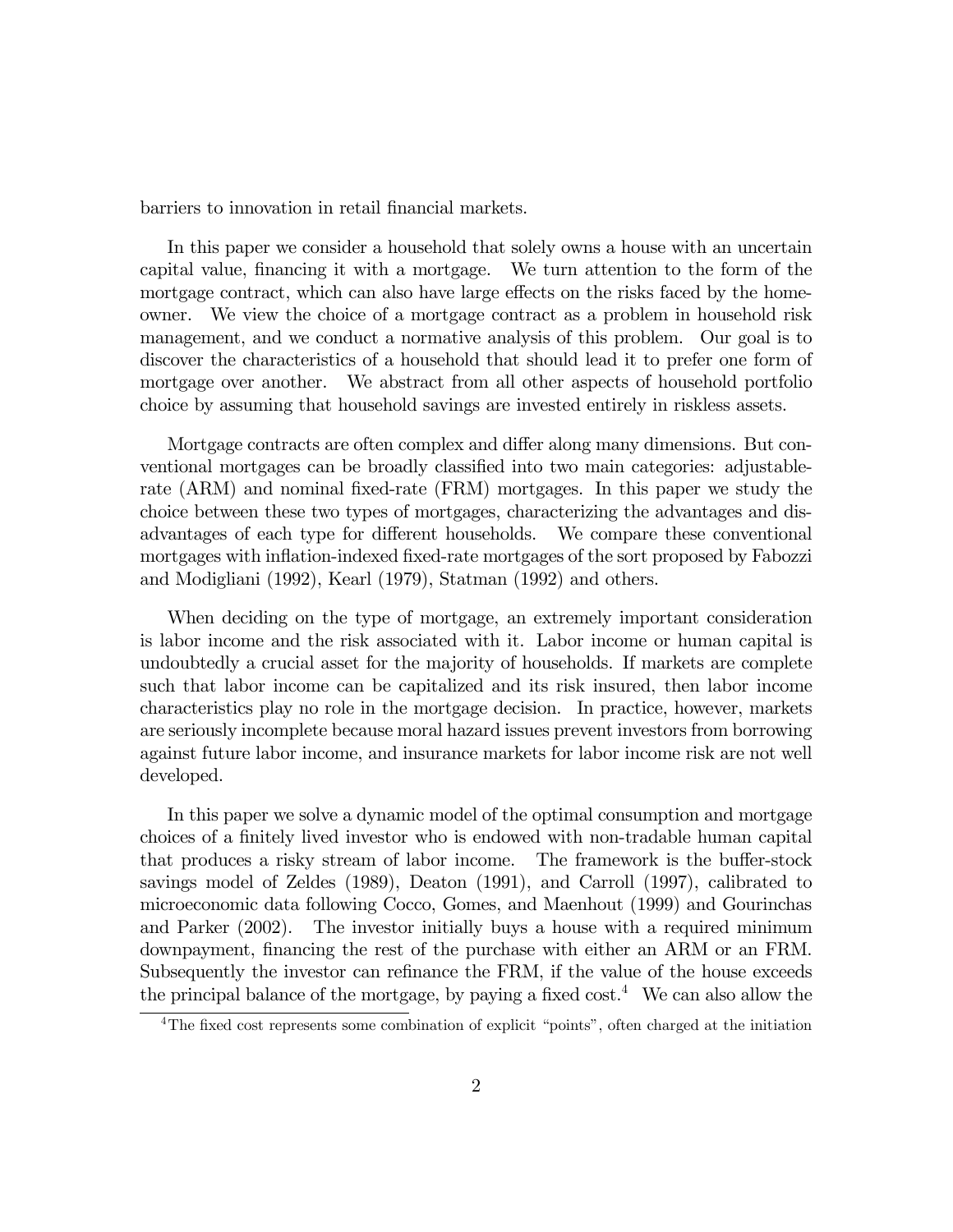barriers to innovation in retail financial markets.

In this paper we consider a household that solely owns a house with an uncertain capital value, financing it with a mortgage. We turn attention to the form of the mortgage contract, which can also have large effects on the risks faced by the homeowner. We view the choice of a mortgage contract as a problem in household risk management, and we conduct a normative analysis of this problem. Our goal is to discover the characteristics of a household that should lead it to prefer one form of mortgage over another. We abstract from all other aspects of household portfolio choice by assuming that household savings are invested entirely in riskless assets.

Mortgage contracts are often complex and differ along many dimensions. But conventional mortgages can be broadly classified into two main categories: adjustablerate (ARM) and nominal fixed-rate (FRM) mortgages. In this paper we study the choice between these two types of mortgages, characterizing the advantages and disadvantages of each type for different households. We compare these conventional mortgages with inflation-indexed fixed-rate mortgages of the sort proposed by Fabozzi and Modigliani (1992), Kearl (1979), Statman (1992) and others.

When deciding on the type of mortgage, an extremely important consideration is labor income and the risk associated with it. Labor income or human capital is undoubtedly a crucial asset for the majority of households. If markets are complete such that labor income can be capitalized and its risk insured, then labor income characteristics play no role in the mortgage decision. In practice, however, markets are seriously incomplete because moral hazard issues prevent investors from borrowing against future labor income, and insurance markets for labor income risk are not well developed.

In this paper we solve a dynamic model of the optimal consumption and mortgage choices of a finitely lived investor who is endowed with non-tradable human capital that produces a risky stream of labor income. The framework is the buffer-stock savings model of Zeldes (1989), Deaton (1991), and Carroll (1997), calibrated to microeconomic data following Cocco, Gomes, and Maenhout (1999) and Gourinchas and Parker (2002). The investor initially buys a house with a required minimum downpayment, financing the rest of the purchase with either an ARM or an FRM. Subsequently the investor can refinance the FRM, if the value of the house exceeds the principal balance of the mortgage, by paying a fixed  $\cos t$ .<sup>4</sup> We can also allow the

<sup>&</sup>lt;sup>4</sup>The fixed cost represents some combination of explicit "points", often charged at the initiation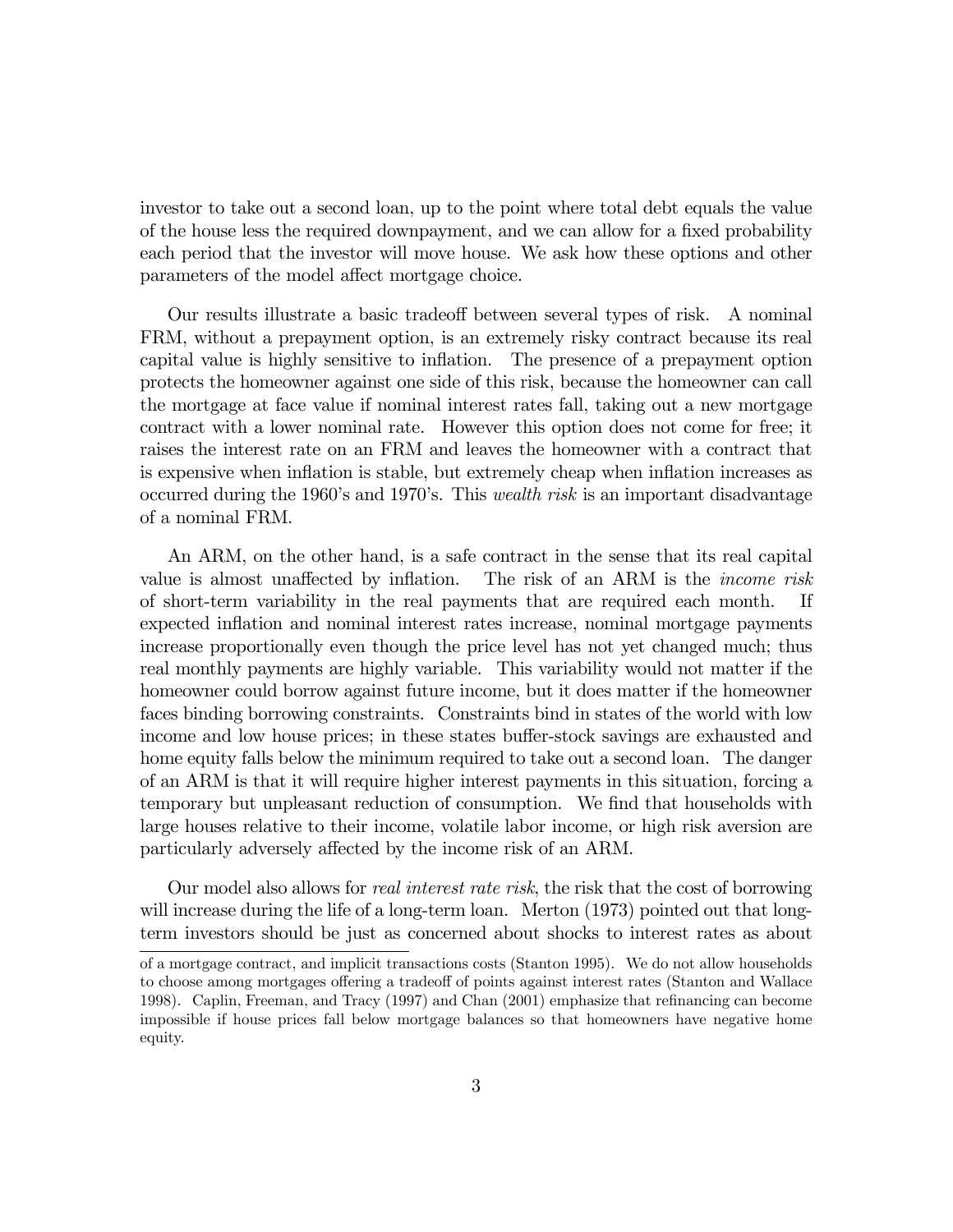investor to take out a second loan, up to the point where total debt equals the value of the house less the required downpayment, and we can allow for a fixed probability each period that the investor will move house. We ask how these options and other parameters of the model affect mortgage choice.

Our results illustrate a basic tradeoff between several types of risk. A nominal FRM, without a prepayment option, is an extremely risky contract because its real capital value is highly sensitive to inflation. The presence of a prepayment option protects the homeowner against one side of this risk, because the homeowner can call the mortgage at face value if nominal interest rates fall, taking out a new mortgage contract with a lower nominal rate. However this option does not come for free; it raises the interest rate on an FRM and leaves the homeowner with a contract that is expensive when inflation is stable, but extremely cheap when inflation increases as occurred during the 1960's and 1970's. This wealth risk is an important disadvantage of a nominal FRM.

An ARM, on the other hand, is a safe contract in the sense that its real capital value is almost unaffected by inflation. The risk of an ARM is the income risk of short-term variability in the real payments that are required each month. If expected inflation and nominal interest rates increase, nominal mortgage payments increase proportionally even though the price level has not yet changed much; thus real monthly payments are highly variable. This variability would not matter if the homeowner could borrow against future income, but it does matter if the homeowner faces binding borrowing constraints. Constraints bind in states of the world with low income and low house prices; in these states buffer-stock savings are exhausted and home equity falls below the minimum required to take out a second loan. The danger of an ARM is that it will require higher interest payments in this situation, forcing a temporary but unpleasant reduction of consumption. We find that households with large houses relative to their income, volatile labor income, or high risk aversion are particularly adversely affected by the income risk of an ARM.

Our model also allows for real interest rate risk, the risk that the cost of borrowing will increase during the life of a long-term loan. Merton (1973) pointed out that longterm investors should be just as concerned about shocks to interest rates as about

of a mortgage contract, and implicit transactions costs (Stanton 1995). We do not allow households to choose among mortgages offering a tradeoff of points against interest rates (Stanton and Wallace 1998). Caplin, Freeman, and Tracy (1997) and Chan (2001) emphasize that refinancing can become impossible if house prices fall below mortgage balances so that homeowners have negative home equity.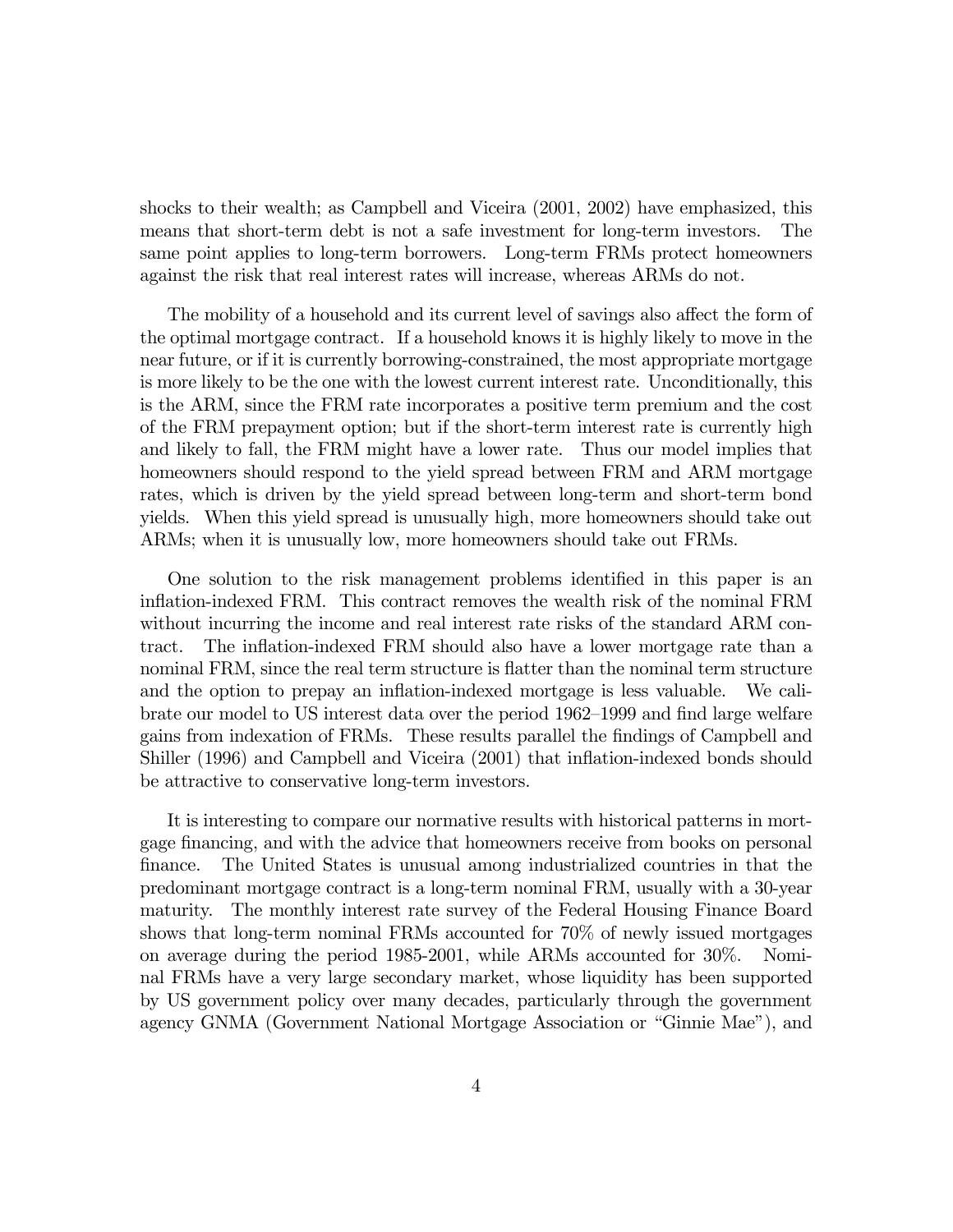shocks to their wealth; as Campbell and Viceira (2001, 2002) have emphasized, this means that short-term debt is not a safe investment for long-term investors. The same point applies to long-term borrowers. Long-term FRMs protect homeowners against the risk that real interest rates will increase, whereas ARMs do not.

The mobility of a household and its current level of savings also affect the form of the optimal mortgage contract. If a household knows it is highly likely to move in the near future, or if it is currently borrowing-constrained, the most appropriate mortgage is more likely to be the one with the lowest current interest rate. Unconditionally, this is the ARM, since the FRM rate incorporates a positive term premium and the cost of the FRM prepayment option; but if the short-term interest rate is currently high and likely to fall, the FRM might have a lower rate. Thus our model implies that homeowners should respond to the yield spread between FRM and ARM mortgage rates, which is driven by the yield spread between long-term and short-term bond yields. When this yield spread is unusually high, more homeowners should take out ARMs; when it is unusually low, more homeowners should take out FRMs.

One solution to the risk management problems identified in this paper is an inflation-indexed FRM. This contract removes the wealth risk of the nominal FRM without incurring the income and real interest rate risks of the standard ARM contract. The inflation-indexed FRM should also have a lower mortgage rate than a nominal FRM, since the real term structure is flatter than the nominal term structure and the option to prepay an inflation-indexed mortgage is less valuable. We calibrate our model to US interest data over the period 1962—1999 and find large welfare gains from indexation of FRMs. These results parallel the findings of Campbell and Shiller (1996) and Campbell and Viceira (2001) that inflation-indexed bonds should be attractive to conservative long-term investors.

It is interesting to compare our normative results with historical patterns in mortgage financing, and with the advice that homeowners receive from books on personal finance. The United States is unusual among industrialized countries in that the predominant mortgage contract is a long-term nominal FRM, usually with a 30-year maturity. The monthly interest rate survey of the Federal Housing Finance Board shows that long-term nominal FRMs accounted for 70% of newly issued mortgages on average during the period 1985-2001, while ARMs accounted for 30%. Nominal FRMs have a very large secondary market, whose liquidity has been supported by US government policy over many decades, particularly through the government agency GNMA (Government National Mortgage Association or "Ginnie Mae"), and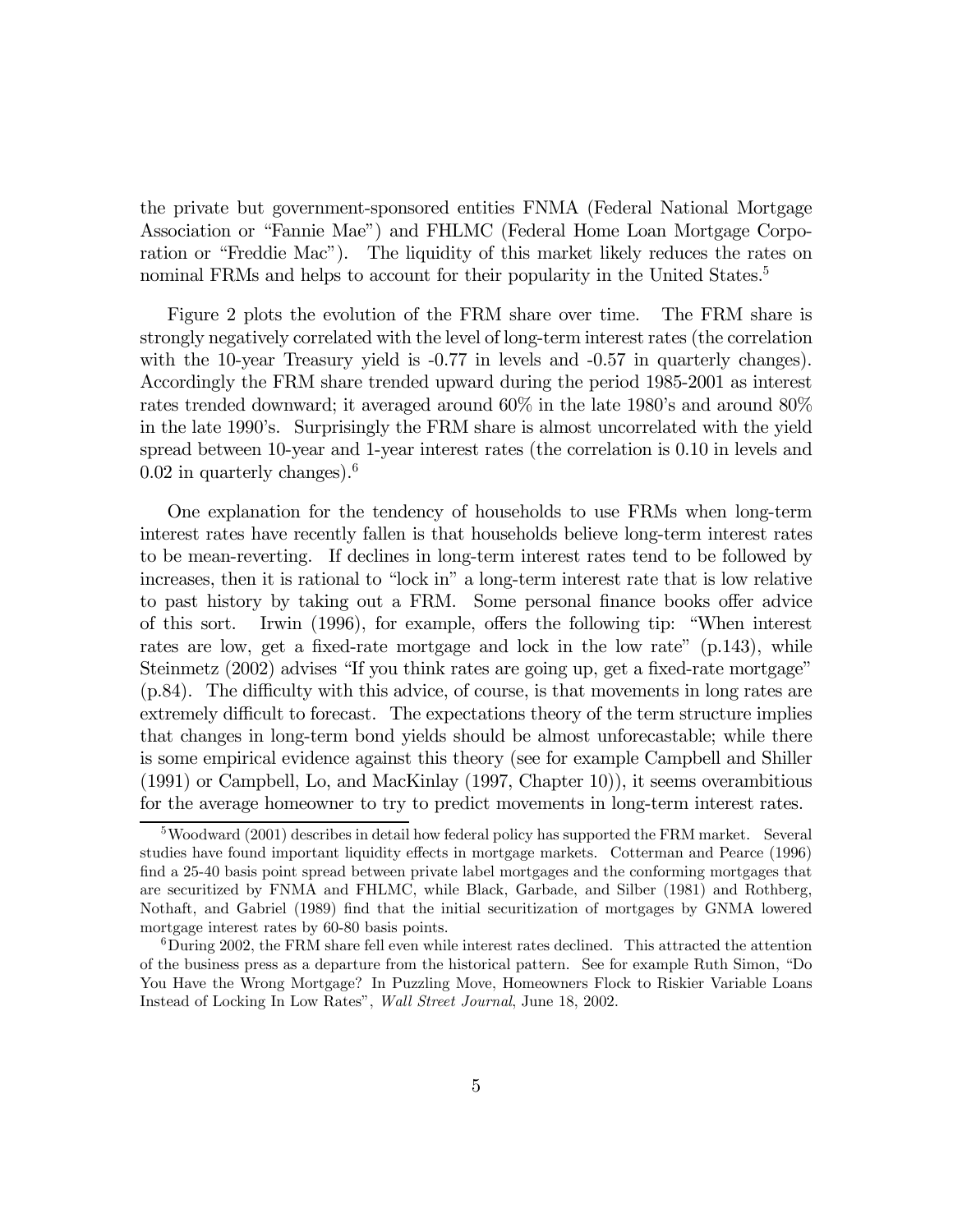the private but government-sponsored entities FNMA (Federal National Mortgage Association or "Fannie Mae") and FHLMC (Federal Home Loan Mortgage Corporation or "Freddie Mac"). The liquidity of this market likely reduces the rates on nominal FRMs and helps to account for their popularity in the United States.<sup>5</sup>

Figure 2 plots the evolution of the FRM share over time. The FRM share is strongly negatively correlated with the level of long-term interest rates (the correlation with the 10-year Treasury yield is  $-0.77$  in levels and  $-0.57$  in quarterly changes). Accordingly the FRM share trended upward during the period 1985-2001 as interest rates trended downward; it averaged around 60% in the late 1980's and around 80% in the late 1990's. Surprisingly the FRM share is almost uncorrelated with the yield spread between 10-year and 1-year interest rates (the correlation is 0.10 in levels and  $0.02$  in quarterly changes).<sup>6</sup>

One explanation for the tendency of households to use FRMs when long-term interest rates have recently fallen is that households believe long-term interest rates to be mean-reverting. If declines in long-term interest rates tend to be followed by increases, then it is rational to "lock in" a long-term interest rate that is low relative to past history by taking out a FRM. Some personal finance books offer advice of this sort. Irwin (1996), for example, offers the following tip: "When interest rates are low, get a fixed-rate mortgage and lock in the low rate" (p.143), while Steinmetz (2002) advises "If you think rates are going up, get a fixed-rate mortgage" (p.84). The difficulty with this advice, of course, is that movements in long rates are extremely difficult to forecast. The expectations theory of the term structure implies that changes in long-term bond yields should be almost unforecastable; while there is some empirical evidence against this theory (see for example Campbell and Shiller (1991) or Campbell, Lo, and MacKinlay (1997, Chapter 10)), it seems overambitious for the average homeowner to try to predict movements in long-term interest rates.

<sup>&</sup>lt;sup>5</sup>Woodward (2001) describes in detail how federal policy has supported the FRM market. Several studies have found important liquidity effects in mortgage markets. Cotterman and Pearce (1996) find a 25-40 basis point spread between private label mortgages and the conforming mortgages that are securitized by FNMA and FHLMC, while Black, Garbade, and Silber (1981) and Rothberg, Nothaft, and Gabriel (1989) find that the initial securitization of mortgages by GNMA lowered mortgage interest rates by 60-80 basis points.

<sup>6</sup>During 2002, the FRM share fell even while interest rates declined. This attracted the attention of the business press as a departure from the historical pattern. See for example Ruth Simon, "Do You Have the Wrong Mortgage? In Puzzling Move, Homeowners Flock to Riskier Variable Loans Instead of Locking In Low Rates", Wall Street Journal, June 18, 2002.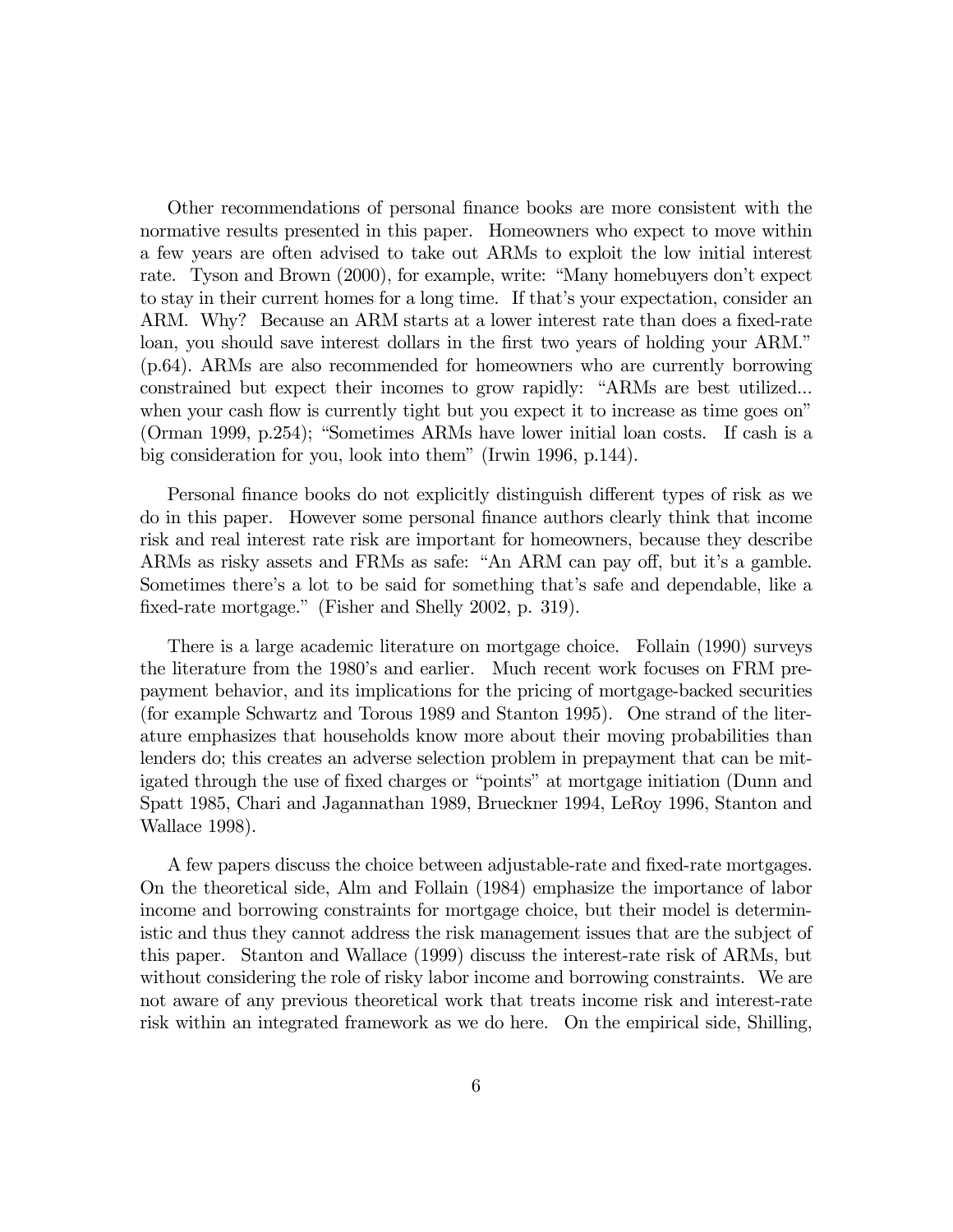Other recommendations of personal finance books are more consistent with the normative results presented in this paper. Homeowners who expect to move within a few years are often advised to take out ARMs to exploit the low initial interest rate. Tyson and Brown (2000), for example, write: "Many homebuyers don't expect to stay in their current homes for a long time. If that's your expectation, consider an ARM. Why? Because an ARM starts at a lower interest rate than does a fixed-rate loan, you should save interest dollars in the first two years of holding your ARM." (p.64). ARMs are also recommended for homeowners who are currently borrowing constrained but expect their incomes to grow rapidly: "ARMs are best utilized... when your cash flow is currently tight but you expect it to increase as time goes on" (Orman 1999, p.254); "Sometimes ARMs have lower initial loan costs. If cash is a big consideration for you, look into them" (Irwin 1996, p.144).

Personal finance books do not explicitly distinguish different types of risk as we do in this paper. However some personal finance authors clearly think that income risk and real interest rate risk are important for homeowners, because they describe ARMs as risky assets and FRMs as safe: "An ARM can pay off, but it's a gamble. Sometimes there's a lot to be said for something that's safe and dependable, like a fixed-rate mortgage." (Fisher and Shelly 2002, p. 319).

There is a large academic literature on mortgage choice. Follain (1990) surveys the literature from the 1980's and earlier. Much recent work focuses on FRM prepayment behavior, and its implications for the pricing of mortgage-backed securities (for example Schwartz and Torous 1989 and Stanton 1995). One strand of the literature emphasizes that households know more about their moving probabilities than lenders do; this creates an adverse selection problem in prepayment that can be mitigated through the use of fixed charges or "points" at mortgage initiation (Dunn and Spatt 1985, Chari and Jagannathan 1989, Brueckner 1994, LeRoy 1996, Stanton and Wallace 1998).

A few papers discuss the choice between adjustable-rate and fixed-rate mortgages. On the theoretical side, Alm and Follain (1984) emphasize the importance of labor income and borrowing constraints for mortgage choice, but their model is deterministic and thus they cannot address the risk management issues that are the subject of this paper. Stanton and Wallace (1999) discuss the interest-rate risk of ARMs, but without considering the role of risky labor income and borrowing constraints. We are not aware of any previous theoretical work that treats income risk and interest-rate risk within an integrated framework as we do here. On the empirical side, Shilling,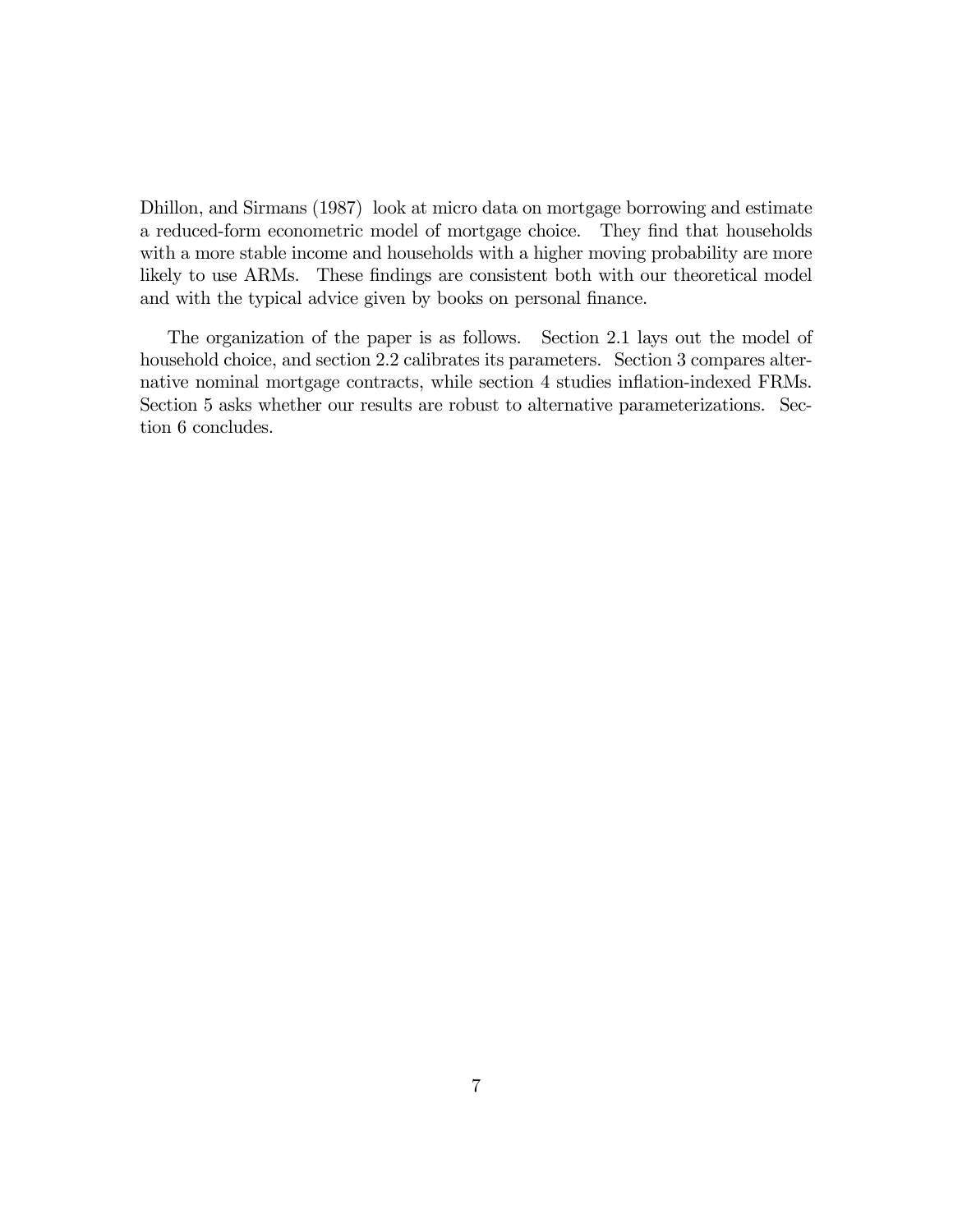Dhillon, and Sirmans (1987) look at micro data on mortgage borrowing and estimate a reduced-form econometric model of mortgage choice. They find that households with a more stable income and households with a higher moving probability are more likely to use ARMs. These findings are consistent both with our theoretical model and with the typical advice given by books on personal finance.

The organization of the paper is as follows. Section 2.1 lays out the model of household choice, and section 2.2 calibrates its parameters. Section 3 compares alternative nominal mortgage contracts, while section 4 studies inflation-indexed FRMs. Section 5 asks whether our results are robust to alternative parameterizations. Section 6 concludes.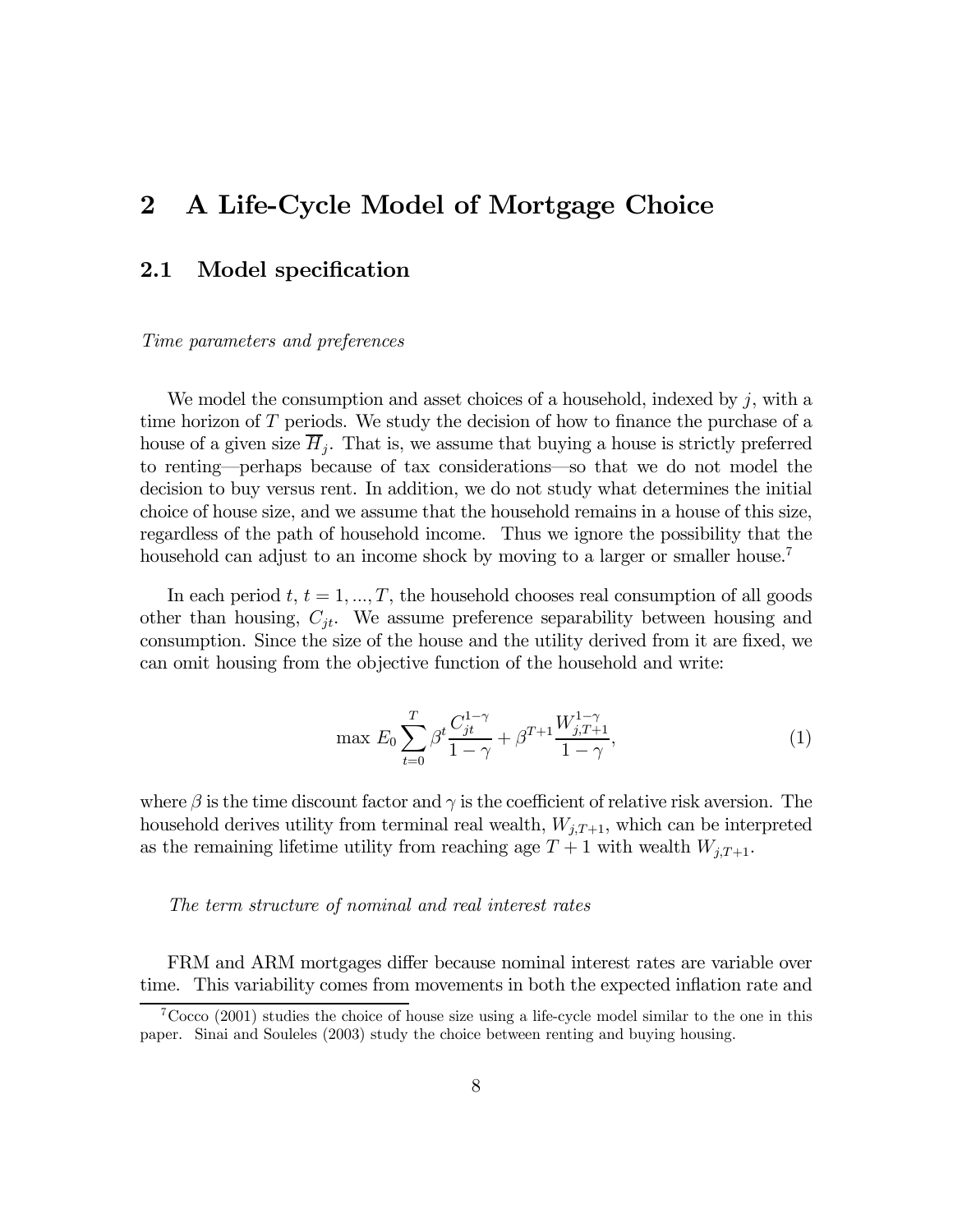# 2 A Life-Cycle Model of Mortgage Choice

# 2.1 Model specification

Time parameters and preferences

We model the consumption and asset choices of a household, indexed by  $j$ , with a time horizon of  $T$  periods. We study the decision of how to finance the purchase of a house of a given size  $\overline{H}_i$ . That is, we assume that buying a house is strictly preferred to renting–perhaps because of tax considerations–so that we do not model the decision to buy versus rent. In addition, we do not study what determines the initial choice of house size, and we assume that the household remains in a house of this size, regardless of the path of household income. Thus we ignore the possibility that the household can adjust to an income shock by moving to a larger or smaller house.<sup>7</sup>

In each period  $t, t = 1, ..., T$ , the household chooses real consumption of all goods other than housing,  $C_{it}$ . We assume preference separability between housing and consumption. Since the size of the house and the utility derived from it are fixed, we can omit housing from the objective function of the household and write:

$$
\max E_0 \sum_{t=0}^T \beta^t \frac{C_{jt}^{1-\gamma}}{1-\gamma} + \beta^{T+1} \frac{W_{j,T+1}^{1-\gamma}}{1-\gamma},\tag{1}
$$

where  $\beta$  is the time discount factor and  $\gamma$  is the coefficient of relative risk aversion. The household derives utility from terminal real wealth,  $W_{j,T+1}$ , which can be interpreted as the remaining lifetime utility from reaching age  $T + 1$  with wealth  $W_{j,T+1}$ .

#### The term structure of nominal and real interest rates

FRM and ARM mortgages differ because nominal interest rates are variable over time. This variability comes from movements in both the expected inflation rate and

<sup>7</sup>Cocco (2001) studies the choice of house size using a life-cycle model similar to the one in this paper. Sinai and Souleles (2003) study the choice between renting and buying housing.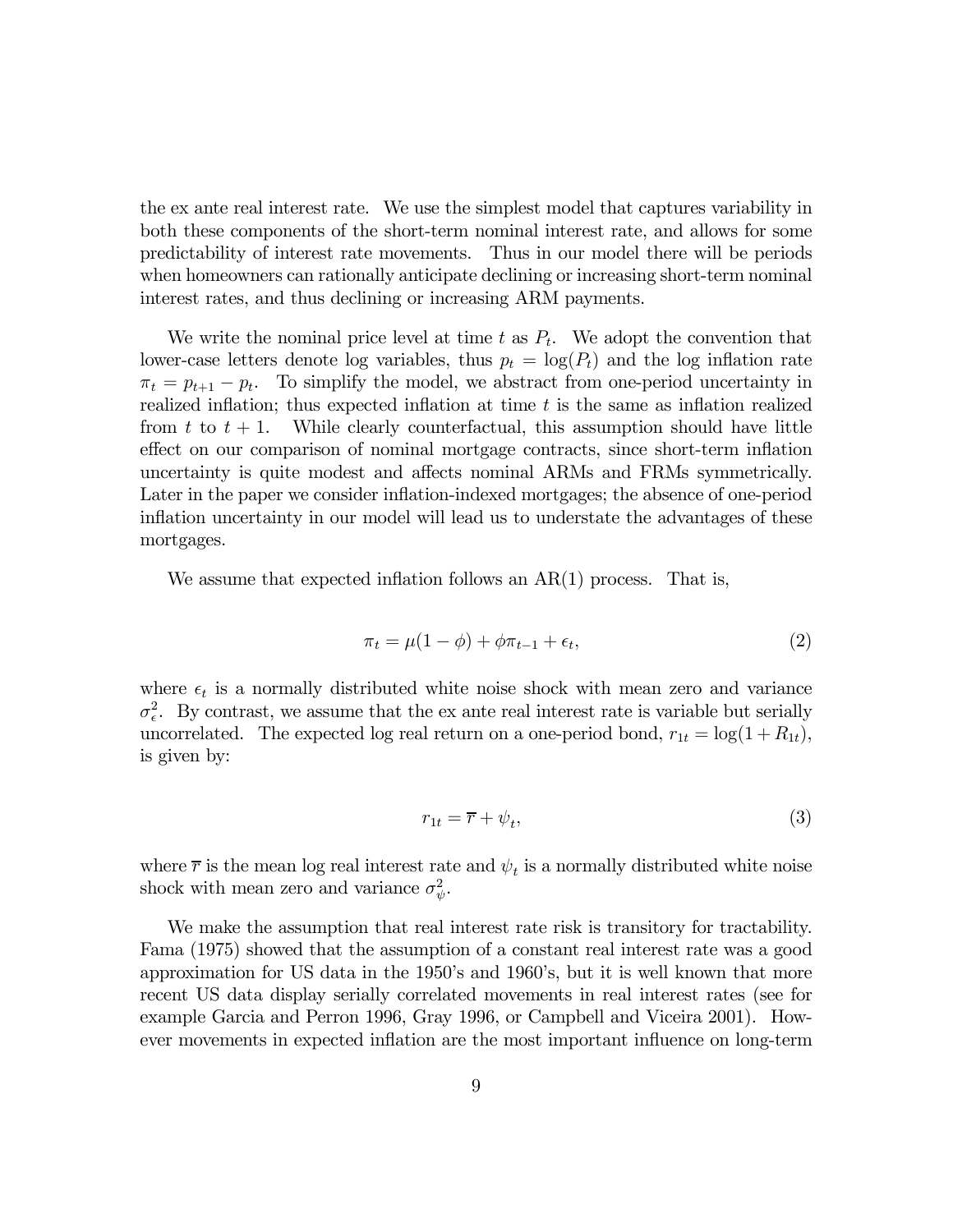the ex ante real interest rate. We use the simplest model that captures variability in both these components of the short-term nominal interest rate, and allows for some predictability of interest rate movements. Thus in our model there will be periods when homeowners can rationally anticipate declining or increasing short-term nominal interest rates, and thus declining or increasing ARM payments.

We write the nominal price level at time t as  $P_t$ . We adopt the convention that lower-case letters denote log variables, thus  $p_t = \log(P_t)$  and the log inflation rate  $\pi_t = p_{t+1} - p_t$ . To simplify the model, we abstract from one-period uncertainty in realized inflation; thus expected inflation at time  $t$  is the same as inflation realized from t to  $t + 1$ . While clearly counterfactual, this assumption should have little effect on our comparison of nominal mortgage contracts, since short-term inflation uncertainty is quite modest and affects nominal ARMs and FRMs symmetrically. Later in the paper we consider inflation-indexed mortgages; the absence of one-period inflation uncertainty in our model will lead us to understate the advantages of these mortgages.

We assume that expected inflation follows an AR(1) process. That is,

$$
\pi_t = \mu(1 - \phi) + \phi \pi_{t-1} + \epsilon_t,\tag{2}
$$

where  $\epsilon_t$  is a normally distributed white noise shock with mean zero and variance  $\sigma_{\epsilon}^2$ . By contrast, we assume that the ex ante real interest rate is variable but serially uncorrelated. The expected log real return on a one-period bond,  $r_{1t} = \log(1 + R_{1t}),$ is given by:

$$
r_{1t} = \overline{r} + \psi_t,\tag{3}
$$

where  $\bar{r}$  is the mean log real interest rate and  $\psi_t$  is a normally distributed white noise shock with mean zero and variance  $\sigma_{\psi}^2$ .

We make the assumption that real interest rate risk is transitory for tractability. Fama (1975) showed that the assumption of a constant real interest rate was a good approximation for US data in the 1950's and 1960's, but it is well known that more recent US data display serially correlated movements in real interest rates (see for example Garcia and Perron 1996, Gray 1996, or Campbell and Viceira 2001). However movements in expected inflation are the most important influence on long-term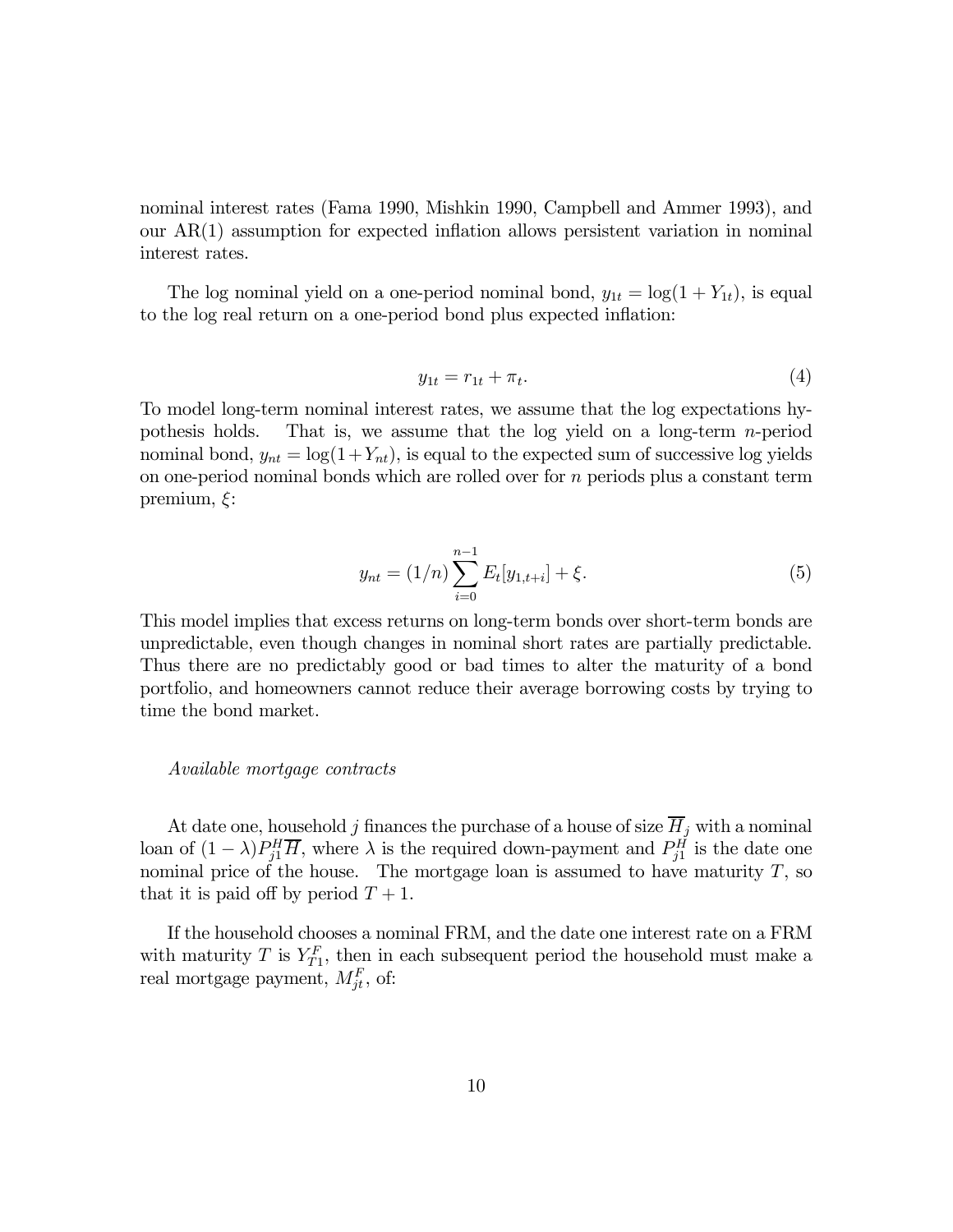nominal interest rates (Fama 1990, Mishkin 1990, Campbell and Ammer 1993), and our AR(1) assumption for expected inflation allows persistent variation in nominal interest rates.

The log nominal yield on a one-period nominal bond,  $y_{1t} = \log(1 + Y_{1t})$ , is equal to the log real return on a one-period bond plus expected inflation:

$$
y_{1t} = r_{1t} + \pi_t. \tag{4}
$$

To model long-term nominal interest rates, we assume that the log expectations hypothesis holds. That is, we assume that the log yield on a long-term n-period nominal bond,  $y_{nt} = \log(1 + Y_{nt})$ , is equal to the expected sum of successive log yields on one-period nominal bonds which are rolled over for  $n$  periods plus a constant term premium,  $\xi$ :

$$
y_{nt} = (1/n) \sum_{i=0}^{n-1} E_t[y_{1,t+i}] + \xi.
$$
 (5)

This model implies that excess returns on long-term bonds over short-term bonds are unpredictable, even though changes in nominal short rates are partially predictable. Thus there are no predictably good or bad times to alter the maturity of a bond portfolio, and homeowners cannot reduce their average borrowing costs by trying to time the bond market.

#### Available mortgage contracts

At date one, household j finances the purchase of a house of size  $H_j$  with a nominal loan of  $(1 - \lambda)P_{j1}^H \overline{H}$ , where  $\lambda$  is the required down-payment and  $P_{j1}^H$  is the date one nominal price of the house. The mortgage loan is assumed to have maturity  $T$ , so that it is paid off by period  $T+1$ .

If the household chooses a nominal FRM, and the date one interest rate on a FRM with maturity T is  $Y_{T_1}^F$ , then in each subsequent period the household must make a real mortgage payment,  $M_{jt}^F$ , of: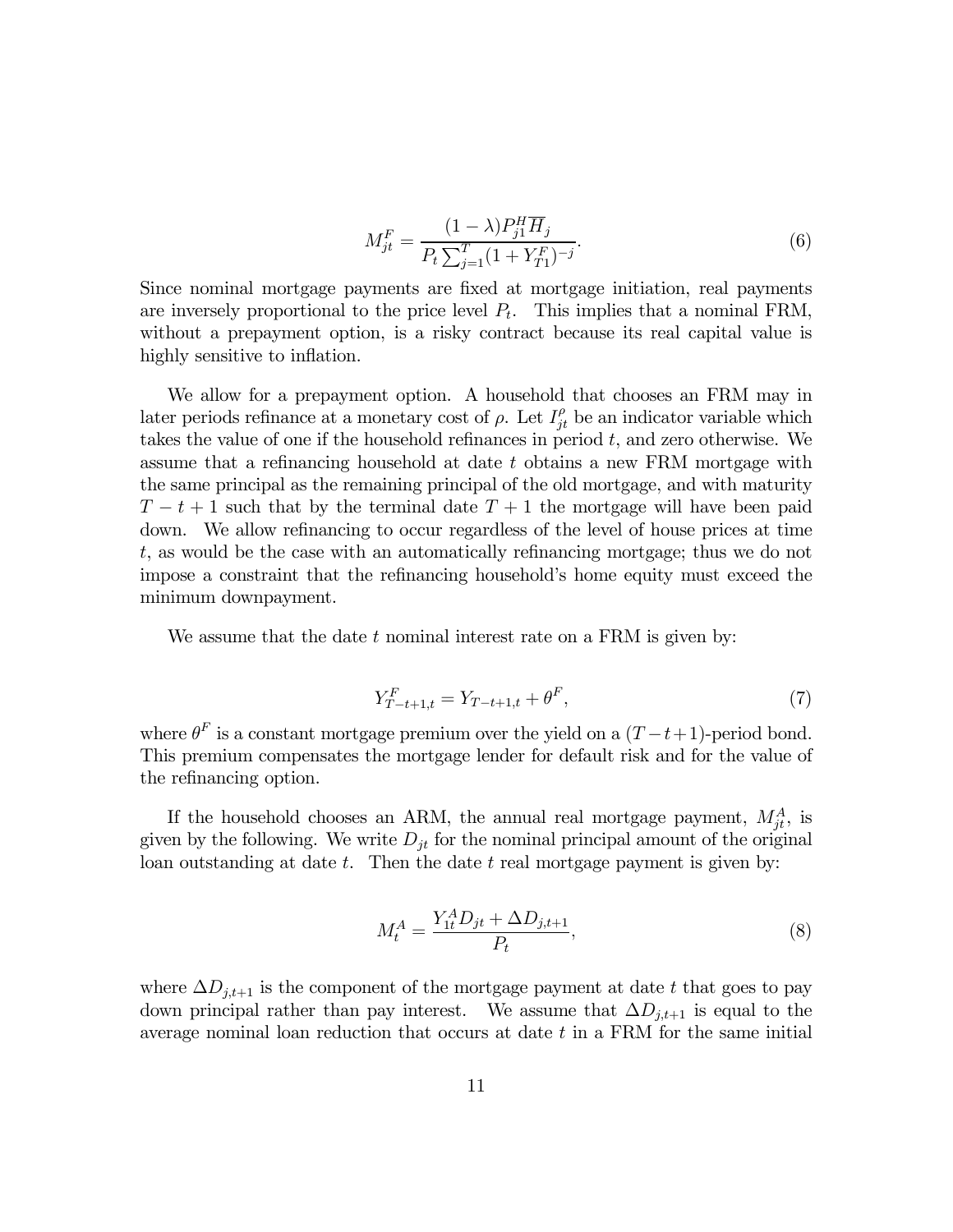$$
M_{jt}^F = \frac{(1 - \lambda)P_{j1}^H \overline{H}_j}{P_t \sum_{j=1}^T (1 + Y_{T1}^F)^{-j}}.
$$
\n(6)

Since nominal mortgage payments are fixed at mortgage initiation, real payments are inversely proportional to the price level  $P_t$ . This implies that a nominal FRM, without a prepayment option, is a risky contract because its real capital value is highly sensitive to inflation.

We allow for a prepayment option. A household that chooses an FRM may in later periods refinance at a monetary cost of  $\rho$ . Let  $I_{jt}^{\rho}$  be an indicator variable which takes the value of one if the household refinances in period  $t$ , and zero otherwise. We assume that a refinancing household at date t obtains a new FRM mortgage with the same principal as the remaining principal of the old mortgage, and with maturity  $T-t+1$  such that by the terminal date  $T+1$  the mortgage will have been paid down. We allow refinancing to occur regardless of the level of house prices at time t, as would be the case with an automatically refinancing mortgage; thus we do not impose a constraint that the refinancing household's home equity must exceed the minimum downpayment.

We assume that the date  $t$  nominal interest rate on a FRM is given by:

$$
Y_{T-t+1,t}^F = Y_{T-t+1,t} + \theta^F,\tag{7}
$$

where  $\theta^F$  is a constant mortgage premium over the yield on a  $(T-t+1)$ -period bond. This premium compensates the mortgage lender for default risk and for the value of the refinancing option.

If the household chooses an ARM, the annual real mortgage payment,  $M_{jt}^A$ , is given by the following. We write  $D_{jt}$  for the nominal principal amount of the original loan outstanding at date  $t$ . Then the date  $t$  real mortgage payment is given by:

$$
M_t^A = \frac{Y_{1t}^A D_{jt} + \Delta D_{j,t+1}}{P_t},\tag{8}
$$

where  $\Delta D_{j,t+1}$  is the component of the mortgage payment at date t that goes to pay down principal rather than pay interest. We assume that  $\Delta D_{i,t+1}$  is equal to the average nominal loan reduction that occurs at date  $t$  in a FRM for the same initial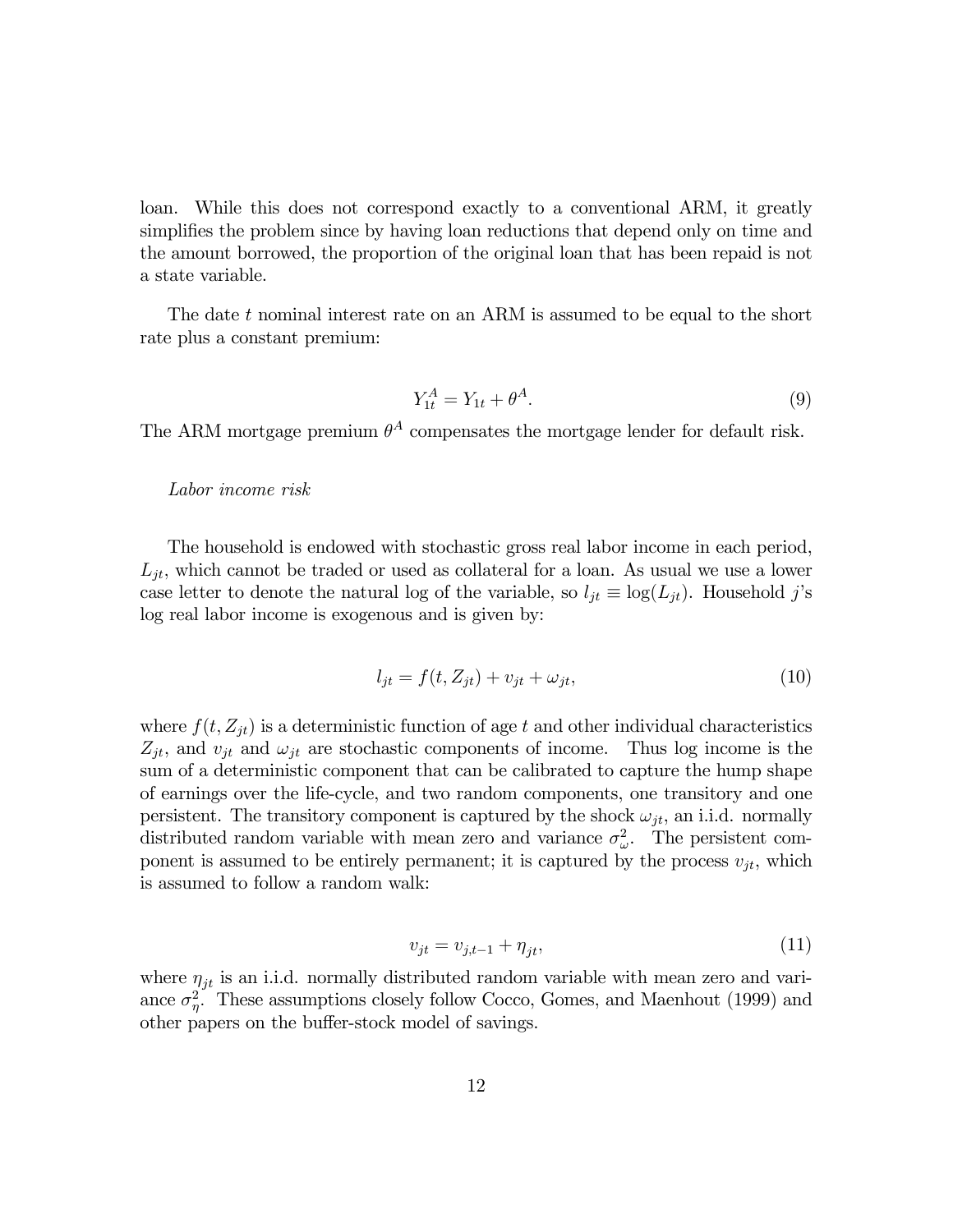loan. While this does not correspond exactly to a conventional ARM, it greatly simplifies the problem since by having loan reductions that depend only on time and the amount borrowed, the proportion of the original loan that has been repaid is not a state variable.

The date t nominal interest rate on an ARM is assumed to be equal to the short rate plus a constant premium:

$$
Y_{1t}^A = Y_{1t} + \theta^A. \tag{9}
$$

The ARM mortgage premium  $\theta^A$  compensates the mortgage lender for default risk.

### Labor income risk

The household is endowed with stochastic gross real labor income in each period,  $L_{jt}$ , which cannot be traded or used as collateral for a loan. As usual we use a lower case letter to denote the natural log of the variable, so  $l_{it} \equiv \log(L_{it})$ . Household j's log real labor income is exogenous and is given by:

$$
l_{jt} = f(t, Z_{jt}) + v_{jt} + \omega_{jt},\tag{10}
$$

where  $f(t, Z_{jt})$  is a deterministic function of age t and other individual characteristics  $Z_{jt}$ , and  $v_{jt}$  and  $\omega_{jt}$  are stochastic components of income. Thus log income is the sum of a deterministic component that can be calibrated to capture the hump shape of earnings over the life-cycle, and two random components, one transitory and one persistent. The transitory component is captured by the shock  $\omega_{jt}$ , an i.i.d. normally distributed random variable with mean zero and variance  $\sigma_{\omega}^2$ . The persistent component is assumed to be entirely permanent; it is captured by the process  $v_{it}$ , which is assumed to follow a random walk:

$$
v_{jt} = v_{j,t-1} + \eta_{jt},\tag{11}
$$

where  $\eta_{jt}$  is an i.i.d. normally distributed random variable with mean zero and variance  $\sigma_{\eta}^2$ . These assumptions closely follow Cocco, Gomes, and Maenhout (1999) and other papers on the buffer-stock model of savings.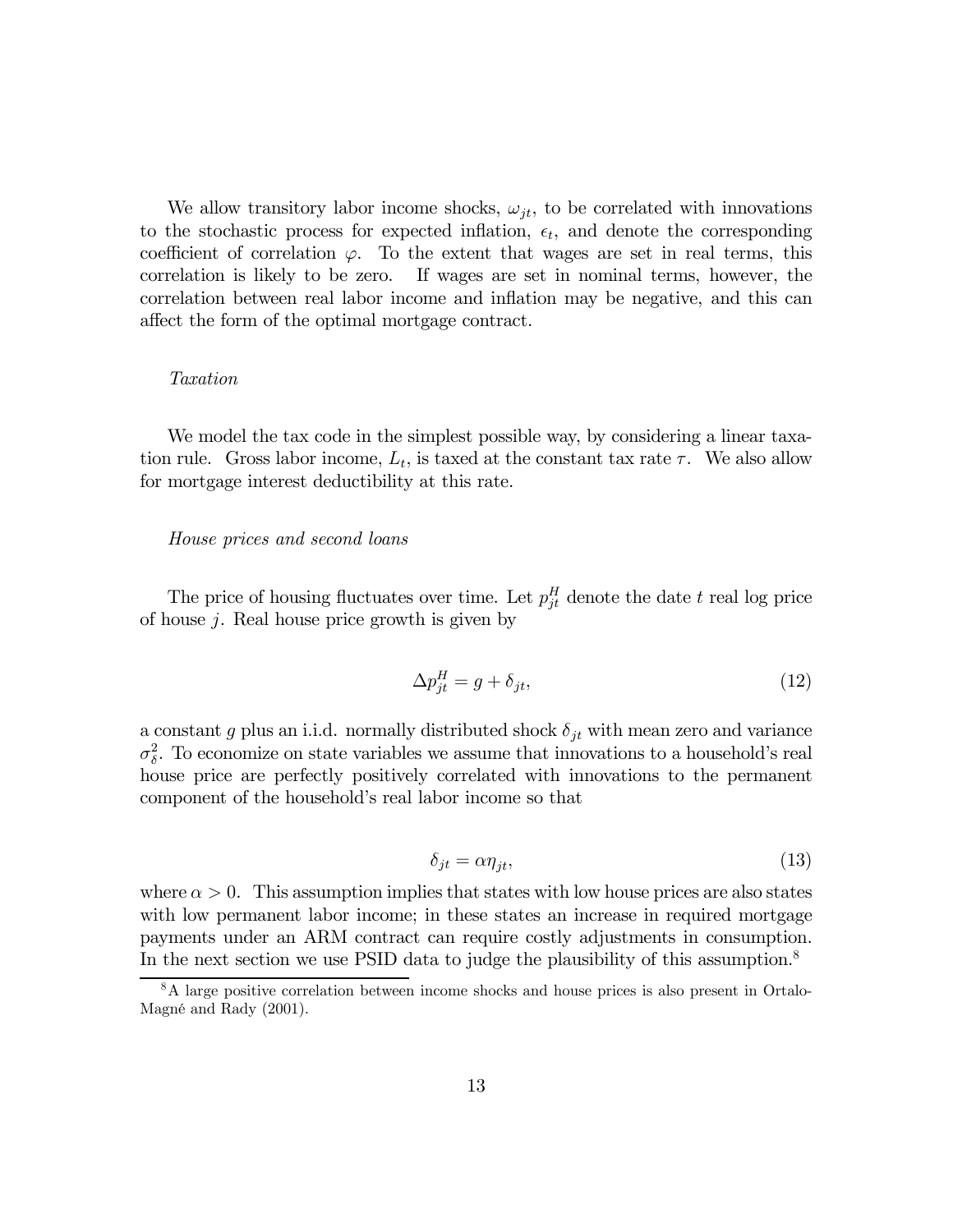We allow transitory labor income shocks,  $\omega_{jt}$ , to be correlated with innovations to the stochastic process for expected inflation,  $\epsilon_t$ , and denote the corresponding coefficient of correlation  $\varphi$ . To the extent that wages are set in real terms, this correlation is likely to be zero. If wages are set in nominal terms, however, the correlation between real labor income and inflation may be negative, and this can affect the form of the optimal mortgage contract.

## Taxation

We model the tax code in the simplest possible way, by considering a linear taxation rule. Gross labor income,  $L_t$ , is taxed at the constant tax rate  $\tau$ . We also allow for mortgage interest deductibility at this rate.

#### House prices and second loans

The price of housing fluctuates over time. Let  $p_{jt}^H$  denote the date t real log price of house  $j$ . Real house price growth is given by

$$
\Delta p_{jt}^H = g + \delta_{jt},\tag{12}
$$

a constant g plus an i.i.d. normally distributed shock  $\delta_{jt}$  with mean zero and variance  $\sigma_{\delta}^2$ . To economize on state variables we assume that innovations to a household's real house price are perfectly positively correlated with innovations to the permanent component of the household's real labor income so that

$$
\delta_{jt} = \alpha \eta_{jt},\tag{13}
$$

where  $\alpha > 0$ . This assumption implies that states with low house prices are also states with low permanent labor income; in these states an increase in required mortgage payments under an ARM contract can require costly adjustments in consumption. In the next section we use PSID data to judge the plausibility of this assumption.<sup>8</sup>

<sup>&</sup>lt;sup>8</sup>A large positive correlation between income shocks and house prices is also present in Ortalo-Magné and Rady (2001).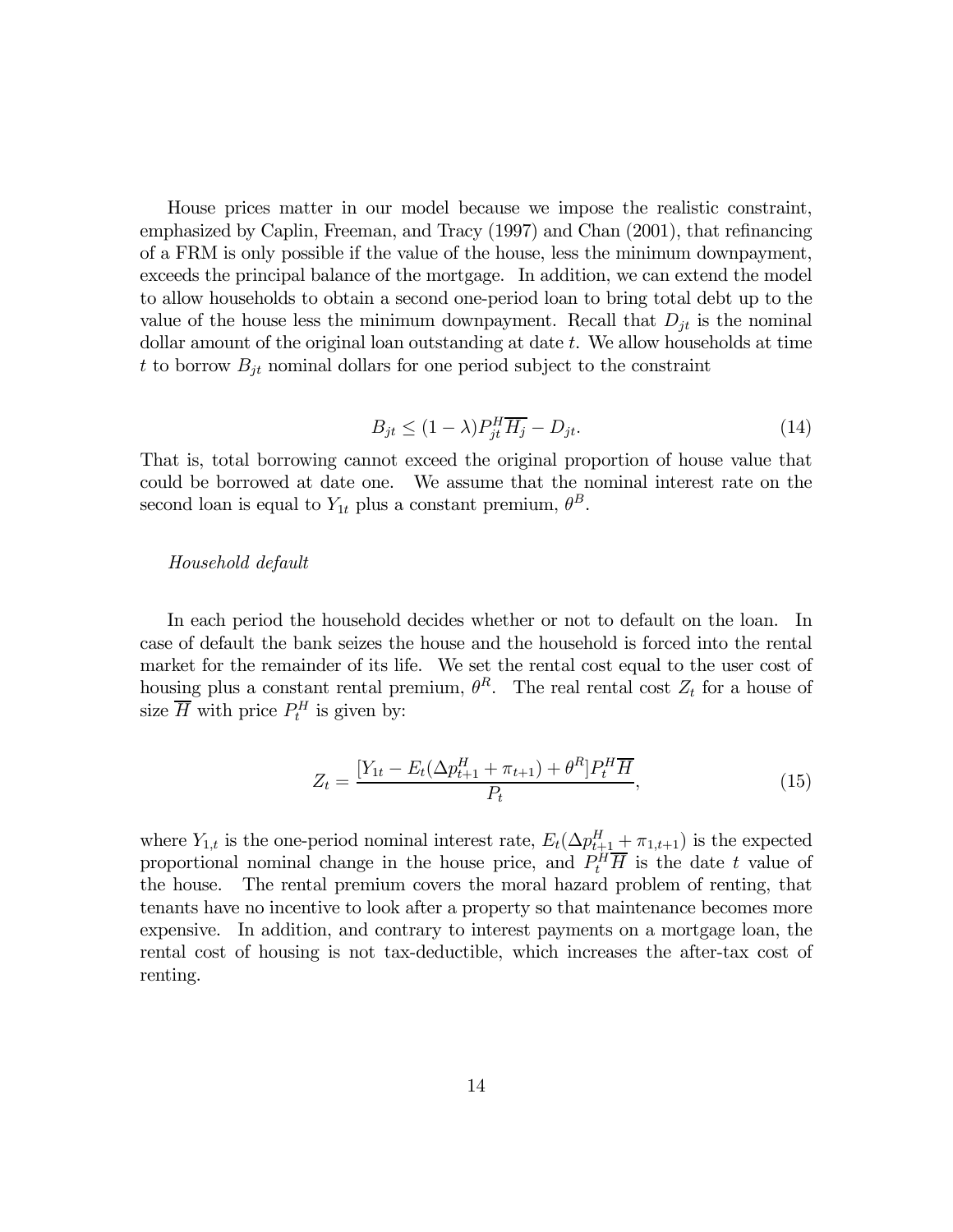House prices matter in our model because we impose the realistic constraint, emphasized by Caplin, Freeman, and Tracy (1997) and Chan (2001), that refinancing of a FRM is only possible if the value of the house, less the minimum downpayment, exceeds the principal balance of the mortgage. In addition, we can extend the model to allow households to obtain a second one-period loan to bring total debt up to the value of the house less the minimum downpayment. Recall that  $D_{it}$  is the nominal dollar amount of the original loan outstanding at date t. We allow households at time t to borrow  $B_{jt}$  nominal dollars for one period subject to the constraint

$$
B_{jt} \le (1 - \lambda) P_{jt}^H \overline{H_j} - D_{jt}.
$$
\n(14)

That is, total borrowing cannot exceed the original proportion of house value that could be borrowed at date one. We assume that the nominal interest rate on the second loan is equal to  $Y_{1t}$  plus a constant premium,  $\theta^{B}$ .

### Household default

In each period the household decides whether or not to default on the loan. In case of default the bank seizes the house and the household is forced into the rental market for the remainder of its life. We set the rental cost equal to the user cost of housing plus a constant rental premium,  $\theta^R$ . The real rental cost  $Z_t$  for a house of size  $\overline{H}$  with price  $P_t^H$  is given by:

$$
Z_{t} = \frac{[Y_{1t} - E_{t}(\Delta p_{t+1}^{H} + \pi_{t+1}) + \theta^{R}]P_{t}^{H}\overline{H}}{P_{t}},
$$
\n(15)

where  $Y_{1,t}$  is the one-period nominal interest rate,  $E_t(\Delta p_{t+1}^H + \pi_{1,t+1})$  is the expected proportional nominal change in the house price, and  $P_t^H \overline{H}$  is the date t value of the house. The rental premium covers the moral hazard problem of renting, that tenants have no incentive to look after a property so that maintenance becomes more expensive. In addition, and contrary to interest payments on a mortgage loan, the rental cost of housing is not tax-deductible, which increases the after-tax cost of renting.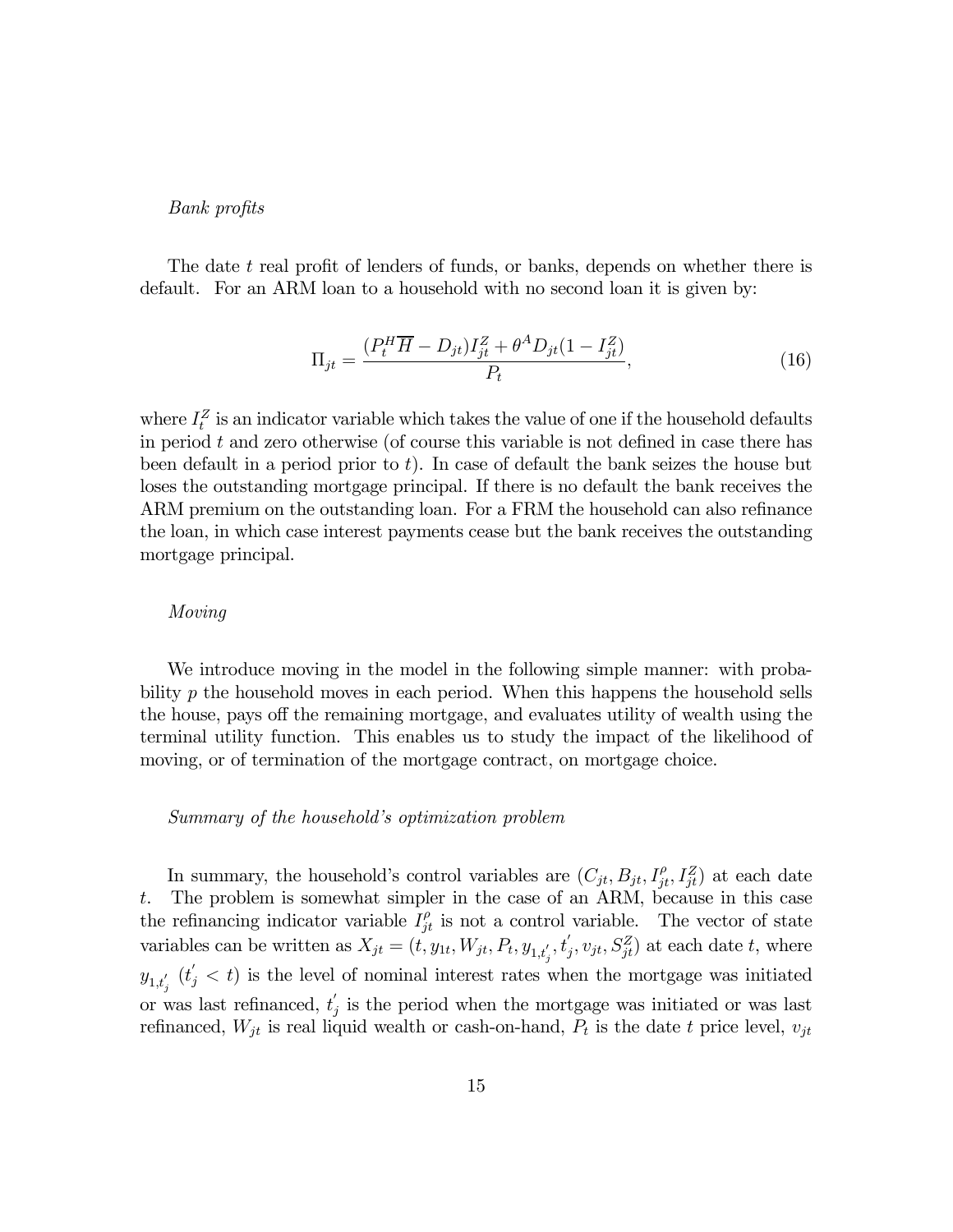#### Bank profits

The date t real profit of lenders of funds, or banks, depends on whether there is default. For an ARM loan to a household with no second loan it is given by:

$$
\Pi_{jt} = \frac{(P_t^H \overline{H} - D_{jt})I_{jt}^Z + \theta^A D_{jt} (1 - I_{jt}^Z)}{P_t},\tag{16}
$$

where  $I_t^Z$  is an indicator variable which takes the value of one if the household defaults in period  $t$  and zero otherwise (of course this variable is not defined in case there has been default in a period prior to t). In case of default the bank seizes the house but loses the outstanding mortgage principal. If there is no default the bank receives the ARM premium on the outstanding loan. For a FRM the household can also refinance the loan, in which case interest payments cease but the bank receives the outstanding mortgage principal.

#### Moving

We introduce moving in the model in the following simple manner: with probability  $p$  the household moves in each period. When this happens the household sells the house, pays off the remaining mortgage, and evaluates utility of wealth using the terminal utility function. This enables us to study the impact of the likelihood of moving, or of termination of the mortgage contract, on mortgage choice.

#### Summary of the household's optimization problem

In summary, the household's control variables are  $(C_{jt}, B_{jt}, I_{jt}^{\rho}, I_{jt}^Z)$  at each date t. The problem is somewhat simpler in the case of an ARM, because in this case the refinancing indicator variable  $I_{jt}^{\rho}$  is not a control variable. The vector of state variables can be written as  $X_{jt} = (t, y_{1t}, W_{jt}, P_t, y_{1,t'_j}, t'_j, v_{jt}, S_{jt}^Z)$  at each date t, where  $y_{1,t'_j}$   $(t'_j < t)$  is the level of nominal interest rates when the mortgage was initiated or was last refinanced,  $t'_{j}$  is the period when the mortgage was initiated or was last refinanced,  $W_{jt}$  is real liquid wealth or cash-on-hand,  $\overline{P_t}$  is the date t price level,  $v_{jt}$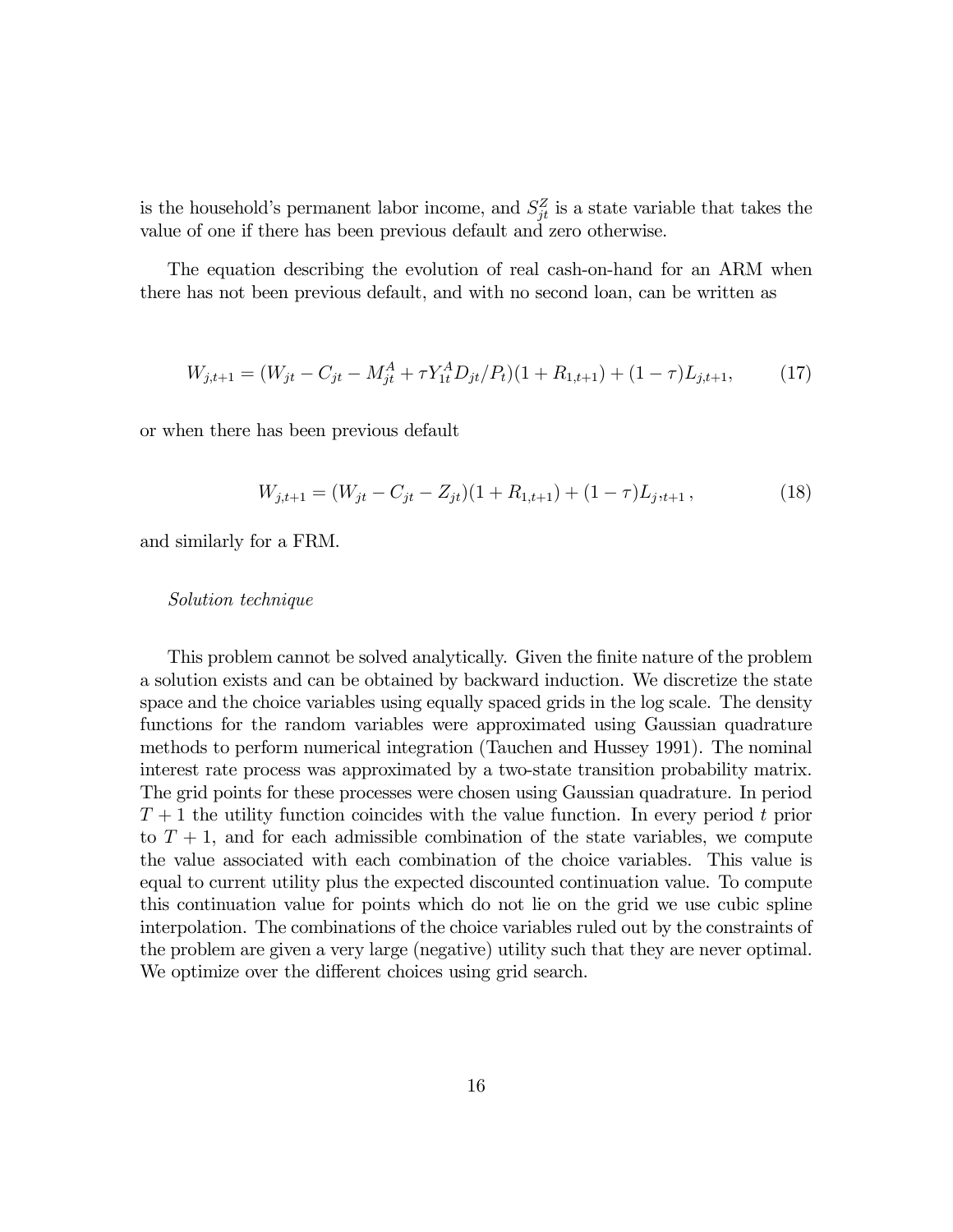is the household's permanent labor income, and  $S_{jt}^Z$  is a state variable that takes the value of one if there has been previous default and zero otherwise.

The equation describing the evolution of real cash-on-hand for an ARM when there has not been previous default, and with no second loan, can be written as

$$
W_{j,t+1} = (W_{jt} - C_{jt} - M_{jt}^A + \tau Y_{1t}^A D_{jt}/P_t)(1 + R_{1,t+1}) + (1 - \tau)L_{j,t+1},
$$
(17)

or when there has been previous default

$$
W_{j,t+1} = (W_{jt} - C_{jt} - Z_{jt})(1 + R_{1,t+1}) + (1 - \tau)L_{j,t+1},
$$
\n(18)

and similarly for a FRM.

### Solution technique

This problem cannot be solved analytically. Given the finite nature of the problem a solution exists and can be obtained by backward induction. We discretize the state space and the choice variables using equally spaced grids in the log scale. The density functions for the random variables were approximated using Gaussian quadrature methods to perform numerical integration (Tauchen and Hussey 1991). The nominal interest rate process was approximated by a two-state transition probability matrix. The grid points for these processes were chosen using Gaussian quadrature. In period  $T+1$  the utility function coincides with the value function. In every period t prior to  $T + 1$ , and for each admissible combination of the state variables, we compute the value associated with each combination of the choice variables. This value is equal to current utility plus the expected discounted continuation value. To compute this continuation value for points which do not lie on the grid we use cubic spline interpolation. The combinations of the choice variables ruled out by the constraints of the problem are given a very large (negative) utility such that they are never optimal. We optimize over the different choices using grid search.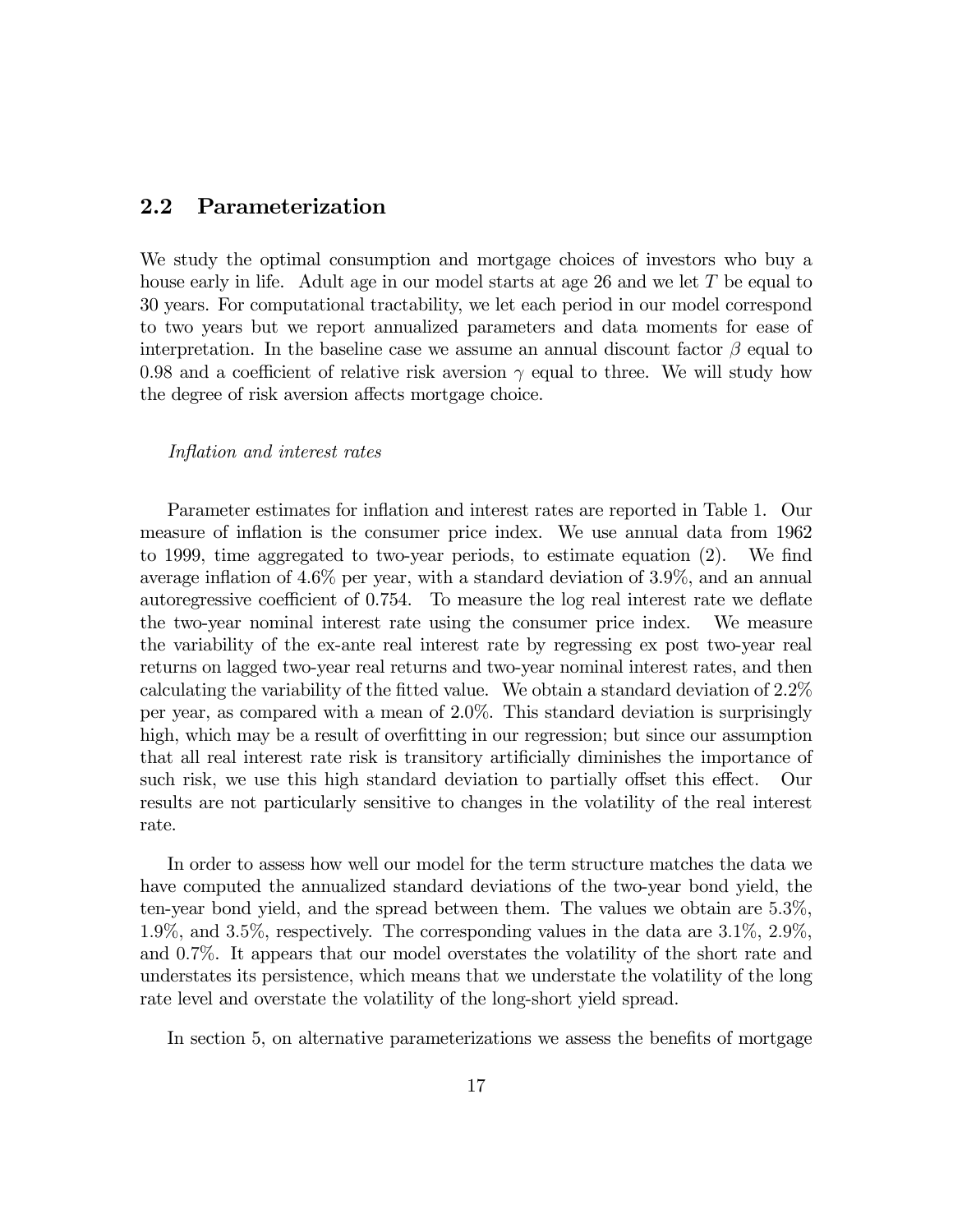# 2.2 Parameterization

We study the optimal consumption and mortgage choices of investors who buy a house early in life. Adult age in our model starts at age 26 and we let T be equal to 30 years. For computational tractability, we let each period in our model correspond to two years but we report annualized parameters and data moments for ease of interpretation. In the baseline case we assume an annual discount factor  $\beta$  equal to 0.98 and a coefficient of relative risk aversion  $\gamma$  equal to three. We will study how the degree of risk aversion affects mortgage choice.

### Inflation and interest rates

Parameter estimates for inflation and interest rates are reported in Table 1. Our measure of inflation is the consumer price index. We use annual data from 1962 to 1999, time aggregated to two-year periods, to estimate equation (2). We find average inflation of 4.6% per year, with a standard deviation of 3.9%, and an annual autoregressive coefficient of 0.754. To measure the log real interest rate we deflate the two-year nominal interest rate using the consumer price index. We measure the variability of the ex-ante real interest rate by regressing ex post two-year real returns on lagged two-year real returns and two-year nominal interest rates, and then calculating the variability of the fitted value. We obtain a standard deviation of 2.2% per year, as compared with a mean of 2.0%. This standard deviation is surprisingly high, which may be a result of overfitting in our regression; but since our assumption that all real interest rate risk is transitory artificially diminishes the importance of such risk, we use this high standard deviation to partially offset this effect. Our results are not particularly sensitive to changes in the volatility of the real interest rate.

In order to assess how well our model for the term structure matches the data we have computed the annualized standard deviations of the two-year bond yield, the ten-year bond yield, and the spread between them. The values we obtain are 5.3%, 1.9%, and 3.5%, respectively. The corresponding values in the data are 3.1%, 2.9%, and 0.7%. It appears that our model overstates the volatility of the short rate and understates its persistence, which means that we understate the volatility of the long rate level and overstate the volatility of the long-short yield spread.

In section 5, on alternative parameterizations we assess the benefits of mortgage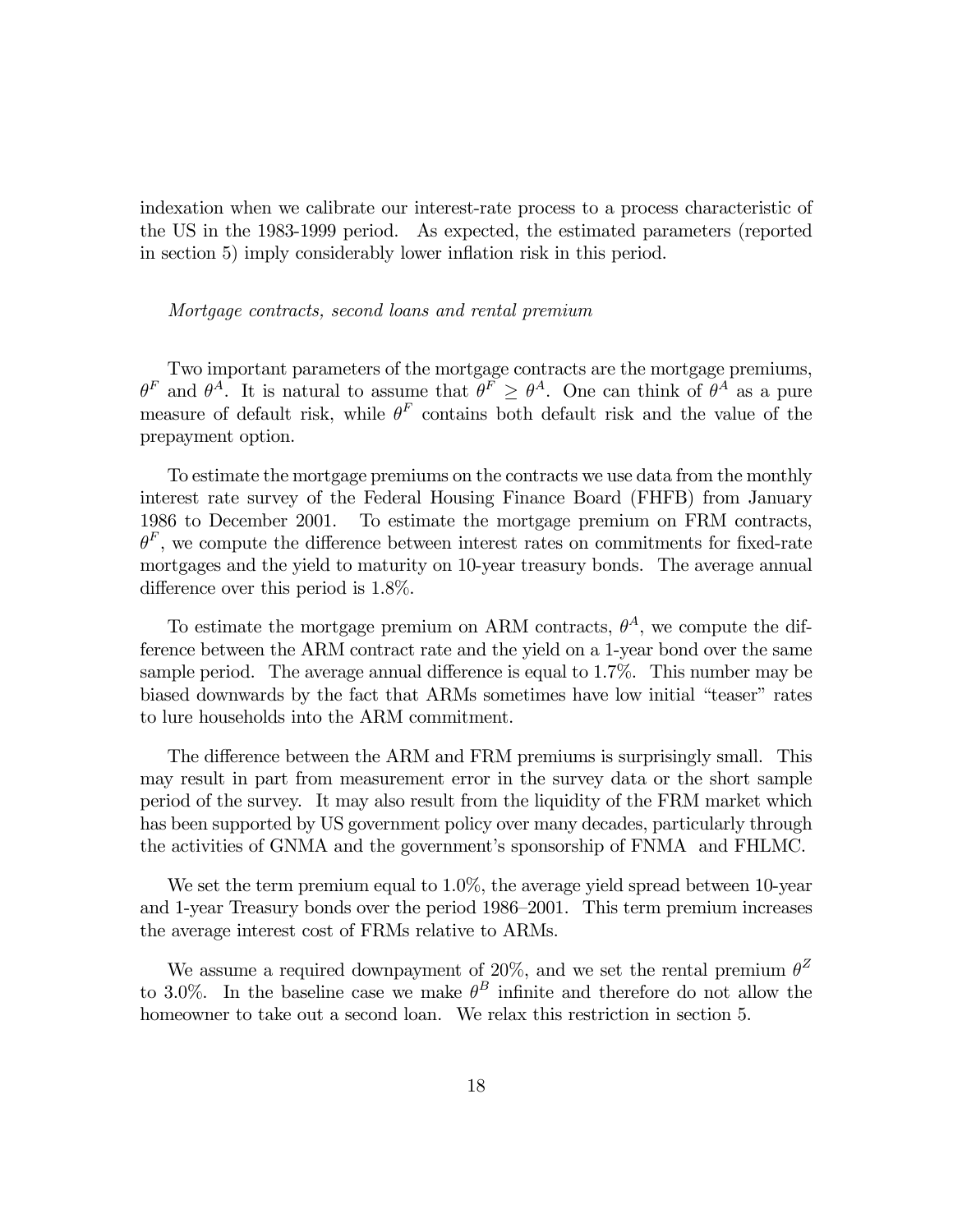indexation when we calibrate our interest-rate process to a process characteristic of the US in the 1983-1999 period. As expected, the estimated parameters (reported in section 5) imply considerably lower inflation risk in this period.

Mortgage contracts, second loans and rental premium

Two important parameters of the mortgage contracts are the mortgage premiums,  $\theta^F$  and  $\theta^A$ . It is natural to assume that  $\theta^F \ge \theta^A$ . One can think of  $\theta^A$  as a pure measure of default risk, while  $\theta^F$  contains both default risk and the value of the prepayment option.

To estimate the mortgage premiums on the contracts we use data from the monthly interest rate survey of the Federal Housing Finance Board (FHFB) from January 1986 to December 2001. To estimate the mortgage premium on FRM contracts,  $\theta^F$ , we compute the difference between interest rates on commitments for fixed-rate mortgages and the yield to maturity on 10-year treasury bonds. The average annual difference over this period is 1.8%.

To estimate the mortgage premium on ARM contracts,  $\theta^A$ , we compute the difference between the ARM contract rate and the yield on a 1-year bond over the same sample period. The average annual difference is equal to 1.7%. This number may be biased downwards by the fact that ARMs sometimes have low initial "teaser" rates to lure households into the ARM commitment.

The difference between the ARM and FRM premiums is surprisingly small. This may result in part from measurement error in the survey data or the short sample period of the survey. It may also result from the liquidity of the FRM market which has been supported by US government policy over many decades, particularly through the activities of GNMA and the government's sponsorship of FNMA and FHLMC.

We set the term premium equal to 1.0%, the average yield spread between 10-year and 1-year Treasury bonds over the period 1986—2001. This term premium increases the average interest cost of FRMs relative to ARMs.

We assume a required downpayment of 20%, and we set the rental premium  $\theta^Z$ to 3.0%. In the baseline case we make  $\theta^B$  infinite and therefore do not allow the homeowner to take out a second loan. We relax this restriction in section 5.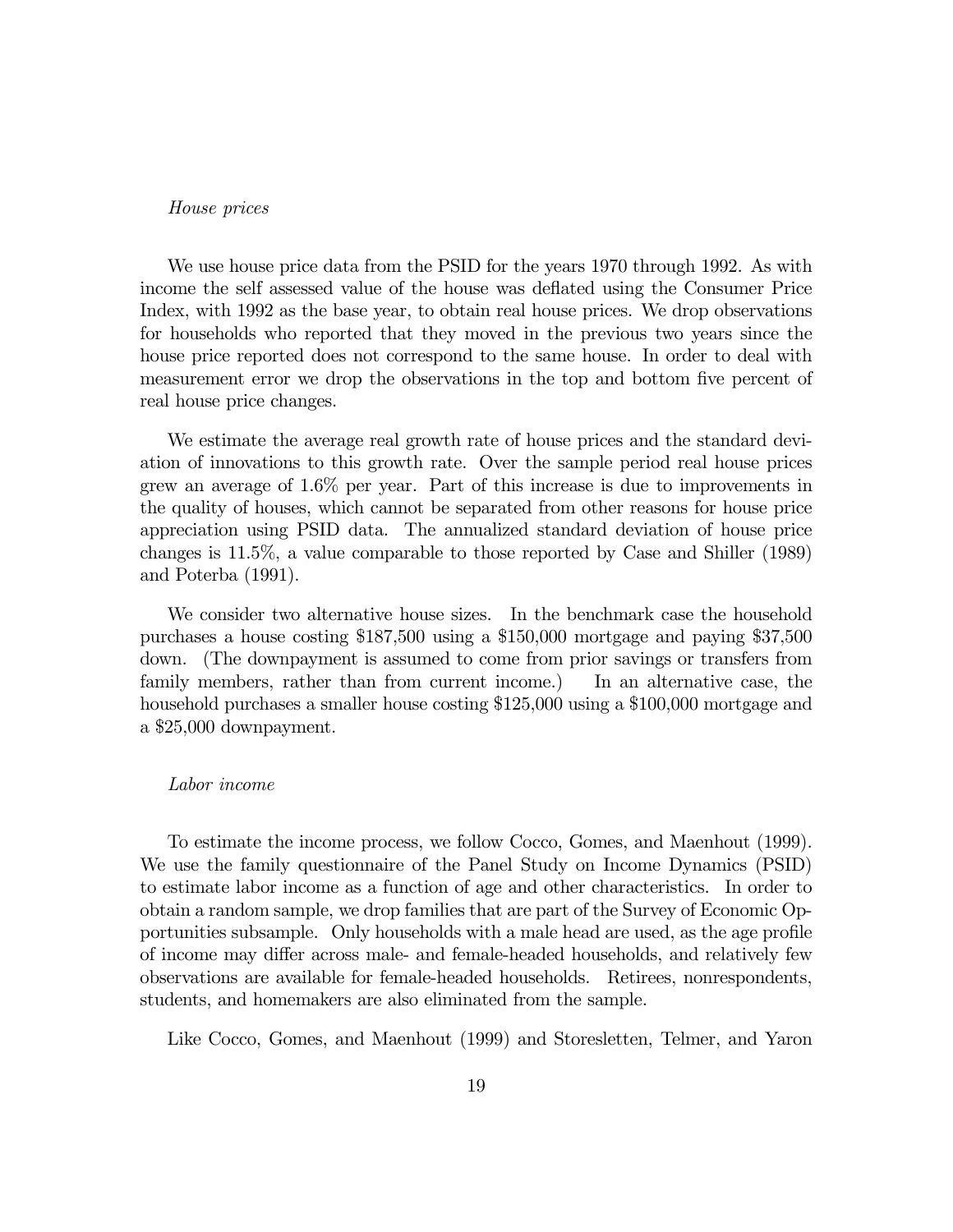#### House prices

We use house price data from the PSID for the years 1970 through 1992. As with income the self assessed value of the house was deflated using the Consumer Price Index, with 1992 as the base year, to obtain real house prices. We drop observations for households who reported that they moved in the previous two years since the house price reported does not correspond to the same house. In order to deal with measurement error we drop the observations in the top and bottom five percent of real house price changes.

We estimate the average real growth rate of house prices and the standard deviation of innovations to this growth rate. Over the sample period real house prices grew an average of 1.6% per year. Part of this increase is due to improvements in the quality of houses, which cannot be separated from other reasons for house price appreciation using PSID data. The annualized standard deviation of house price changes is 11.5%, a value comparable to those reported by Case and Shiller (1989) and Poterba (1991).

We consider two alternative house sizes. In the benchmark case the household purchases a house costing \$187,500 using a \$150,000 mortgage and paying \$37,500 down. (The downpayment is assumed to come from prior savings or transfers from family members, rather than from current income.) In an alternative case, the household purchases a smaller house costing \$125,000 using a \$100,000 mortgage and a \$25,000 downpayment.

#### Labor income

To estimate the income process, we follow Cocco, Gomes, and Maenhout (1999). We use the family questionnaire of the Panel Study on Income Dynamics (PSID) to estimate labor income as a function of age and other characteristics. In order to obtain a random sample, we drop families that are part of the Survey of Economic Opportunities subsample. Only households with a male head are used, as the age profile of income may differ across male- and female-headed households, and relatively few observations are available for female-headed households. Retirees, nonrespondents, students, and homemakers are also eliminated from the sample.

Like Cocco, Gomes, and Maenhout (1999) and Storesletten, Telmer, and Yaron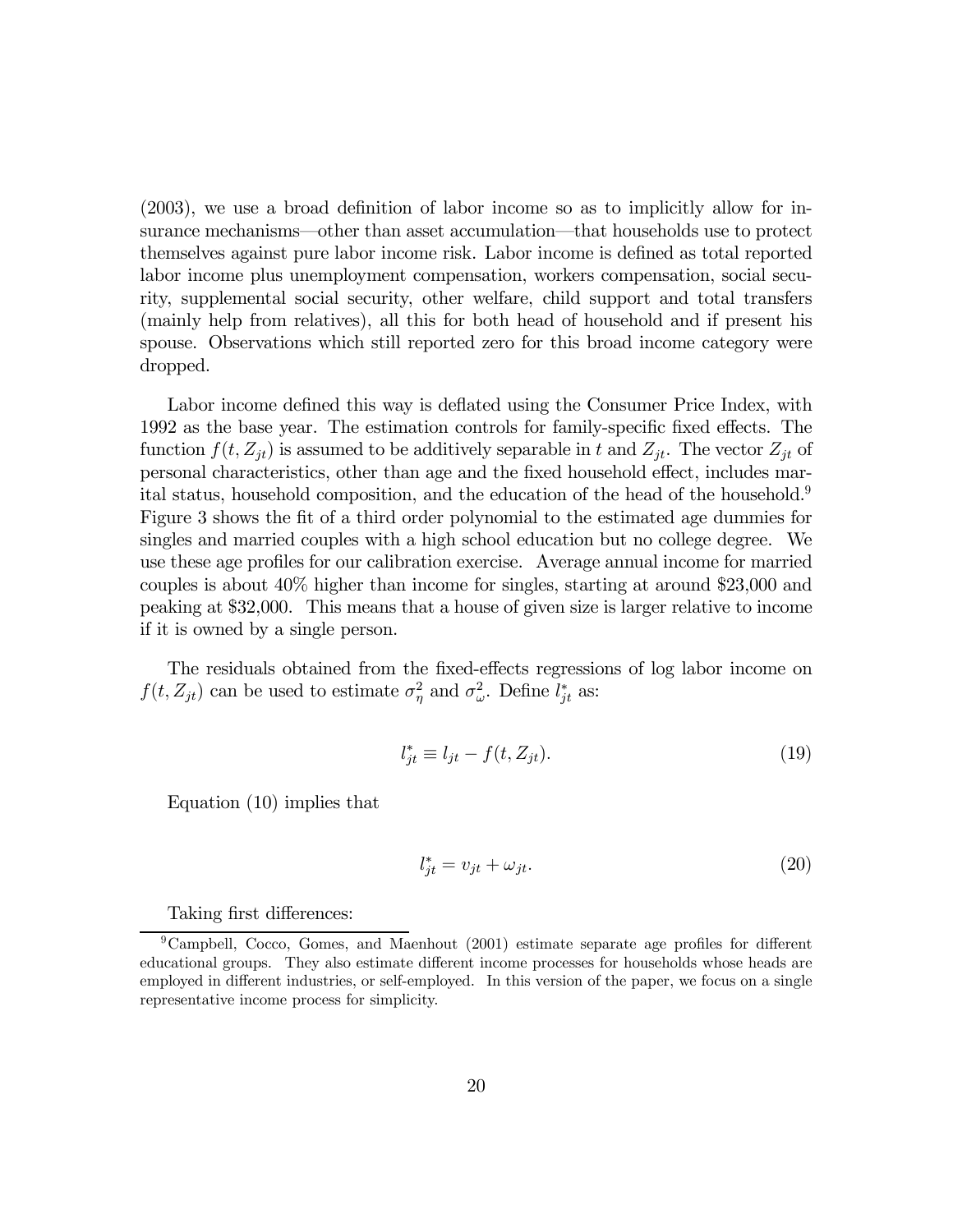(2003), we use a broad definition of labor income so as to implicitly allow for insurance mechanisms–other than asset accumulation–that households use to protect themselves against pure labor income risk. Labor income is defined as total reported labor income plus unemployment compensation, workers compensation, social security, supplemental social security, other welfare, child support and total transfers (mainly help from relatives), all this for both head of household and if present his spouse. Observations which still reported zero for this broad income category were dropped.

Labor income defined this way is deflated using the Consumer Price Index, with 1992 as the base year. The estimation controls for family-specific fixed effects. The function  $f(t, Z_{it})$  is assumed to be additively separable in t and  $Z_{it}$ . The vector  $Z_{it}$  of personal characteristics, other than age and the fixed household effect, includes marital status, household composition, and the education of the head of the household.9 Figure 3 shows the fit of a third order polynomial to the estimated age dummies for singles and married couples with a high school education but no college degree. We use these age profiles for our calibration exercise. Average annual income for married couples is about 40% higher than income for singles, starting at around \$23,000 and peaking at \$32,000. This means that a house of given size is larger relative to income if it is owned by a single person.

The residuals obtained from the fixed-effects regressions of log labor income on  $f(t, Z_{jt})$  can be used to estimate  $\sigma_{\eta}^2$  and  $\sigma_{\omega}^2$ . Define  $l_{jt}^*$  as:

$$
l_{jt}^* \equiv l_{jt} - f(t, Z_{jt}).\tag{19}
$$

Equation (10) implies that

$$
l_{jt}^* = v_{jt} + \omega_{jt}.\tag{20}
$$

Taking first differences:

<sup>9</sup>Campbell, Cocco, Gomes, and Maenhout (2001) estimate separate age profiles for different educational groups. They also estimate different income processes for households whose heads are employed in different industries, or self-employed. In this version of the paper, we focus on a single representative income process for simplicity.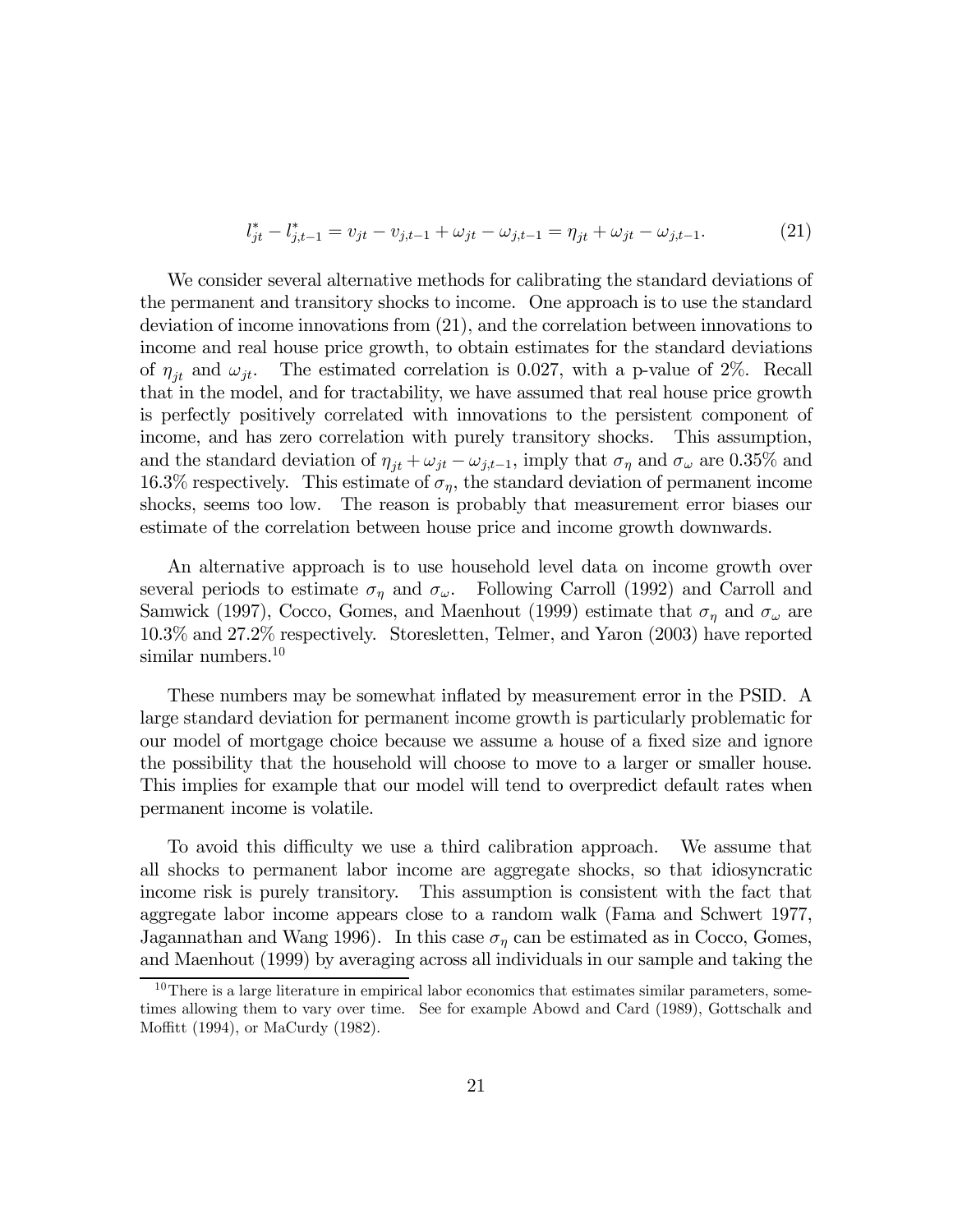$$
l_{jt}^* - l_{j,t-1}^* = v_{jt} - v_{j,t-1} + \omega_{jt} - \omega_{j,t-1} = \eta_{jt} + \omega_{jt} - \omega_{j,t-1}.
$$
 (21)

We consider several alternative methods for calibrating the standard deviations of the permanent and transitory shocks to income. One approach is to use the standard deviation of income innovations from (21), and the correlation between innovations to income and real house price growth, to obtain estimates for the standard deviations of  $\eta_{jt}$  and  $\omega_{jt}$ . The estimated correlation is 0.027, with a p-value of 2%. Recall that in the model, and for tractability, we have assumed that real house price growth is perfectly positively correlated with innovations to the persistent component of income, and has zero correlation with purely transitory shocks. This assumption, and the standard deviation of  $\eta_{jt} + \omega_{jt} - \omega_{j,t-1}$ , imply that  $\sigma_{\eta}$  and  $\sigma_{\omega}$  are 0.35% and 16.3% respectively. This estimate of  $\sigma_{\eta}$ , the standard deviation of permanent income shocks, seems too low. The reason is probably that measurement error biases our estimate of the correlation between house price and income growth downwards.

An alternative approach is to use household level data on income growth over several periods to estimate  $\sigma_{\eta}$  and  $\sigma_{\omega}$ . Following Carroll (1992) and Carroll and Samwick (1997), Cocco, Gomes, and Maenhout (1999) estimate that  $\sigma_{\eta}$  and  $\sigma_{\omega}$  are 10.3% and 27.2% respectively. Storesletten, Telmer, and Yaron (2003) have reported similar numbers.<sup>10</sup>

These numbers may be somewhat inflated by measurement error in the PSID. A large standard deviation for permanent income growth is particularly problematic for our model of mortgage choice because we assume a house of a fixed size and ignore the possibility that the household will choose to move to a larger or smaller house. This implies for example that our model will tend to overpredict default rates when permanent income is volatile.

To avoid this difficulty we use a third calibration approach. We assume that all shocks to permanent labor income are aggregate shocks, so that idiosyncratic income risk is purely transitory. This assumption is consistent with the fact that aggregate labor income appears close to a random walk (Fama and Schwert 1977, Jagannathan and Wang 1996). In this case  $\sigma_n$  can be estimated as in Cocco, Gomes, and Maenhout (1999) by averaging across all individuals in our sample and taking the

 $10$ There is a large literature in empirical labor economics that estimates similar parameters, sometimes allowing them to vary over time. See for example Abowd and Card (1989), Gottschalk and Moffitt (1994), or MaCurdy (1982).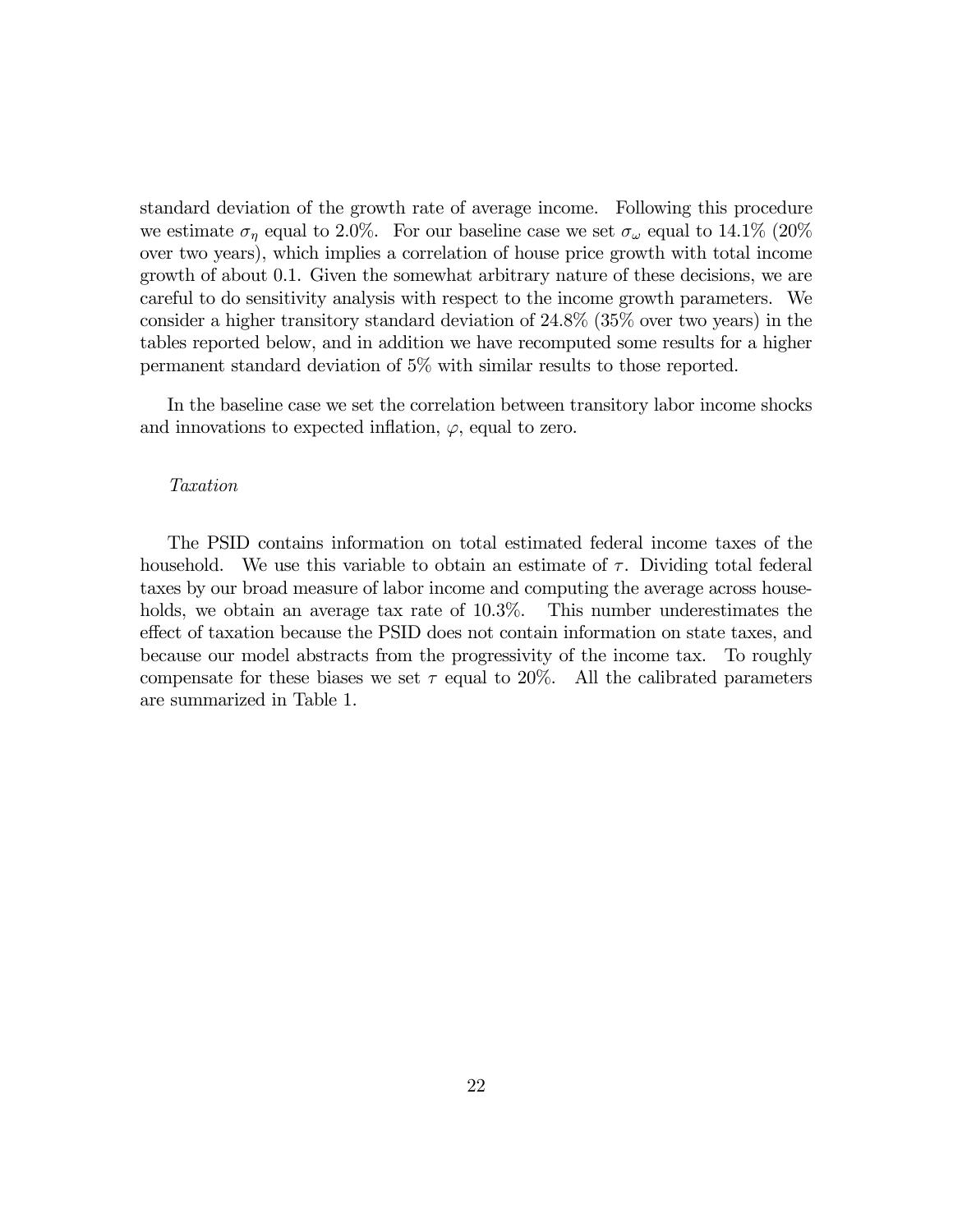standard deviation of the growth rate of average income. Following this procedure we estimate  $\sigma_{\eta}$  equal to 2.0%. For our baseline case we set  $\sigma_{\omega}$  equal to 14.1% (20%) over two years), which implies a correlation of house price growth with total income growth of about 0.1. Given the somewhat arbitrary nature of these decisions, we are careful to do sensitivity analysis with respect to the income growth parameters. We consider a higher transitory standard deviation of 24.8% (35% over two years) in the tables reported below, and in addition we have recomputed some results for a higher permanent standard deviation of 5% with similar results to those reported.

In the baseline case we set the correlation between transitory labor income shocks and innovations to expected inflation,  $\varphi$ , equal to zero.

#### Taxation

The PSID contains information on total estimated federal income taxes of the household. We use this variable to obtain an estimate of  $\tau$ . Dividing total federal taxes by our broad measure of labor income and computing the average across households, we obtain an average tax rate of 10.3%. This number underestimates the effect of taxation because the PSID does not contain information on state taxes, and because our model abstracts from the progressivity of the income tax. To roughly compensate for these biases we set  $\tau$  equal to 20%. All the calibrated parameters are summarized in Table 1.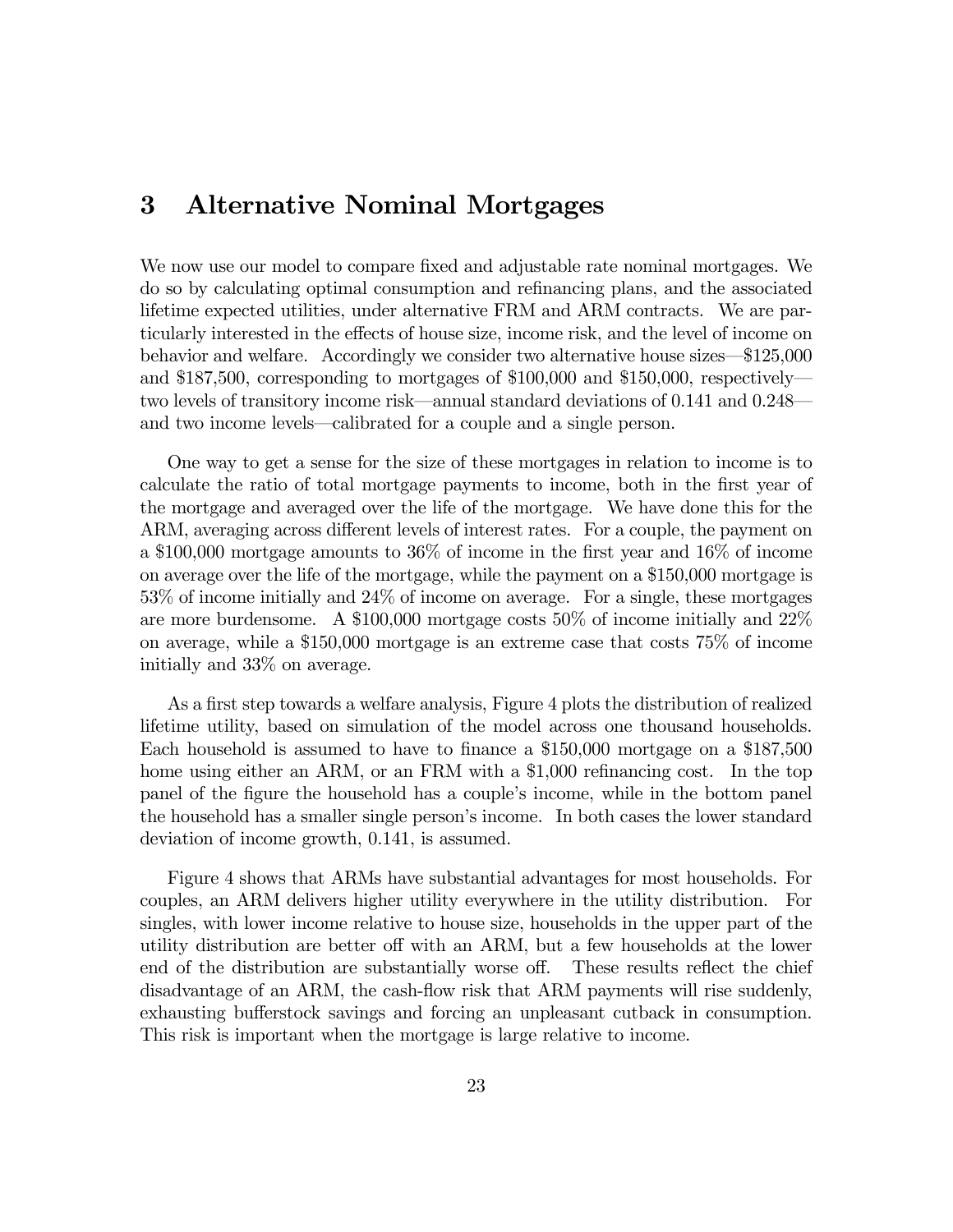# 3 Alternative Nominal Mortgages

We now use our model to compare fixed and adjustable rate nominal mortgages. We do so by calculating optimal consumption and refinancing plans, and the associated lifetime expected utilities, under alternative FRM and ARM contracts. We are particularly interested in the effects of house size, income risk, and the level of income on behavior and welfare. Accordingly we consider two alternative house sizes–\$125,000 and \$187,500, corresponding to mortgages of \$100,000 and \$150,000, respectively– two levels of transitory income risk–annual standard deviations of 0.141 and 0.248– and two income levels–calibrated for a couple and a single person.

One way to get a sense for the size of these mortgages in relation to income is to calculate the ratio of total mortgage payments to income, both in the first year of the mortgage and averaged over the life of the mortgage. We have done this for the ARM, averaging across different levels of interest rates. For a couple, the payment on a \$100,000 mortgage amounts to 36% of income in the first year and 16% of income on average over the life of the mortgage, while the payment on a \$150,000 mortgage is 53% of income initially and 24% of income on average. For a single, these mortgages are more burdensome. A \$100,000 mortgage costs 50% of income initially and 22% on average, while a \$150,000 mortgage is an extreme case that costs 75% of income initially and 33% on average.

As a first step towards a welfare analysis, Figure 4 plots the distribution of realized lifetime utility, based on simulation of the model across one thousand households. Each household is assumed to have to finance a \$150,000 mortgage on a \$187,500 home using either an ARM, or an FRM with a \$1,000 refinancing cost. In the top panel of the figure the household has a couple's income, while in the bottom panel the household has a smaller single person's income. In both cases the lower standard deviation of income growth, 0.141, is assumed.

Figure 4 shows that ARMs have substantial advantages for most households. For couples, an ARM delivers higher utility everywhere in the utility distribution. For singles, with lower income relative to house size, households in the upper part of the utility distribution are better off with an ARM, but a few households at the lower end of the distribution are substantially worse off. These results reflect the chief disadvantage of an ARM, the cash-flow risk that ARM payments will rise suddenly, exhausting bufferstock savings and forcing an unpleasant cutback in consumption. This risk is important when the mortgage is large relative to income.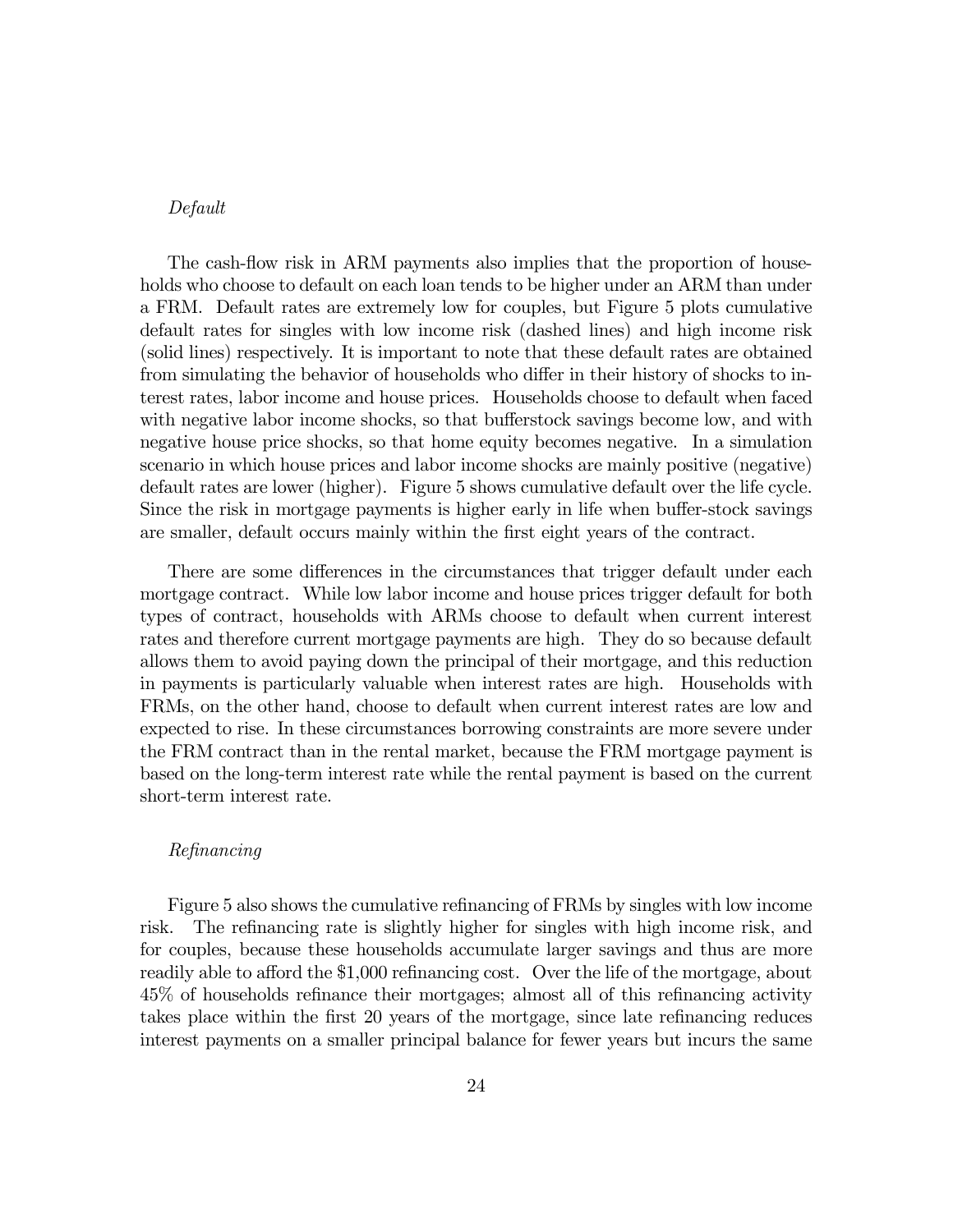### Default

The cash-flow risk in ARM payments also implies that the proportion of households who choose to default on each loan tends to be higher under an ARM than under a FRM. Default rates are extremely low for couples, but Figure 5 plots cumulative default rates for singles with low income risk (dashed lines) and high income risk (solid lines) respectively. It is important to note that these default rates are obtained from simulating the behavior of households who differ in their history of shocks to interest rates, labor income and house prices. Households choose to default when faced with negative labor income shocks, so that bufferstock savings become low, and with negative house price shocks, so that home equity becomes negative. In a simulation scenario in which house prices and labor income shocks are mainly positive (negative) default rates are lower (higher). Figure 5 shows cumulative default over the life cycle. Since the risk in mortgage payments is higher early in life when buffer-stock savings are smaller, default occurs mainly within the first eight years of the contract.

There are some differences in the circumstances that trigger default under each mortgage contract. While low labor income and house prices trigger default for both types of contract, households with ARMs choose to default when current interest rates and therefore current mortgage payments are high. They do so because default allows them to avoid paying down the principal of their mortgage, and this reduction in payments is particularly valuable when interest rates are high. Households with FRMs, on the other hand, choose to default when current interest rates are low and expected to rise. In these circumstances borrowing constraints are more severe under the FRM contract than in the rental market, because the FRM mortgage payment is based on the long-term interest rate while the rental payment is based on the current short-term interest rate.

## Refinancing

Figure 5 also shows the cumulative refinancing of FRMs by singles with low income risk. The refinancing rate is slightly higher for singles with high income risk, and for couples, because these households accumulate larger savings and thus are more readily able to afford the \$1,000 refinancing cost. Over the life of the mortgage, about 45% of households refinance their mortgages; almost all of this refinancing activity takes place within the first 20 years of the mortgage, since late refinancing reduces interest payments on a smaller principal balance for fewer years but incurs the same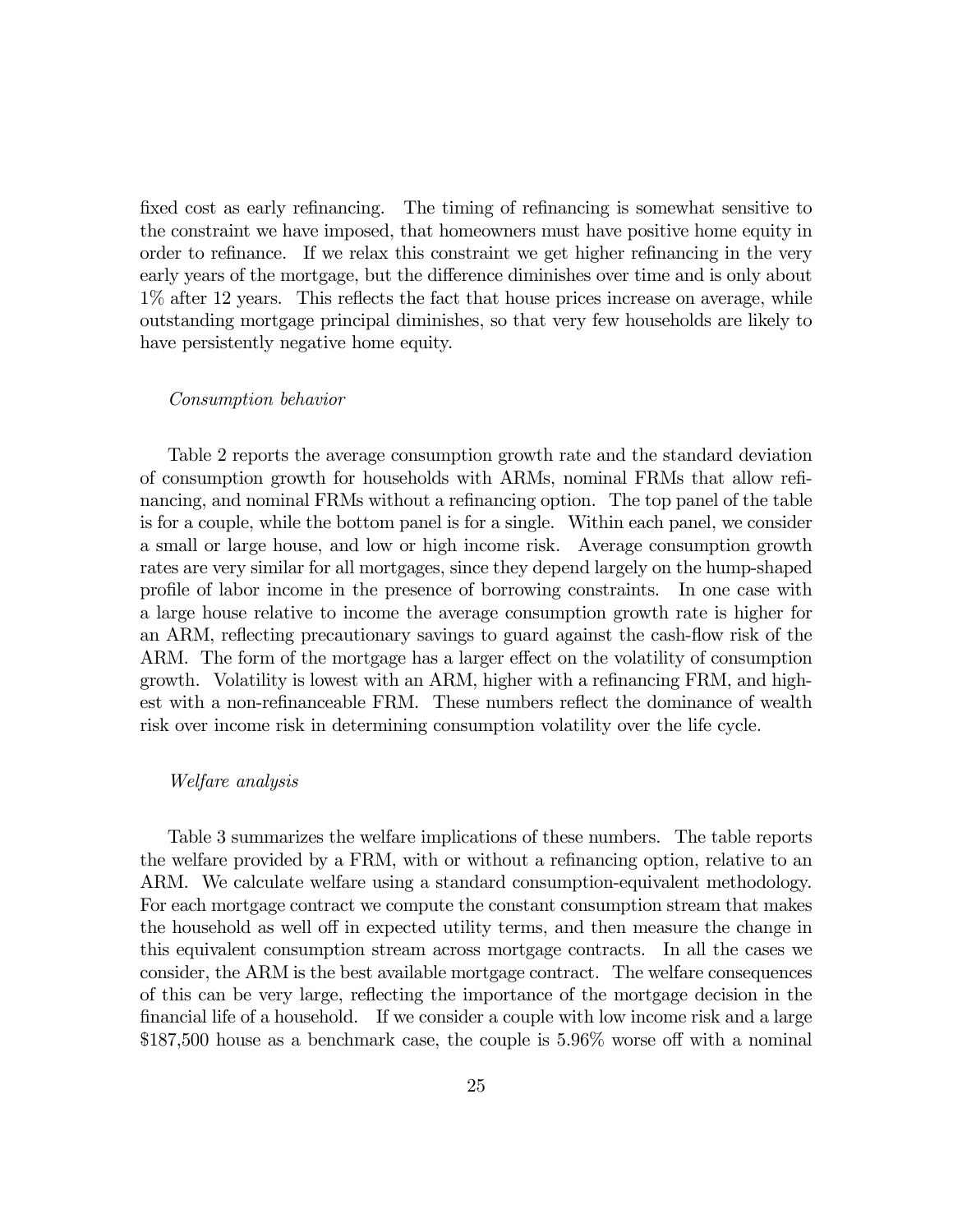fixed cost as early refinancing. The timing of refinancing is somewhat sensitive to the constraint we have imposed, that homeowners must have positive home equity in order to refinance. If we relax this constraint we get higher refinancing in the very early years of the mortgage, but the difference diminishes over time and is only about 1% after 12 years. This reflects the fact that house prices increase on average, while outstanding mortgage principal diminishes, so that very few households are likely to have persistently negative home equity.

#### Consumption behavior

Table 2 reports the average consumption growth rate and the standard deviation of consumption growth for households with ARMs, nominal FRMs that allow refinancing, and nominal FRMs without a refinancing option. The top panel of the table is for a couple, while the bottom panel is for a single. Within each panel, we consider a small or large house, and low or high income risk. Average consumption growth rates are very similar for all mortgages, since they depend largely on the hump-shaped profile of labor income in the presence of borrowing constraints. In one case with a large house relative to income the average consumption growth rate is higher for an ARM, reflecting precautionary savings to guard against the cash-flow risk of the ARM. The form of the mortgage has a larger effect on the volatility of consumption growth. Volatility is lowest with an ARM, higher with a refinancing FRM, and highest with a non-refinanceable FRM. These numbers reflect the dominance of wealth risk over income risk in determining consumption volatility over the life cycle.

#### Welfare analysis

Table 3 summarizes the welfare implications of these numbers. The table reports the welfare provided by a FRM, with or without a refinancing option, relative to an ARM. We calculate welfare using a standard consumption-equivalent methodology. For each mortgage contract we compute the constant consumption stream that makes the household as well off in expected utility terms, and then measure the change in this equivalent consumption stream across mortgage contracts. In all the cases we consider, the ARM is the best available mortgage contract. The welfare consequences of this can be very large, reflecting the importance of the mortgage decision in the financial life of a household. If we consider a couple with low income risk and a large \$187,500 house as a benchmark case, the couple is 5.96% worse off with a nominal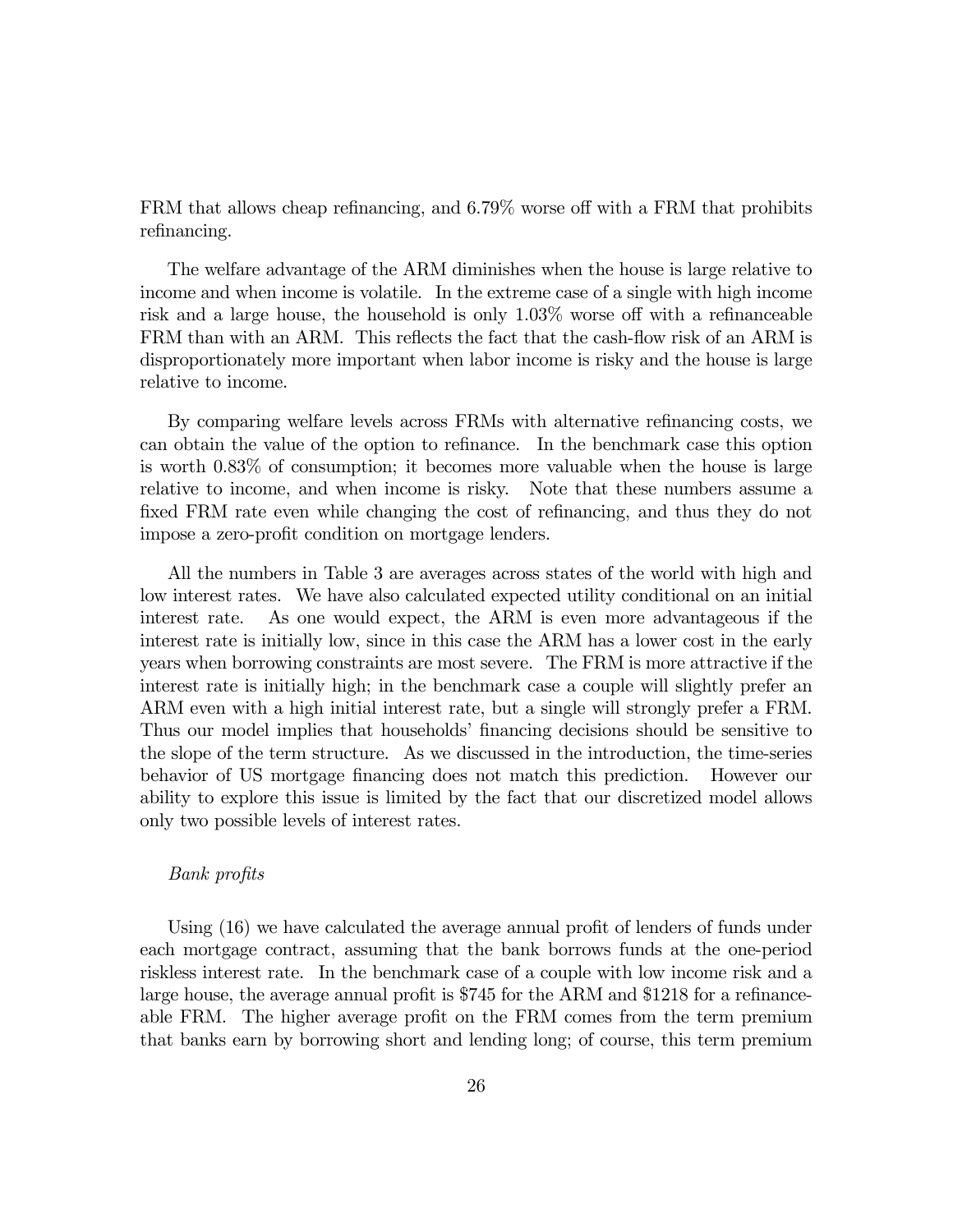FRM that allows cheap refinancing, and 6.79% worse off with a FRM that prohibits refinancing.

The welfare advantage of the ARM diminishes when the house is large relative to income and when income is volatile. In the extreme case of a single with high income risk and a large house, the household is only 1.03% worse off with a refinanceable FRM than with an ARM. This reflects the fact that the cash-flow risk of an ARM is disproportionately more important when labor income is risky and the house is large relative to income.

By comparing welfare levels across FRMs with alternative refinancing costs, we can obtain the value of the option to refinance. In the benchmark case this option is worth 0.83% of consumption; it becomes more valuable when the house is large relative to income, and when income is risky. Note that these numbers assume a fixed FRM rate even while changing the cost of refinancing, and thus they do not impose a zero-profit condition on mortgage lenders.

All the numbers in Table 3 are averages across states of the world with high and low interest rates. We have also calculated expected utility conditional on an initial interest rate. As one would expect, the ARM is even more advantageous if the interest rate is initially low, since in this case the ARM has a lower cost in the early years when borrowing constraints are most severe. The FRM is more attractive if the interest rate is initially high; in the benchmark case a couple will slightly prefer an ARM even with a high initial interest rate, but a single will strongly prefer a FRM. Thus our model implies that households' financing decisions should be sensitive to the slope of the term structure. As we discussed in the introduction, the time-series behavior of US mortgage financing does not match this prediction. However our ability to explore this issue is limited by the fact that our discretized model allows only two possible levels of interest rates.

## Bank profits

Using (16) we have calculated the average annual profit of lenders of funds under each mortgage contract, assuming that the bank borrows funds at the one-period riskless interest rate. In the benchmark case of a couple with low income risk and a large house, the average annual profit is \$745 for the ARM and \$1218 for a refinanceable FRM. The higher average profit on the FRM comes from the term premium that banks earn by borrowing short and lending long; of course, this term premium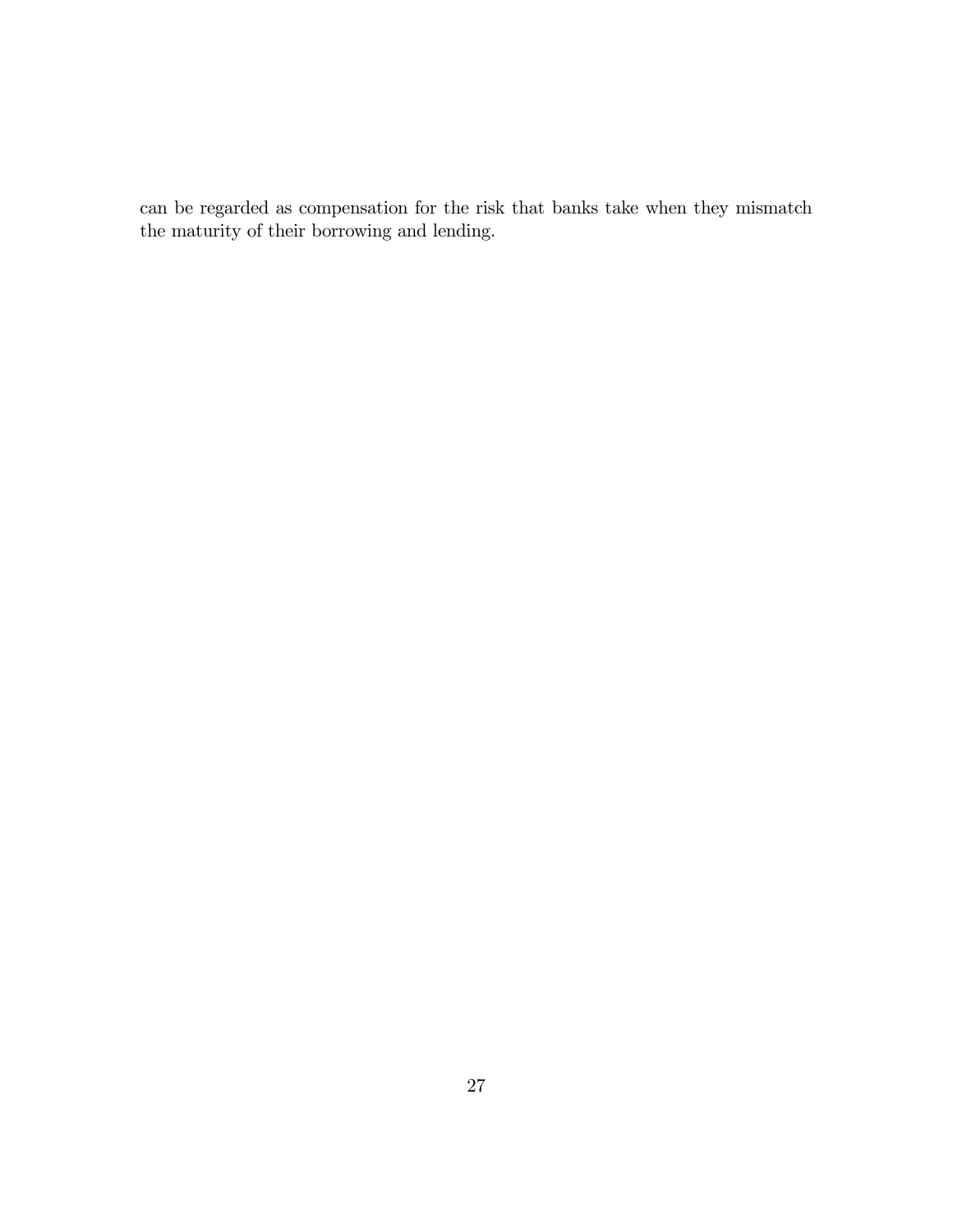can be regarded as compensation for the risk that banks take when they mismatch the maturity of their borrowing and lending.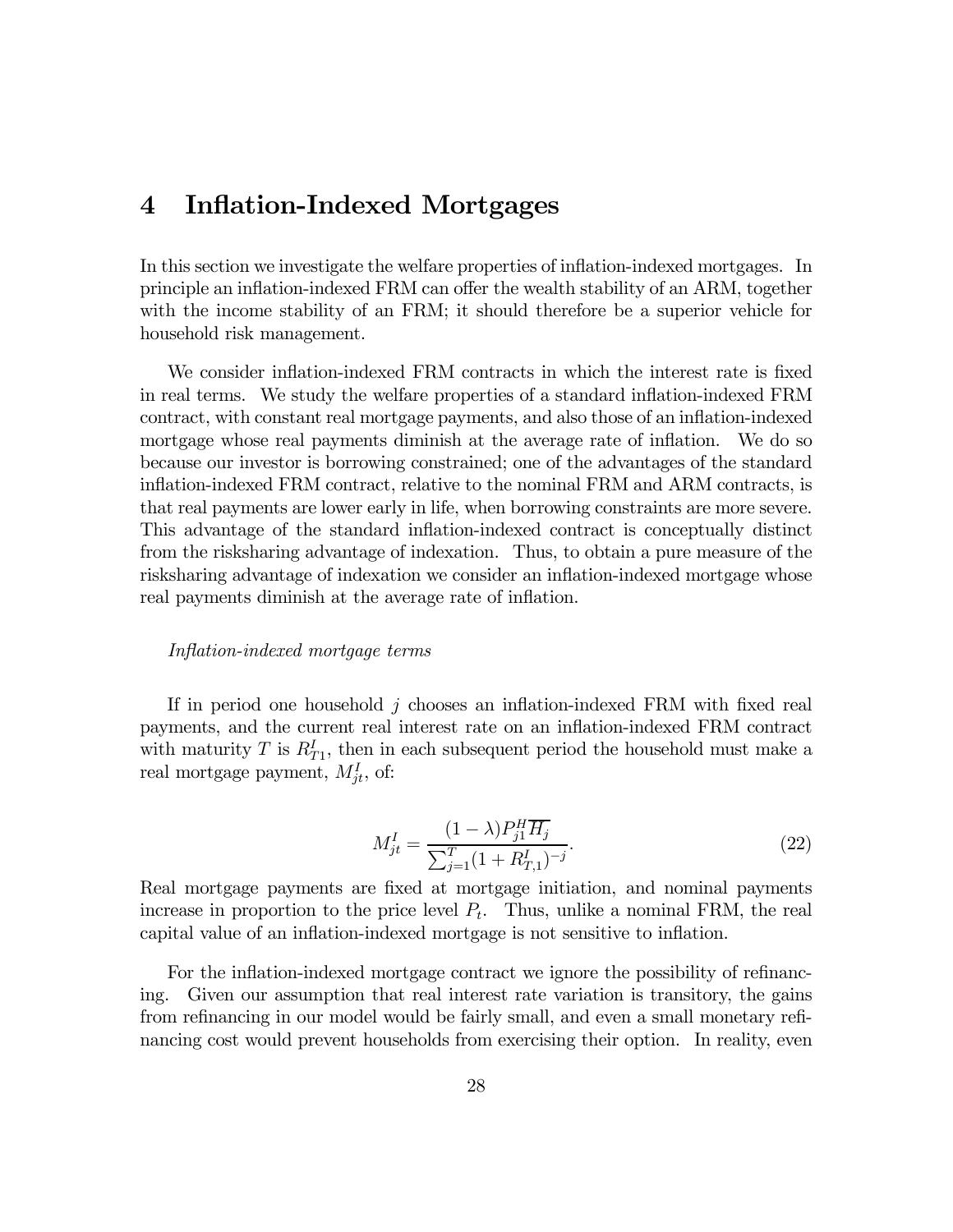# 4 Inflation-Indexed Mortgages

In this section we investigate the welfare properties of inflation-indexed mortgages. In principle an inflation-indexed FRM can offer the wealth stability of an ARM, together with the income stability of an FRM; it should therefore be a superior vehicle for household risk management.

We consider inflation-indexed FRM contracts in which the interest rate is fixed in real terms. We study the welfare properties of a standard inflation-indexed FRM contract, with constant real mortgage payments, and also those of an inflation-indexed mortgage whose real payments diminish at the average rate of inflation. We do so because our investor is borrowing constrained; one of the advantages of the standard inflation-indexed FRM contract, relative to the nominal FRM and ARM contracts, is that real payments are lower early in life, when borrowing constraints are more severe. This advantage of the standard inflation-indexed contract is conceptually distinct from the risksharing advantage of indexation. Thus, to obtain a pure measure of the risksharing advantage of indexation we consider an inflation-indexed mortgage whose real payments diminish at the average rate of inflation.

#### Inflation-indexed mortgage terms

If in period one household  $\dot{\jmath}$  chooses an inflation-indexed FRM with fixed real payments, and the current real interest rate on an inflation-indexed FRM contract with maturity T is  $R_{T_1}^I$ , then in each subsequent period the household must make a real mortgage payment,  $M_{jt}^I$ , of:

$$
M_{jt}^I = \frac{(1 - \lambda)P_{j1}^H \overline{H_j}}{\sum_{j=1}^T (1 + R_{T,1}^I)^{-j}}.
$$
\n(22)

Real mortgage payments are fixed at mortgage initiation, and nominal payments increase in proportion to the price level  $P_t$ . Thus, unlike a nominal FRM, the real capital value of an inflation-indexed mortgage is not sensitive to inflation.

For the inflation-indexed mortgage contract we ignore the possibility of refinancing. Given our assumption that real interest rate variation is transitory, the gains from refinancing in our model would be fairly small, and even a small monetary refinancing cost would prevent households from exercising their option. In reality, even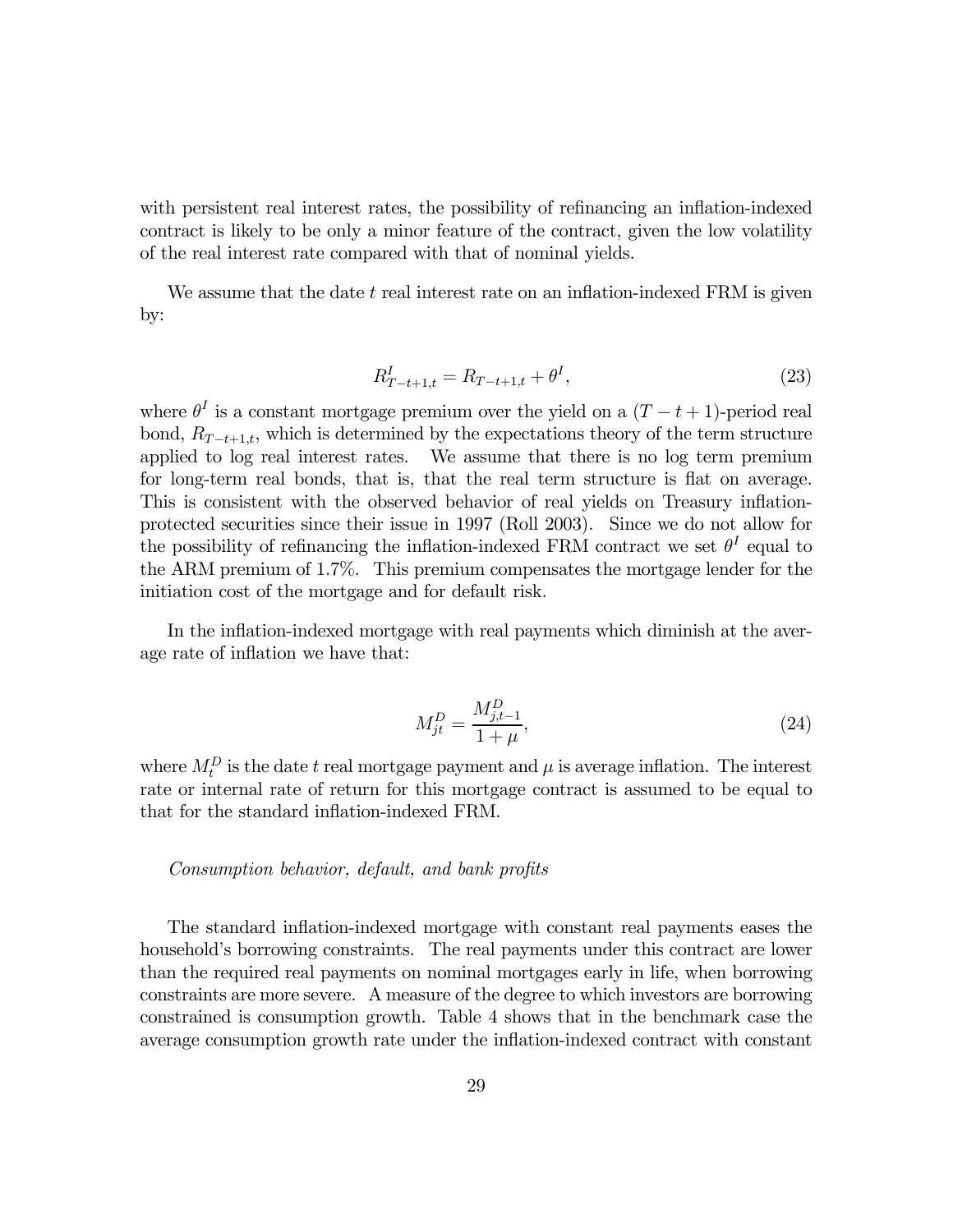with persistent real interest rates, the possibility of refinancing an inflation-indexed contract is likely to be only a minor feature of the contract, given the low volatility of the real interest rate compared with that of nominal yields.

We assume that the date  $t$  real interest rate on an inflation-indexed FRM is given by:

$$
R_{T-t+1,t}^I = R_{T-t+1,t} + \theta^I,\tag{23}
$$

where  $\theta^I$  is a constant mortgage premium over the yield on a  $(T - t + 1)$ -period real bond,  $R_{T-t+1,t}$ , which is determined by the expectations theory of the term structure applied to log real interest rates. We assume that there is no log term premium for long-term real bonds, that is, that the real term structure is flat on average. This is consistent with the observed behavior of real yields on Treasury inflationprotected securities since their issue in 1997 (Roll 2003). Since we do not allow for the possibility of refinancing the inflation-indexed FRM contract we set  $\theta^I$  equal to the ARM premium of 1.7%. This premium compensates the mortgage lender for the initiation cost of the mortgage and for default risk.

In the inflation-indexed mortgage with real payments which diminish at the average rate of inflation we have that:

$$
M_{jt}^D = \frac{M_{j,t-1}^D}{1+\mu},\tag{24}
$$

where  $M_t^D$  is the date t real mortgage payment and  $\mu$  is average inflation. The interest rate or internal rate of return for this mortgage contract is assumed to be equal to that for the standard inflation-indexed FRM.

## Consumption behavior, default, and bank profits

The standard inflation-indexed mortgage with constant real payments eases the household's borrowing constraints. The real payments under this contract are lower than the required real payments on nominal mortgages early in life, when borrowing constraints are more severe. A measure of the degree to which investors are borrowing constrained is consumption growth. Table 4 shows that in the benchmark case the average consumption growth rate under the inflation-indexed contract with constant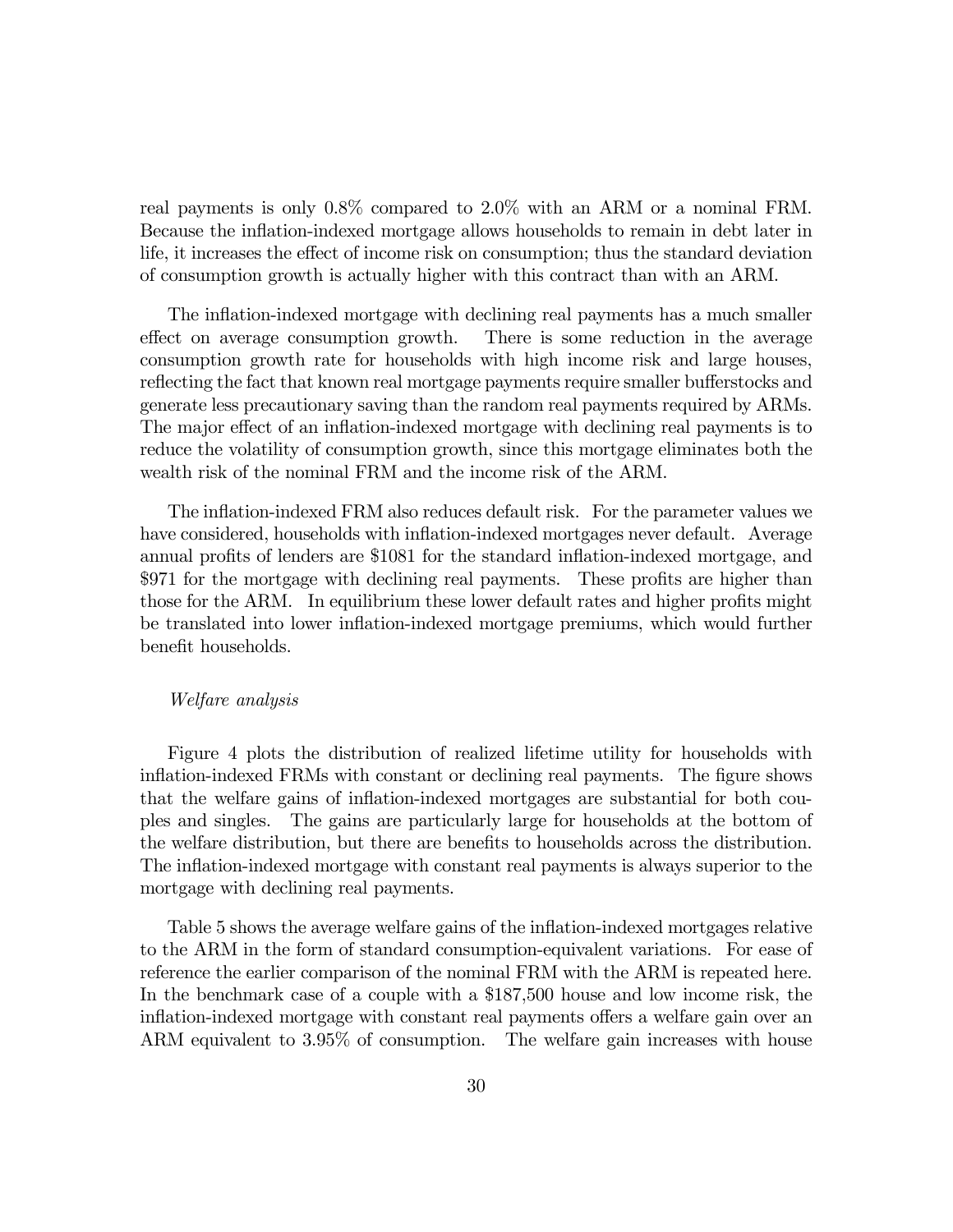real payments is only 0.8% compared to 2.0% with an ARM or a nominal FRM. Because the inflation-indexed mortgage allows households to remain in debt later in life, it increases the effect of income risk on consumption; thus the standard deviation of consumption growth is actually higher with this contract than with an ARM.

The inflation-indexed mortgage with declining real payments has a much smaller effect on average consumption growth. There is some reduction in the average consumption growth rate for households with high income risk and large houses, reflecting the fact that known real mortgage payments require smaller bufferstocks and generate less precautionary saving than the random real payments required by ARMs. The major effect of an inflation-indexed mortgage with declining real payments is to reduce the volatility of consumption growth, since this mortgage eliminates both the wealth risk of the nominal FRM and the income risk of the ARM.

The inflation-indexed FRM also reduces default risk. For the parameter values we have considered, households with inflation-indexed mortgages never default. Average annual profits of lenders are \$1081 for the standard inflation-indexed mortgage, and \$971 for the mortgage with declining real payments. These profits are higher than those for the ARM. In equilibrium these lower default rates and higher profits might be translated into lower inflation-indexed mortgage premiums, which would further benefit households.

### Welfare analysis

Figure 4 plots the distribution of realized lifetime utility for households with inflation-indexed FRMs with constant or declining real payments. The figure shows that the welfare gains of inflation-indexed mortgages are substantial for both couples and singles. The gains are particularly large for households at the bottom of the welfare distribution, but there are benefits to households across the distribution. The inflation-indexed mortgage with constant real payments is always superior to the mortgage with declining real payments.

Table 5 shows the average welfare gains of the inflation-indexed mortgages relative to the ARM in the form of standard consumption-equivalent variations. For ease of reference the earlier comparison of the nominal FRM with the ARM is repeated here. In the benchmark case of a couple with a \$187,500 house and low income risk, the inflation-indexed mortgage with constant real payments offers a welfare gain over an ARM equivalent to 3.95% of consumption. The welfare gain increases with house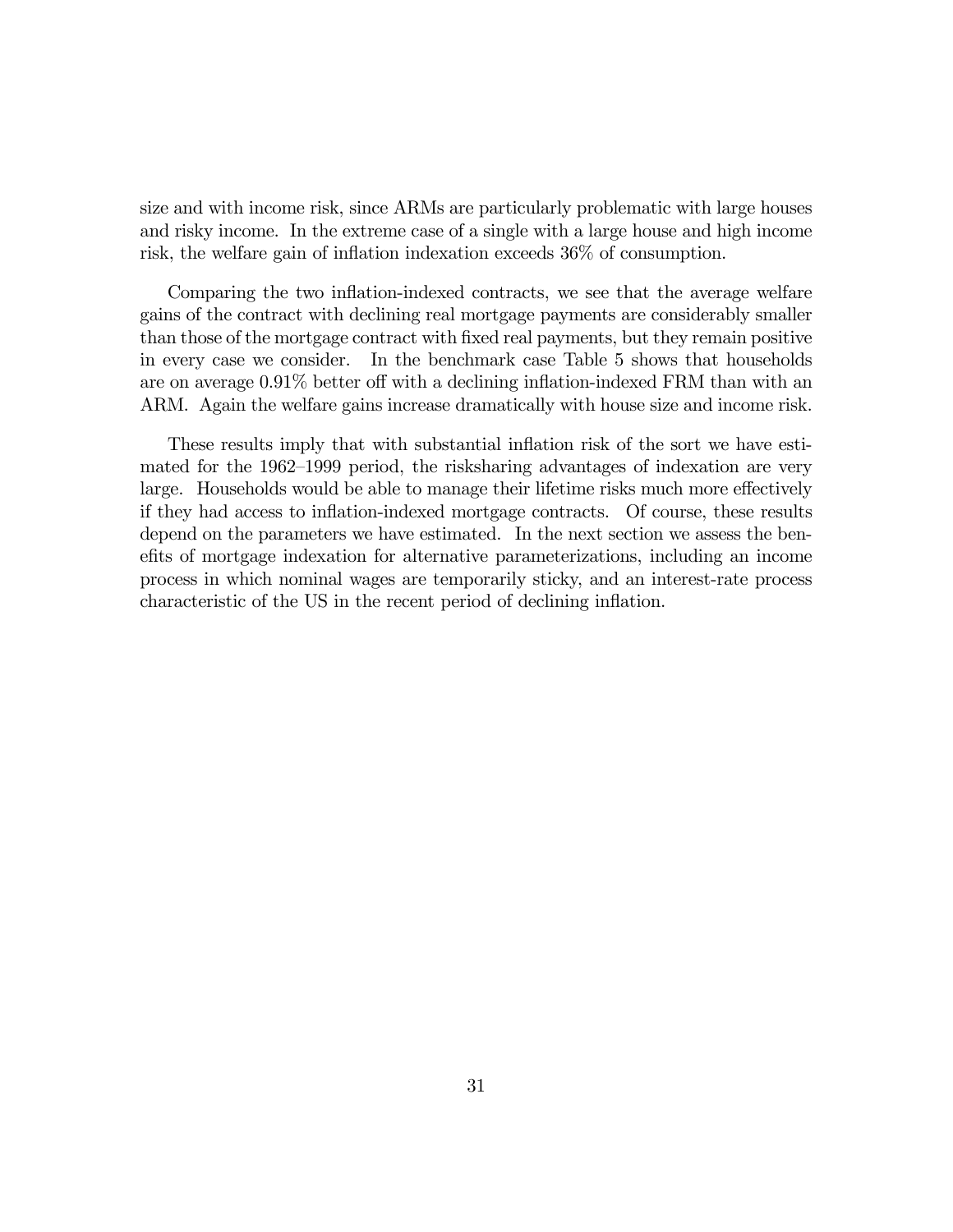size and with income risk, since ARMs are particularly problematic with large houses and risky income. In the extreme case of a single with a large house and high income risk, the welfare gain of inflation indexation exceeds 36% of consumption.

Comparing the two inflation-indexed contracts, we see that the average welfare gains of the contract with declining real mortgage payments are considerably smaller than those of the mortgage contract with fixed real payments, but they remain positive in every case we consider. In the benchmark case Table 5 shows that households are on average 0.91% better off with a declining inflation-indexed FRM than with an ARM. Again the welfare gains increase dramatically with house size and income risk.

These results imply that with substantial inflation risk of the sort we have estimated for the 1962—1999 period, the risksharing advantages of indexation are very large. Households would be able to manage their lifetime risks much more effectively if they had access to inflation-indexed mortgage contracts. Of course, these results depend on the parameters we have estimated. In the next section we assess the benefits of mortgage indexation for alternative parameterizations, including an income process in which nominal wages are temporarily sticky, and an interest-rate process characteristic of the US in the recent period of declining inflation.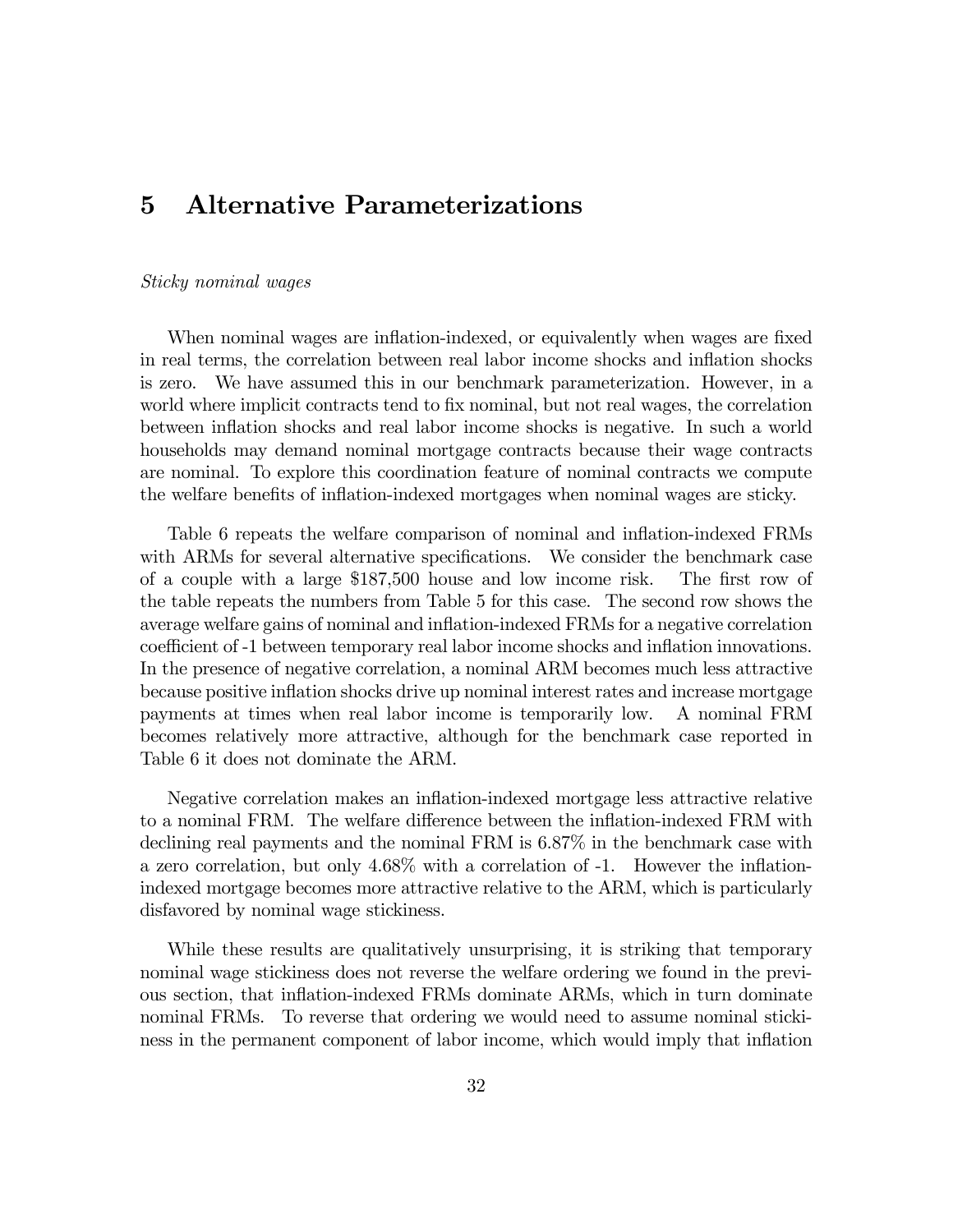# 5 Alternative Parameterizations

### Sticky nominal wages

When nominal wages are inflation-indexed, or equivalently when wages are fixed in real terms, the correlation between real labor income shocks and inflation shocks is zero. We have assumed this in our benchmark parameterization. However, in a world where implicit contracts tend to fix nominal, but not real wages, the correlation between inflation shocks and real labor income shocks is negative. In such a world households may demand nominal mortgage contracts because their wage contracts are nominal. To explore this coordination feature of nominal contracts we compute the welfare benefits of inflation-indexed mortgages when nominal wages are sticky.

Table 6 repeats the welfare comparison of nominal and inflation-indexed FRMs with ARMs for several alternative specifications. We consider the benchmark case of a couple with a large \$187,500 house and low income risk. The first row of the table repeats the numbers from Table 5 for this case. The second row shows the average welfare gains of nominal and inflation-indexed FRMs for a negative correlation coefficient of -1 between temporary real labor income shocks and inflation innovations. In the presence of negative correlation, a nominal ARM becomes much less attractive because positive inflation shocks drive up nominal interest rates and increase mortgage payments at times when real labor income is temporarily low. A nominal FRM becomes relatively more attractive, although for the benchmark case reported in Table 6 it does not dominate the ARM.

Negative correlation makes an inflation-indexed mortgage less attractive relative to a nominal FRM. The welfare difference between the inflation-indexed FRM with declining real payments and the nominal FRM is 6.87% in the benchmark case with a zero correlation, but only 4.68% with a correlation of -1. However the inflationindexed mortgage becomes more attractive relative to the ARM, which is particularly disfavored by nominal wage stickiness.

While these results are qualitatively unsurprising, it is striking that temporary nominal wage stickiness does not reverse the welfare ordering we found in the previous section, that inflation-indexed FRMs dominate ARMs, which in turn dominate nominal FRMs. To reverse that ordering we would need to assume nominal stickiness in the permanent component of labor income, which would imply that inflation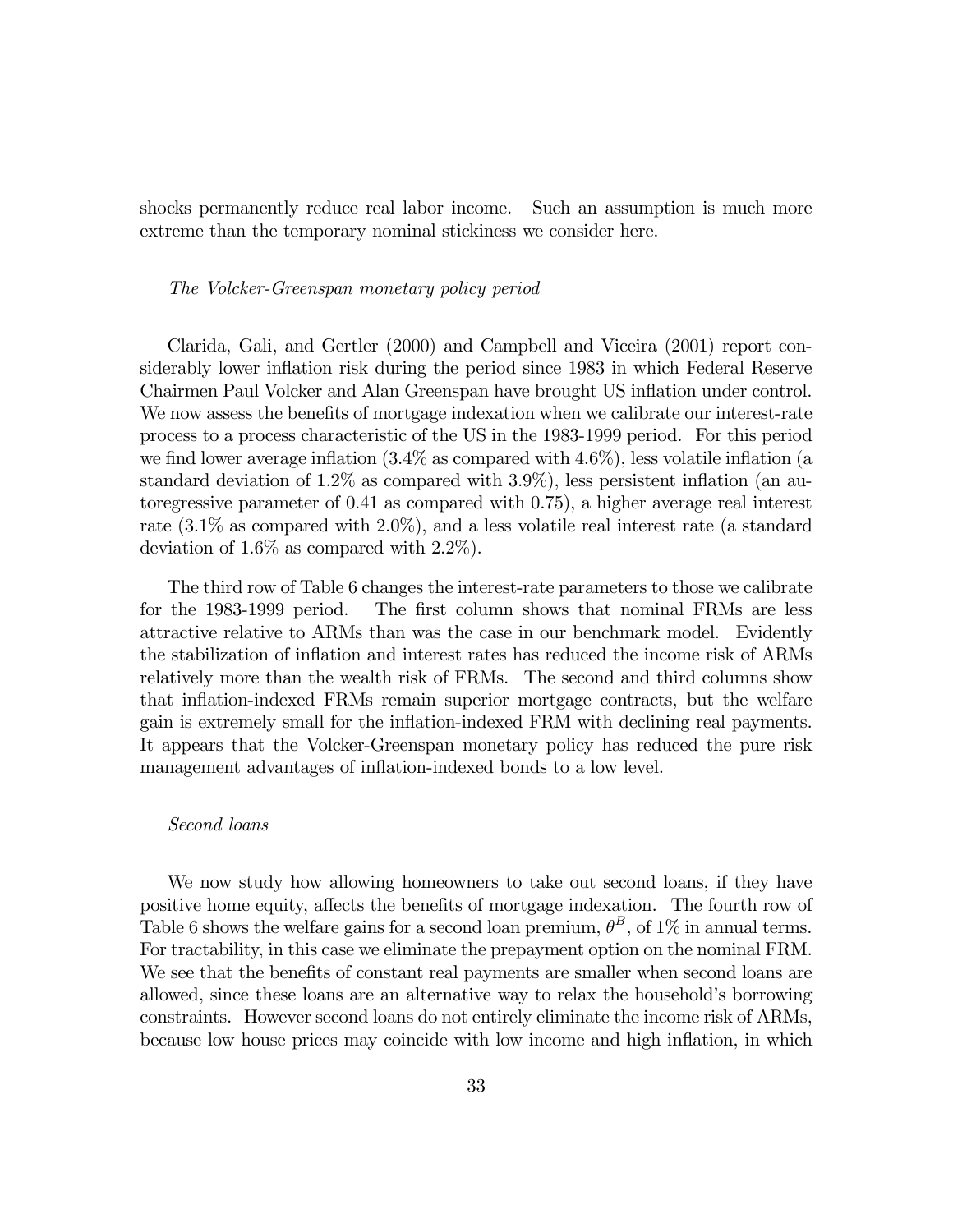shocks permanently reduce real labor income. Such an assumption is much more extreme than the temporary nominal stickiness we consider here.

### The Volcker-Greenspan monetary policy period

Clarida, Gali, and Gertler (2000) and Campbell and Viceira (2001) report considerably lower inflation risk during the period since 1983 in which Federal Reserve Chairmen Paul Volcker and Alan Greenspan have brought US inflation under control. We now assess the benefits of mortgage indexation when we calibrate our interest-rate process to a process characteristic of the US in the 1983-1999 period. For this period we find lower average inflation (3.4% as compared with 4.6%), less volatile inflation (a standard deviation of 1.2% as compared with 3.9%), less persistent inflation (an autoregressive parameter of 0.41 as compared with 0.75), a higher average real interest rate (3.1% as compared with 2.0%), and a less volatile real interest rate (a standard deviation of 1.6% as compared with 2.2%).

The third row of Table 6 changes the interest-rate parameters to those we calibrate for the 1983-1999 period. The first column shows that nominal FRMs are less attractive relative to ARMs than was the case in our benchmark model. Evidently the stabilization of inflation and interest rates has reduced the income risk of ARMs relatively more than the wealth risk of FRMs. The second and third columns show that inflation-indexed FRMs remain superior mortgage contracts, but the welfare gain is extremely small for the inflation-indexed FRM with declining real payments. It appears that the Volcker-Greenspan monetary policy has reduced the pure risk management advantages of inflation-indexed bonds to a low level.

### Second loans

We now study how allowing homeowners to take out second loans, if they have positive home equity, affects the benefits of mortgage indexation. The fourth row of Table 6 shows the welfare gains for a second loan premium,  $\theta^B$ , of 1% in annual terms. For tractability, in this case we eliminate the prepayment option on the nominal FRM. We see that the benefits of constant real payments are smaller when second loans are allowed, since these loans are an alternative way to relax the household's borrowing constraints. However second loans do not entirely eliminate the income risk of ARMs, because low house prices may coincide with low income and high inflation, in which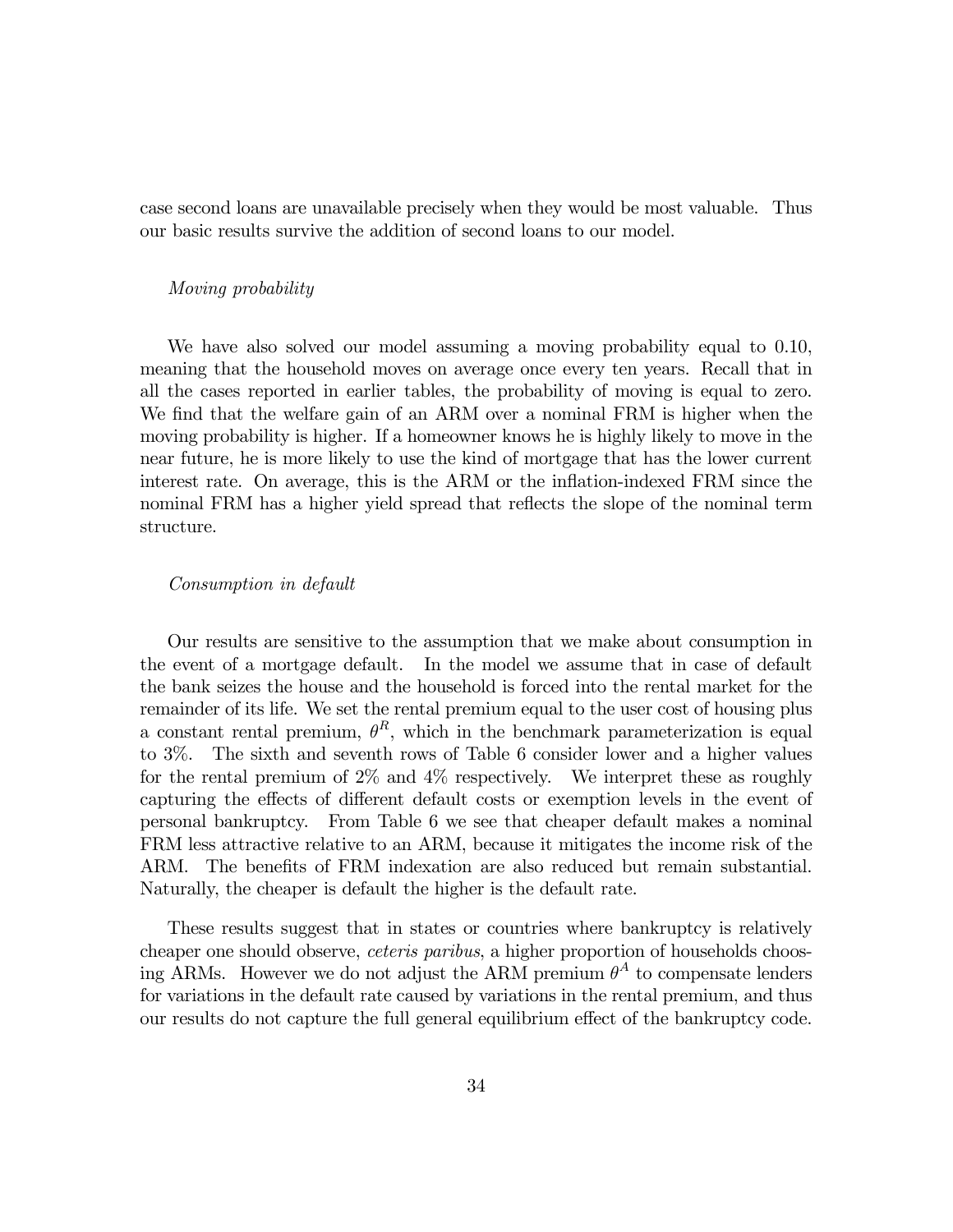case second loans are unavailable precisely when they would be most valuable. Thus our basic results survive the addition of second loans to our model.

### Moving probability

We have also solved our model assuming a moving probability equal to 0.10, meaning that the household moves on average once every ten years. Recall that in all the cases reported in earlier tables, the probability of moving is equal to zero. We find that the welfare gain of an ARM over a nominal FRM is higher when the moving probability is higher. If a homeowner knows he is highly likely to move in the near future, he is more likely to use the kind of mortgage that has the lower current interest rate. On average, this is the ARM or the inflation-indexed FRM since the nominal FRM has a higher yield spread that reflects the slope of the nominal term structure.

#### Consumption in default

Our results are sensitive to the assumption that we make about consumption in the event of a mortgage default. In the model we assume that in case of default the bank seizes the house and the household is forced into the rental market for the remainder of its life. We set the rental premium equal to the user cost of housing plus a constant rental premium,  $\theta^R$ , which in the benchmark parameterization is equal to 3%. The sixth and seventh rows of Table 6 consider lower and a higher values for the rental premium of 2% and 4% respectively. We interpret these as roughly capturing the effects of different default costs or exemption levels in the event of personal bankruptcy. From Table 6 we see that cheaper default makes a nominal FRM less attractive relative to an ARM, because it mitigates the income risk of the ARM. The benefits of FRM indexation are also reduced but remain substantial. Naturally, the cheaper is default the higher is the default rate.

These results suggest that in states or countries where bankruptcy is relatively cheaper one should observe, ceteris paribus, a higher proportion of households choosing ARMs. However we do not adjust the ARM premium  $\theta^A$  to compensate lenders for variations in the default rate caused by variations in the rental premium, and thus our results do not capture the full general equilibrium effect of the bankruptcy code.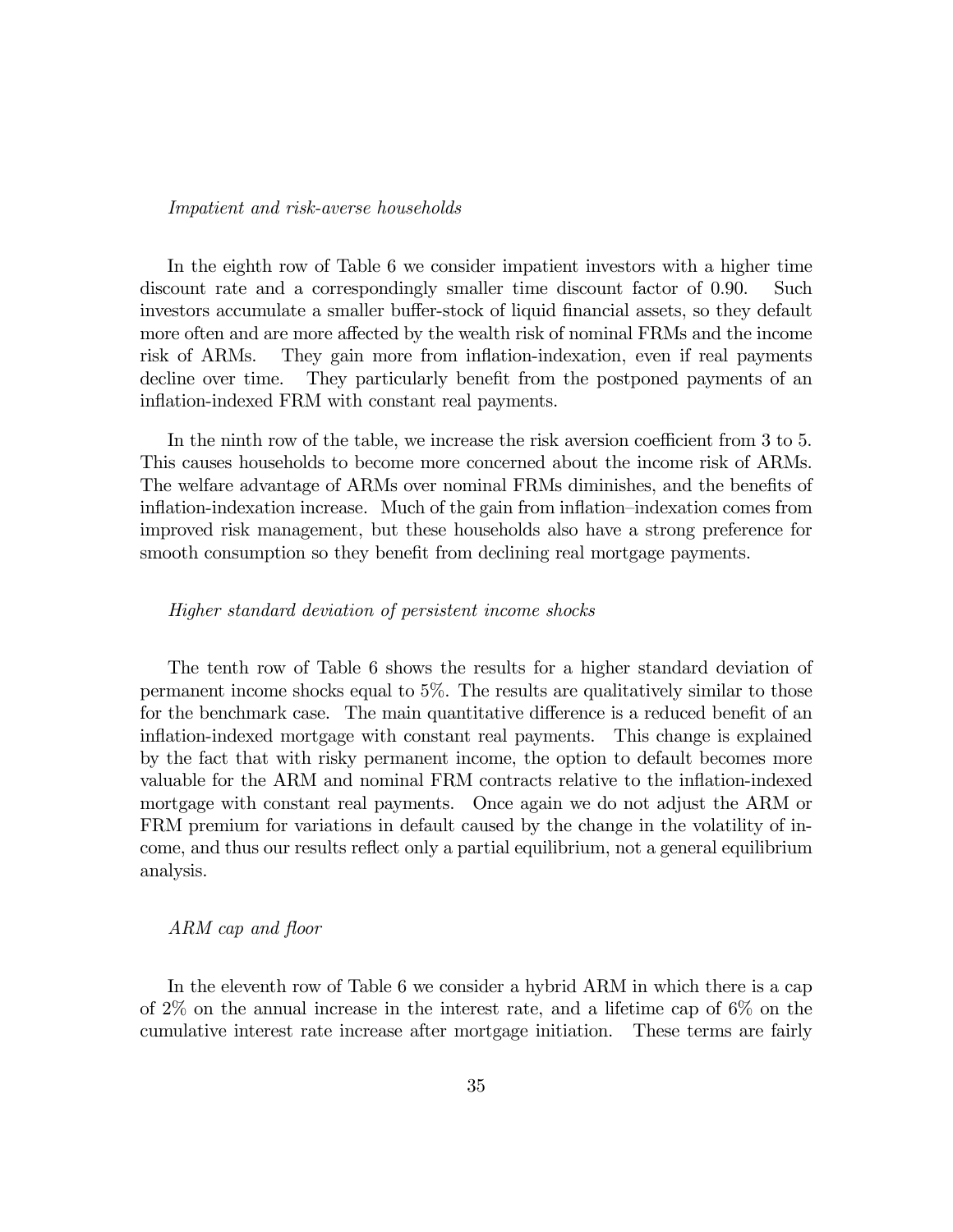#### Impatient and risk-averse households

In the eighth row of Table 6 we consider impatient investors with a higher time discount rate and a correspondingly smaller time discount factor of 0.90. Such investors accumulate a smaller buffer-stock of liquid financial assets, so they default more often and are more affected by the wealth risk of nominal FRMs and the income risk of ARMs. They gain more from inflation-indexation, even if real payments decline over time. They particularly benefit from the postponed payments of an inflation-indexed FRM with constant real payments.

In the ninth row of the table, we increase the risk aversion coefficient from 3 to 5. This causes households to become more concerned about the income risk of ARMs. The welfare advantage of ARMs over nominal FRMs diminishes, and the benefits of inflation-indexation increase. Much of the gain from inflation—indexation comes from improved risk management, but these households also have a strong preference for smooth consumption so they benefit from declining real mortgage payments.

#### Higher standard deviation of persistent income shocks

The tenth row of Table 6 shows the results for a higher standard deviation of permanent income shocks equal to 5%. The results are qualitatively similar to those for the benchmark case. The main quantitative difference is a reduced benefit of an inflation-indexed mortgage with constant real payments. This change is explained by the fact that with risky permanent income, the option to default becomes more valuable for the ARM and nominal FRM contracts relative to the inflation-indexed mortgage with constant real payments. Once again we do not adjust the ARM or FRM premium for variations in default caused by the change in the volatility of income, and thus our results reflect only a partial equilibrium, not a general equilibrium analysis.

#### ARM cap and floor

In the eleventh row of Table 6 we consider a hybrid ARM in which there is a cap of 2% on the annual increase in the interest rate, and a lifetime cap of 6% on the cumulative interest rate increase after mortgage initiation. These terms are fairly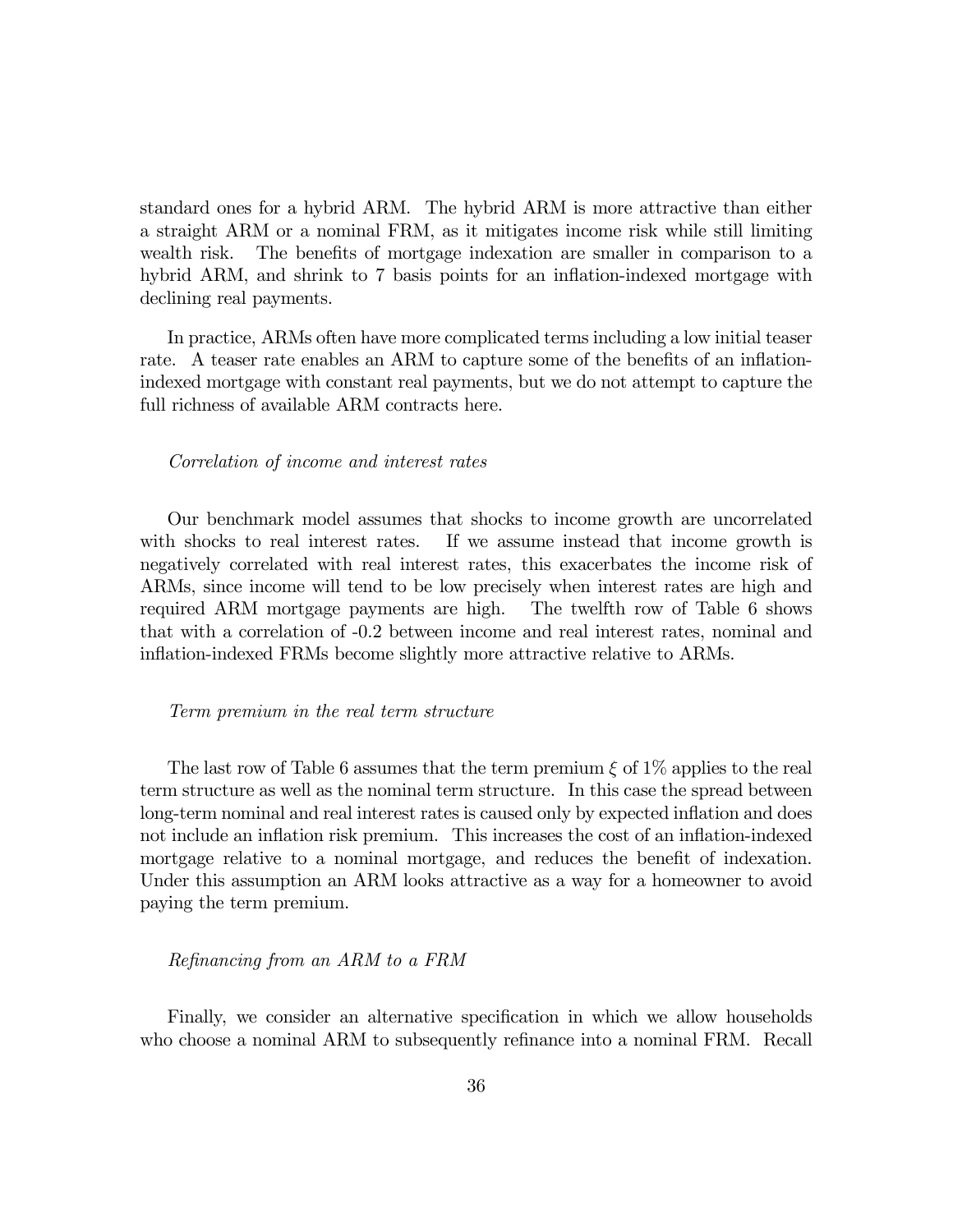standard ones for a hybrid ARM. The hybrid ARM is more attractive than either a straight ARM or a nominal FRM, as it mitigates income risk while still limiting wealth risk. The benefits of mortgage indexation are smaller in comparison to a hybrid ARM, and shrink to 7 basis points for an inflation-indexed mortgage with declining real payments.

In practice, ARMs often have more complicated terms including a low initial teaser rate. A teaser rate enables an ARM to capture some of the benefits of an inflationindexed mortgage with constant real payments, but we do not attempt to capture the full richness of available ARM contracts here.

#### Correlation of income and interest rates

Our benchmark model assumes that shocks to income growth are uncorrelated with shocks to real interest rates. If we assume instead that income growth is negatively correlated with real interest rates, this exacerbates the income risk of ARMs, since income will tend to be low precisely when interest rates are high and required ARM mortgage payments are high. The twelfth row of Table 6 shows that with a correlation of -0.2 between income and real interest rates, nominal and inflation-indexed FRMs become slightly more attractive relative to ARMs.

#### Term premium in the real term structure

The last row of Table 6 assumes that the term premium  $\xi$  of 1% applies to the real term structure as well as the nominal term structure. In this case the spread between long-term nominal and real interest rates is caused only by expected inflation and does not include an inflation risk premium. This increases the cost of an inflation-indexed mortgage relative to a nominal mortgage, and reduces the benefit of indexation. Under this assumption an ARM looks attractive as a way for a homeowner to avoid paying the term premium.

#### Refinancing from an ARM to a FRM

Finally, we consider an alternative specification in which we allow households who choose a nominal ARM to subsequently refinance into a nominal FRM. Recall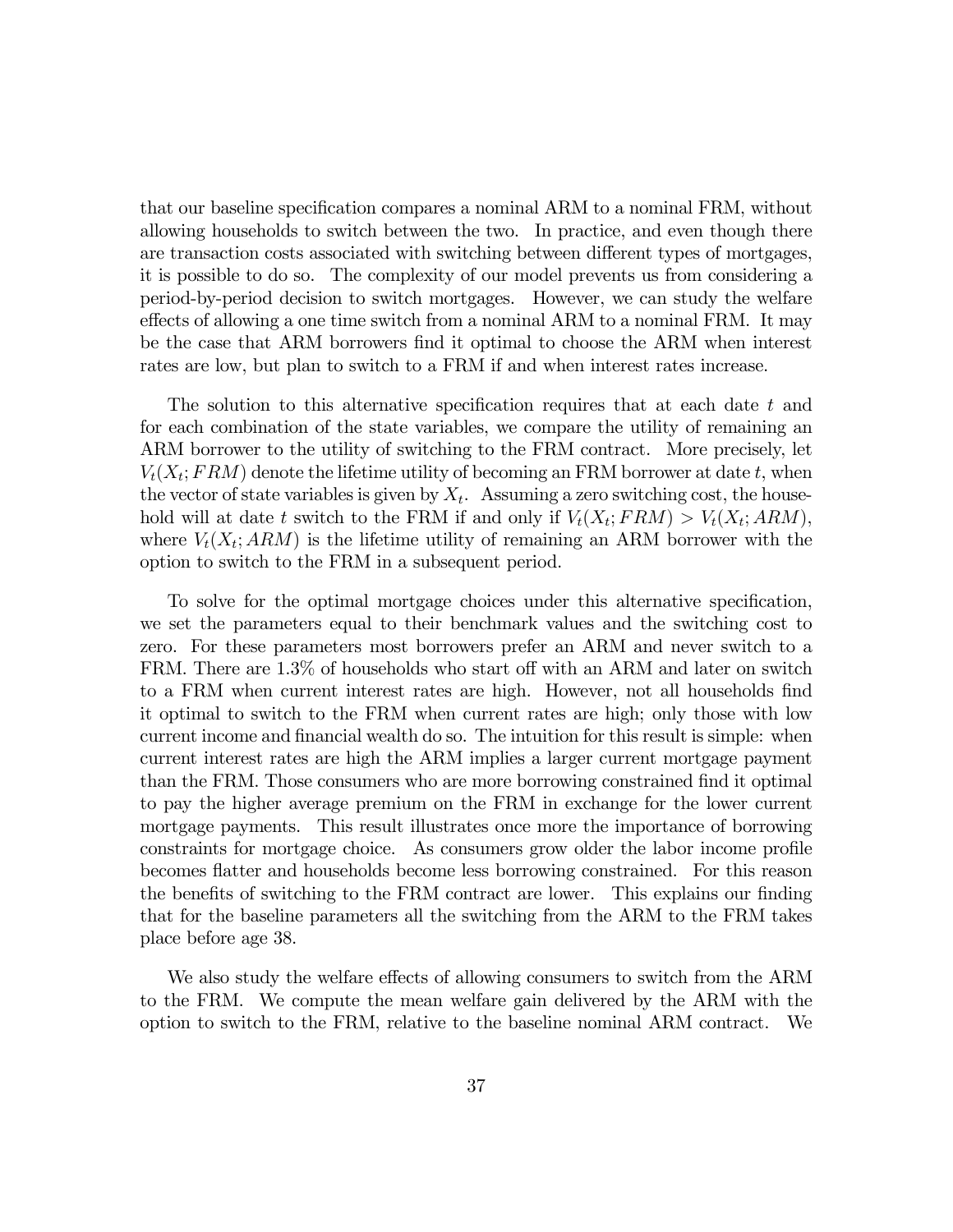that our baseline specification compares a nominal ARM to a nominal FRM, without allowing households to switch between the two. In practice, and even though there are transaction costs associated with switching between different types of mortgages, it is possible to do so. The complexity of our model prevents us from considering a period-by-period decision to switch mortgages. However, we can study the welfare effects of allowing a one time switch from a nominal ARM to a nominal FRM. It may be the case that ARM borrowers find it optimal to choose the ARM when interest rates are low, but plan to switch to a FRM if and when interest rates increase.

The solution to this alternative specification requires that at each date t and for each combination of the state variables, we compare the utility of remaining an ARM borrower to the utility of switching to the FRM contract. More precisely, let  $V_t(X_t; FRM)$  denote the lifetime utility of becoming an FRM borrower at date t, when the vector of state variables is given by  $X_t$ . Assuming a zero switching cost, the household will at date t switch to the FRM if and only if  $V_t(X_t; FRM) > V_t(X_t; ARM)$ , where  $V_t(X_t; ARM)$  is the lifetime utility of remaining an ARM borrower with the option to switch to the FRM in a subsequent period.

To solve for the optimal mortgage choices under this alternative specification, we set the parameters equal to their benchmark values and the switching cost to zero. For these parameters most borrowers prefer an ARM and never switch to a FRM. There are 1.3% of households who start off with an ARM and later on switch to a FRM when current interest rates are high. However, not all households find it optimal to switch to the FRM when current rates are high; only those with low current income and financial wealth do so. The intuition for this result is simple: when current interest rates are high the ARM implies a larger current mortgage payment than the FRM. Those consumers who are more borrowing constrained find it optimal to pay the higher average premium on the FRM in exchange for the lower current mortgage payments. This result illustrates once more the importance of borrowing constraints for mortgage choice. As consumers grow older the labor income profile becomes flatter and households become less borrowing constrained. For this reason the benefits of switching to the FRM contract are lower. This explains our finding that for the baseline parameters all the switching from the ARM to the FRM takes place before age 38.

We also study the welfare effects of allowing consumers to switch from the ARM to the FRM. We compute the mean welfare gain delivered by the ARM with the option to switch to the FRM, relative to the baseline nominal ARM contract. We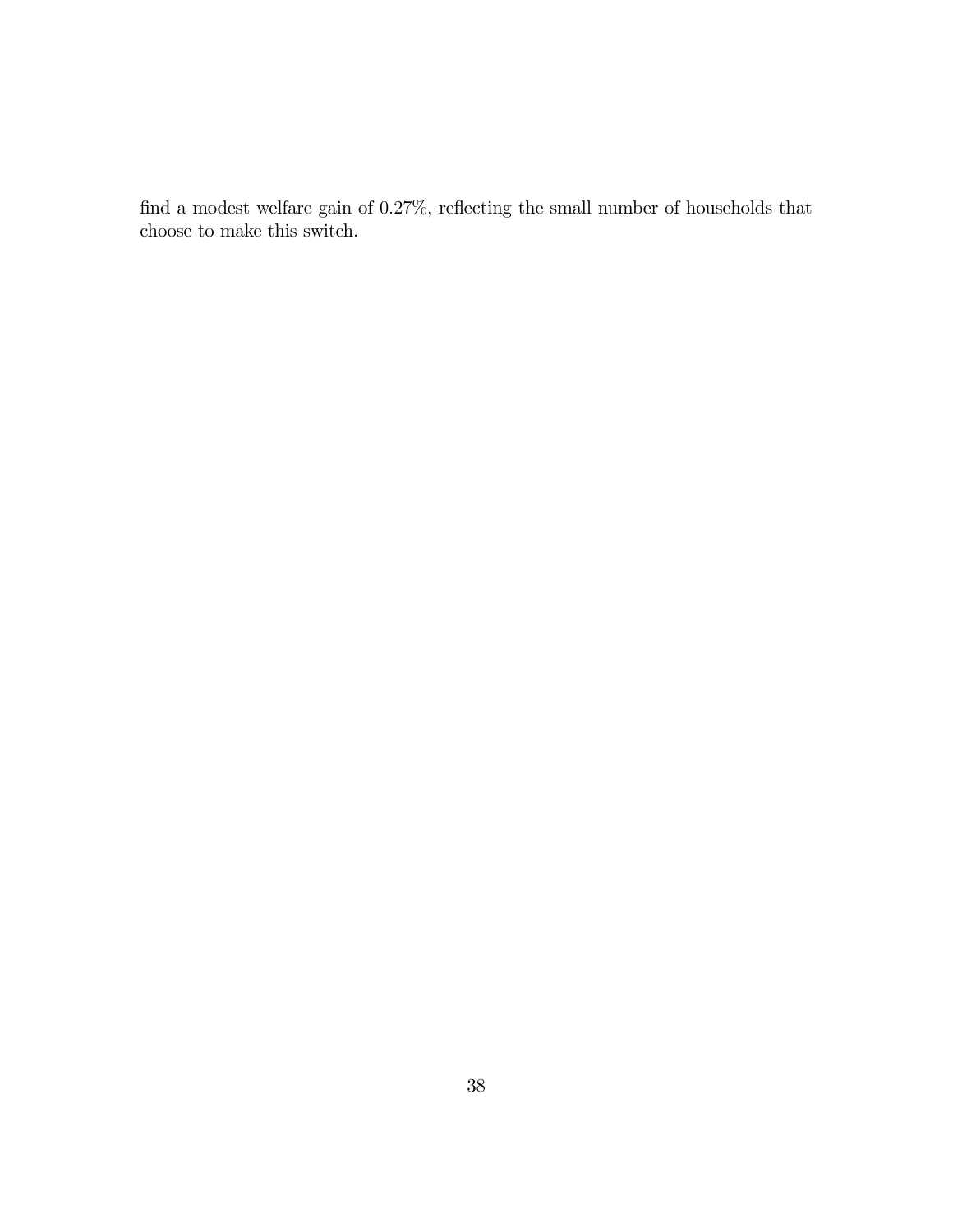find a modest welfare gain of 0.27%, reflecting the small number of households that choose to make this switch.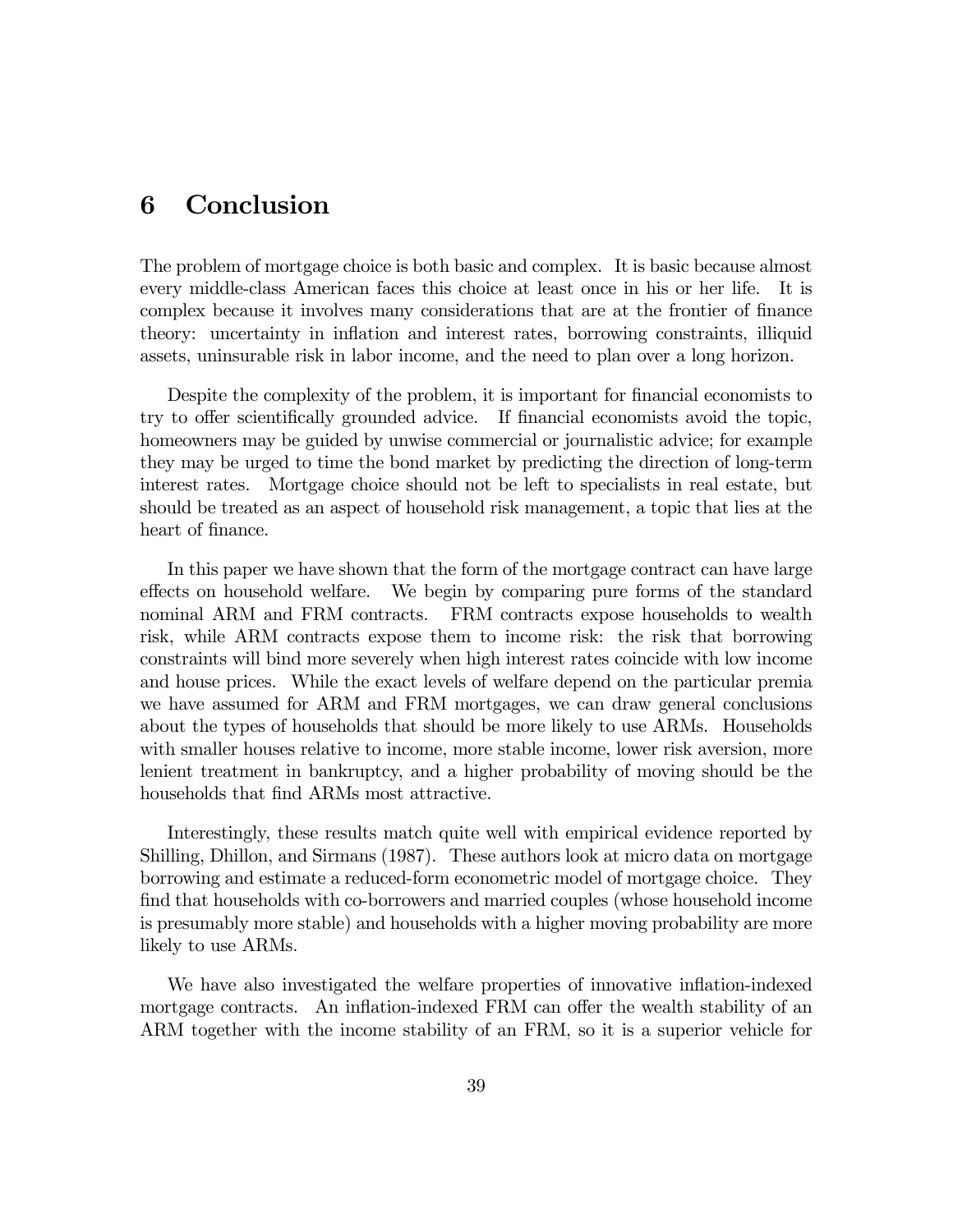# 6 Conclusion

The problem of mortgage choice is both basic and complex. It is basic because almost every middle-class American faces this choice at least once in his or her life. It is complex because it involves many considerations that are at the frontier of finance theory: uncertainty in inflation and interest rates, borrowing constraints, illiquid assets, uninsurable risk in labor income, and the need to plan over a long horizon.

Despite the complexity of the problem, it is important for financial economists to try to offer scientifically grounded advice. If financial economists avoid the topic, homeowners may be guided by unwise commercial or journalistic advice; for example they may be urged to time the bond market by predicting the direction of long-term interest rates. Mortgage choice should not be left to specialists in real estate, but should be treated as an aspect of household risk management, a topic that lies at the heart of finance.

In this paper we have shown that the form of the mortgage contract can have large effects on household welfare. We begin by comparing pure forms of the standard nominal ARM and FRM contracts. FRM contracts expose households to wealth risk, while ARM contracts expose them to income risk: the risk that borrowing constraints will bind more severely when high interest rates coincide with low income and house prices. While the exact levels of welfare depend on the particular premia we have assumed for ARM and FRM mortgages, we can draw general conclusions about the types of households that should be more likely to use ARMs. Households with smaller houses relative to income, more stable income, lower risk aversion, more lenient treatment in bankruptcy, and a higher probability of moving should be the households that find ARMs most attractive.

Interestingly, these results match quite well with empirical evidence reported by Shilling, Dhillon, and Sirmans (1987). These authors look at micro data on mortgage borrowing and estimate a reduced-form econometric model of mortgage choice. They find that households with co-borrowers and married couples (whose household income is presumably more stable) and households with a higher moving probability are more likely to use ARMs.

We have also investigated the welfare properties of innovative inflation-indexed mortgage contracts. An inflation-indexed FRM can offer the wealth stability of an ARM together with the income stability of an FRM, so it is a superior vehicle for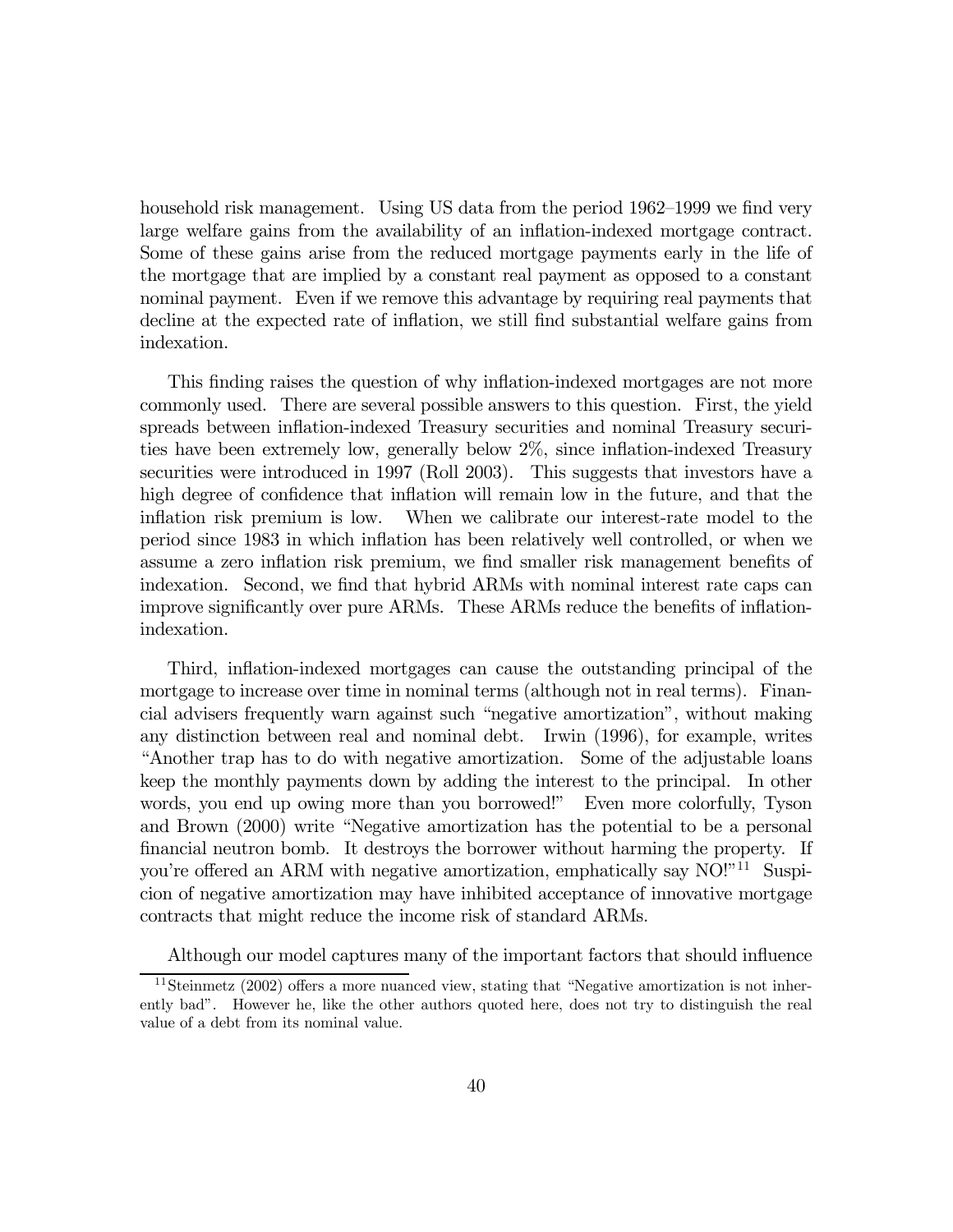household risk management. Using US data from the period 1962—1999 we find very large welfare gains from the availability of an inflation-indexed mortgage contract. Some of these gains arise from the reduced mortgage payments early in the life of the mortgage that are implied by a constant real payment as opposed to a constant nominal payment. Even if we remove this advantage by requiring real payments that decline at the expected rate of inflation, we still find substantial welfare gains from indexation.

This finding raises the question of why inflation-indexed mortgages are not more commonly used. There are several possible answers to this question. First, the yield spreads between inflation-indexed Treasury securities and nominal Treasury securities have been extremely low, generally below 2%, since inflation-indexed Treasury securities were introduced in 1997 (Roll 2003). This suggests that investors have a high degree of confidence that inflation will remain low in the future, and that the inflation risk premium is low. When we calibrate our interest-rate model to the period since 1983 in which inflation has been relatively well controlled, or when we assume a zero inflation risk premium, we find smaller risk management benefits of indexation. Second, we find that hybrid ARMs with nominal interest rate caps can improve significantly over pure ARMs. These ARMs reduce the benefits of inflationindexation.

Third, inflation-indexed mortgages can cause the outstanding principal of the mortgage to increase over time in nominal terms (although not in real terms). Financial advisers frequently warn against such "negative amortization", without making any distinction between real and nominal debt. Irwin (1996), for example, writes "Another trap has to do with negative amortization. Some of the adjustable loans keep the monthly payments down by adding the interest to the principal. In other words, you end up owing more than you borrowed!" Even more colorfully, Tyson and Brown (2000) write "Negative amortization has the potential to be a personal financial neutron bomb. It destroys the borrower without harming the property. If you're offered an ARM with negative amortization, emphatically say NO!"<sup>11</sup> Suspicion of negative amortization may have inhibited acceptance of innovative mortgage contracts that might reduce the income risk of standard ARMs.

Although our model captures many of the important factors that should influence

<sup>&</sup>lt;sup>11</sup>Steinmetz (2002) offers a more nuanced view, stating that "Negative amortization is not inherently bad". However he, like the other authors quoted here, does not try to distinguish the real value of a debt from its nominal value.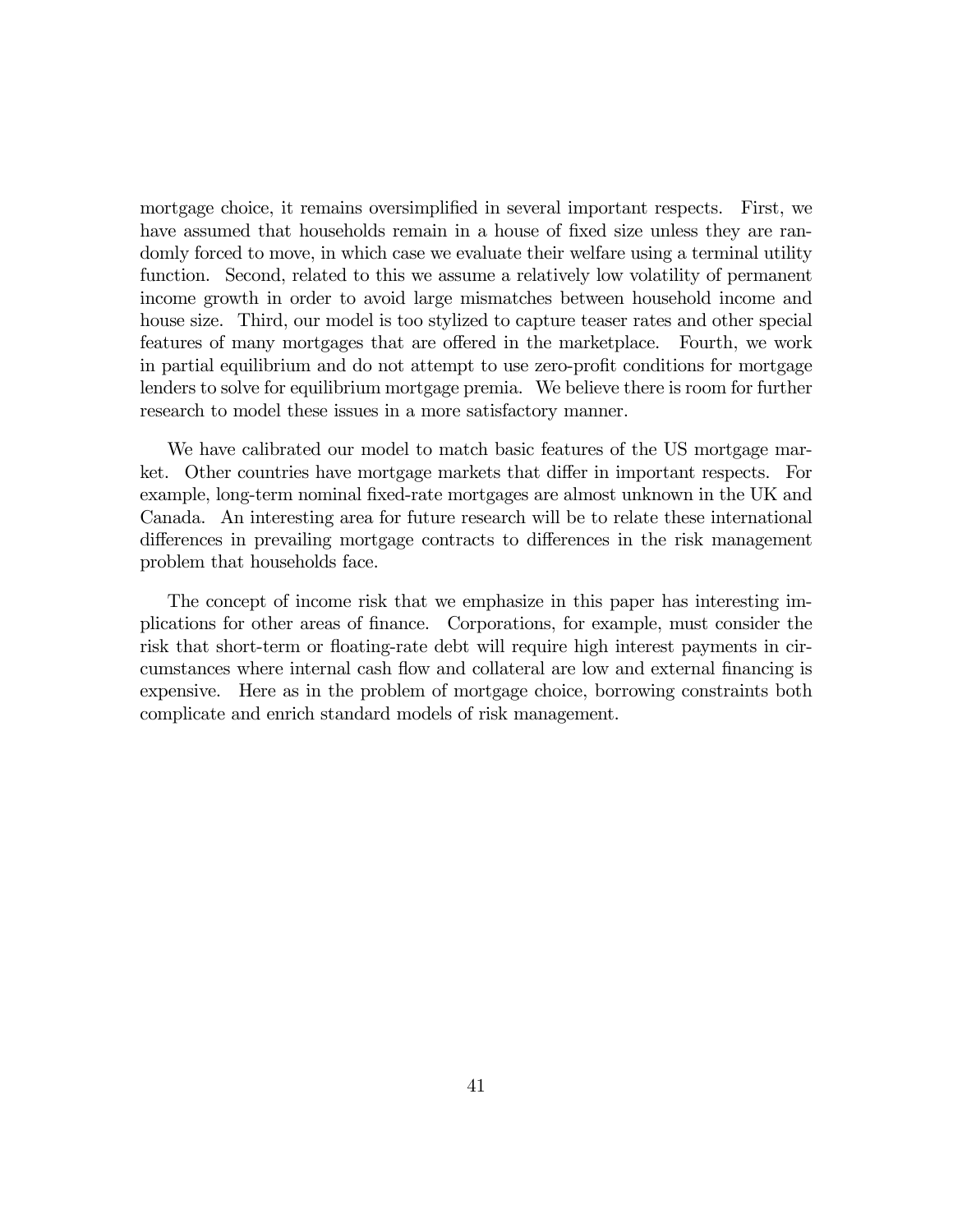mortgage choice, it remains oversimplified in several important respects. First, we have assumed that households remain in a house of fixed size unless they are randomly forced to move, in which case we evaluate their welfare using a terminal utility function. Second, related to this we assume a relatively low volatility of permanent income growth in order to avoid large mismatches between household income and house size. Third, our model is too stylized to capture teaser rates and other special features of many mortgages that are offered in the marketplace. Fourth, we work in partial equilibrium and do not attempt to use zero-profit conditions for mortgage lenders to solve for equilibrium mortgage premia. We believe there is room for further research to model these issues in a more satisfactory manner.

We have calibrated our model to match basic features of the US mortgage market. Other countries have mortgage markets that differ in important respects. For example, long-term nominal fixed-rate mortgages are almost unknown in the UK and Canada. An interesting area for future research will be to relate these international differences in prevailing mortgage contracts to differences in the risk management problem that households face.

The concept of income risk that we emphasize in this paper has interesting implications for other areas of finance. Corporations, for example, must consider the risk that short-term or floating-rate debt will require high interest payments in circumstances where internal cash flow and collateral are low and external financing is expensive. Here as in the problem of mortgage choice, borrowing constraints both complicate and enrich standard models of risk management.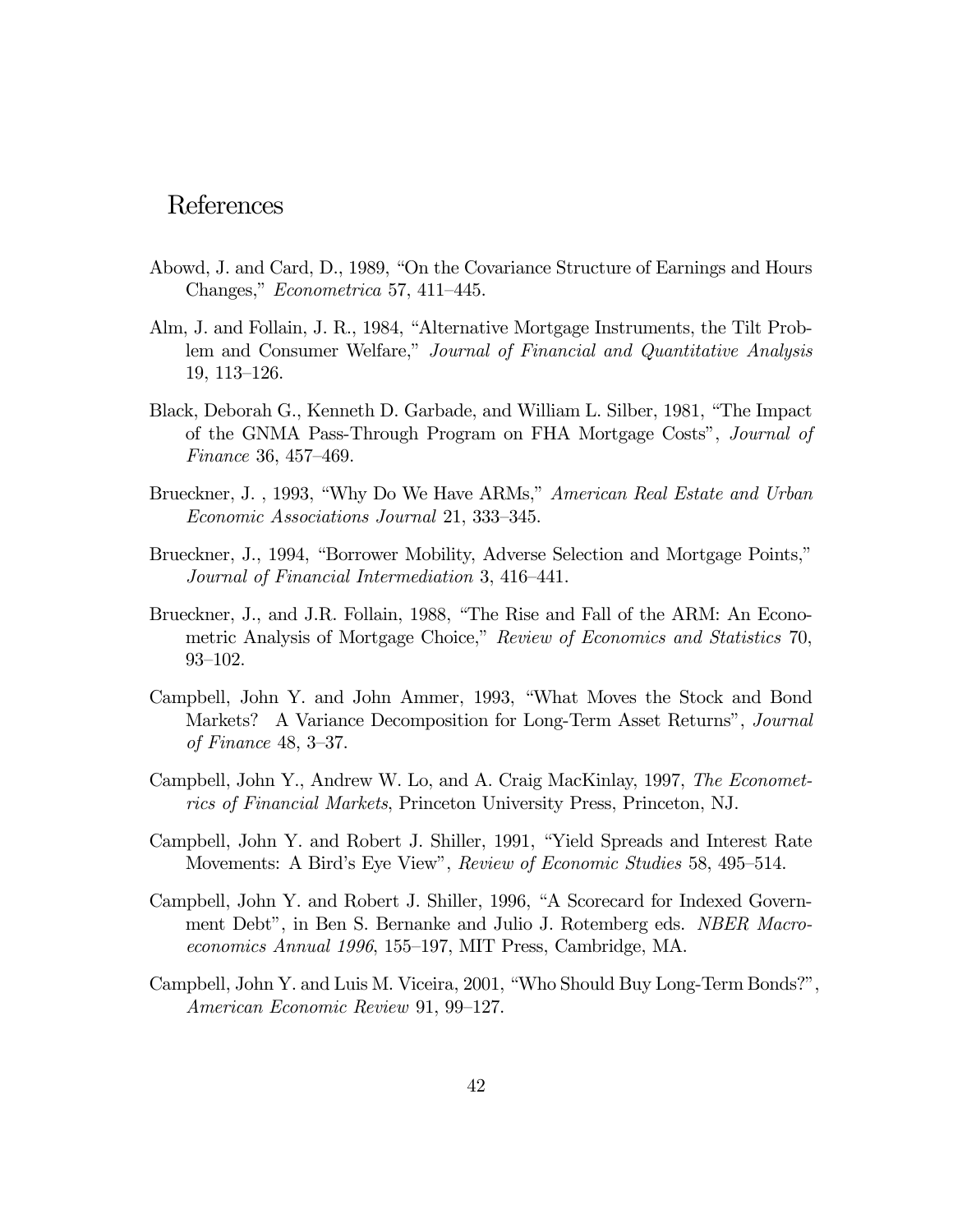# References

- Abowd, J. and Card, D., 1989, "On the Covariance Structure of Earnings and Hours Changes," Econometrica 57, 411—445.
- Alm, J. and Follain, J. R., 1984, "Alternative Mortgage Instruments, the Tilt Problem and Consumer Welfare," Journal of Financial and Quantitative Analysis 19, 113—126.
- Black, Deborah G., Kenneth D. Garbade, and William L. Silber, 1981, "The Impact of the GNMA Pass-Through Program on FHA Mortgage Costs", Journal of Finance 36, 457—469.
- Brueckner, J., 1993, "Why Do We Have ARMs," American Real Estate and Urban Economic Associations Journal 21, 333—345.
- Brueckner, J., 1994, "Borrower Mobility, Adverse Selection and Mortgage Points," Journal of Financial Intermediation 3, 416—441.
- Brueckner, J., and J.R. Follain, 1988, "The Rise and Fall of the ARM: An Econometric Analysis of Mortgage Choice," Review of Economics and Statistics 70, 93—102.
- Campbell, John Y. and John Ammer, 1993, "What Moves the Stock and Bond Markets? A Variance Decomposition for Long-Term Asset Returns", Journal of Finance 48, 3—37.
- Campbell, John Y., Andrew W. Lo, and A. Craig MacKinlay, 1997, The Econometrics of Financial Markets, Princeton University Press, Princeton, NJ.
- Campbell, John Y. and Robert J. Shiller, 1991, "Yield Spreads and Interest Rate Movements: A Bird's Eye View", Review of Economic Studies 58, 495—514.
- Campbell, John Y. and Robert J. Shiller, 1996, "A Scorecard for Indexed Government Debt", in Ben S. Bernanke and Julio J. Rotemberg eds. NBER Macroeconomics Annual 1996, 155—197, MIT Press, Cambridge, MA.
- Campbell, John Y. and Luis M. Viceira, 2001, "Who Should Buy Long-Term Bonds?", American Economic Review 91, 99—127.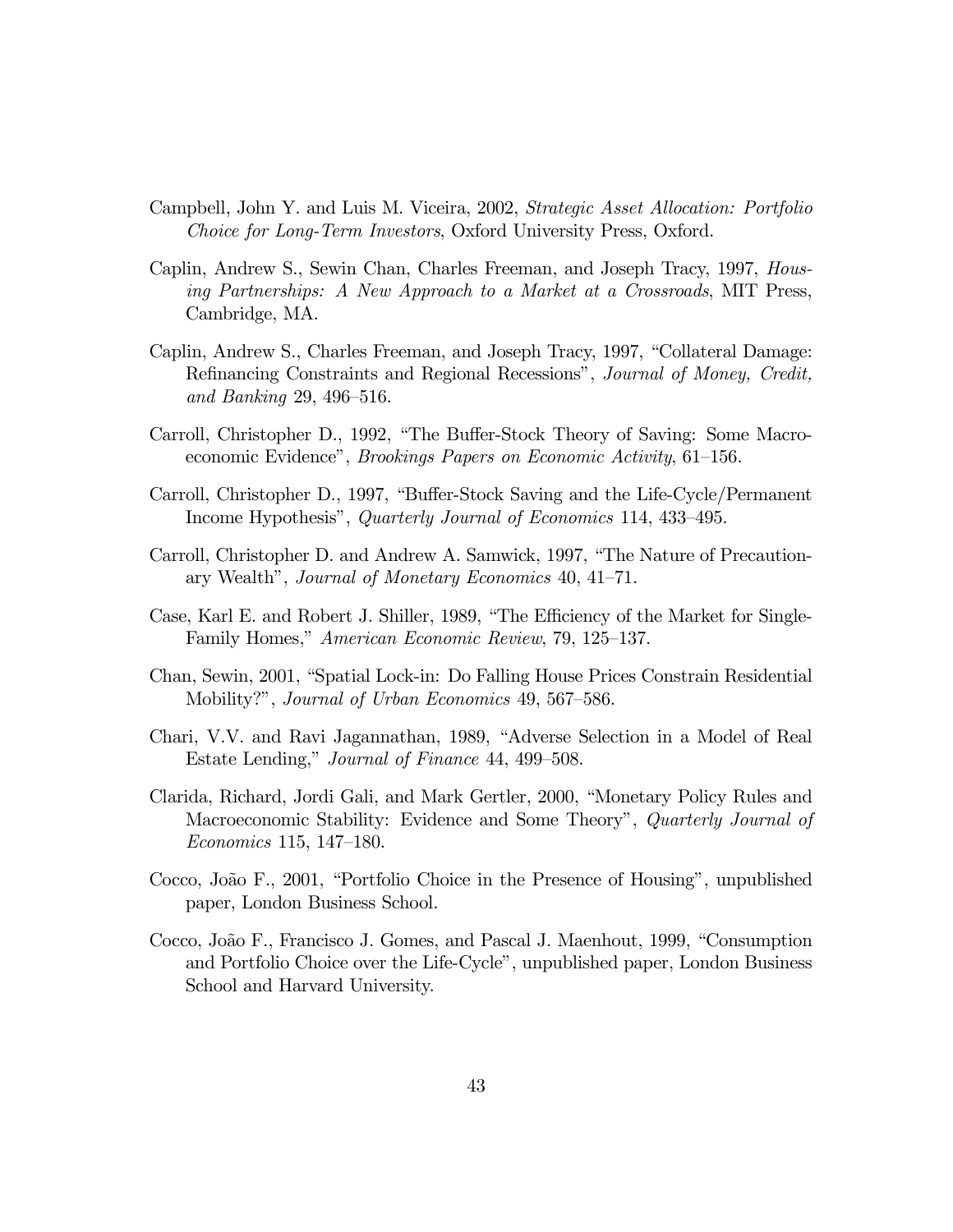- Campbell, John Y. and Luis M. Viceira, 2002, Strategic Asset Allocation: Portfolio Choice for Long-Term Investors, Oxford University Press, Oxford.
- Caplin, Andrew S., Sewin Chan, Charles Freeman, and Joseph Tracy, 1997, Housing Partnerships: A New Approach to a Market at a Crossroads, MIT Press, Cambridge, MA.
- Caplin, Andrew S., Charles Freeman, and Joseph Tracy, 1997, "Collateral Damage: Refinancing Constraints and Regional Recessions", Journal of Money, Credit, and Banking 29, 496—516.
- Carroll, Christopher D., 1992, "The Buffer-Stock Theory of Saving: Some Macroeconomic Evidence", Brookings Papers on Economic Activity, 61—156.
- Carroll, Christopher D., 1997, "Buffer-Stock Saving and the Life-Cycle/Permanent Income Hypothesis", Quarterly Journal of Economics 114, 433—495.
- Carroll, Christopher D. and Andrew A. Samwick, 1997, "The Nature of Precautionary Wealth", Journal of Monetary Economics 40, 41—71.
- Case, Karl E. and Robert J. Shiller, 1989, "The Efficiency of the Market for Single-Family Homes," American Economic Review, 79, 125—137.
- Chan, Sewin, 2001, "Spatial Lock-in: Do Falling House Prices Constrain Residential Mobility?", Journal of Urban Economics 49, 567—586.
- Chari, V.V. and Ravi Jagannathan, 1989, "Adverse Selection in a Model of Real Estate Lending," Journal of Finance 44, 499—508.
- Clarida, Richard, Jordi Gali, and Mark Gertler, 2000, "Monetary Policy Rules and Macroeconomic Stability: Evidence and Some Theory", Quarterly Journal of Economics 115, 147—180.
- Cocco, João F., 2001, "Portfolio Choice in the Presence of Housing", unpublished paper, London Business School.
- Cocco, João F., Francisco J. Gomes, and Pascal J. Maenhout, 1999, "Consumption and Portfolio Choice over the Life-Cycle", unpublished paper, London Business School and Harvard University.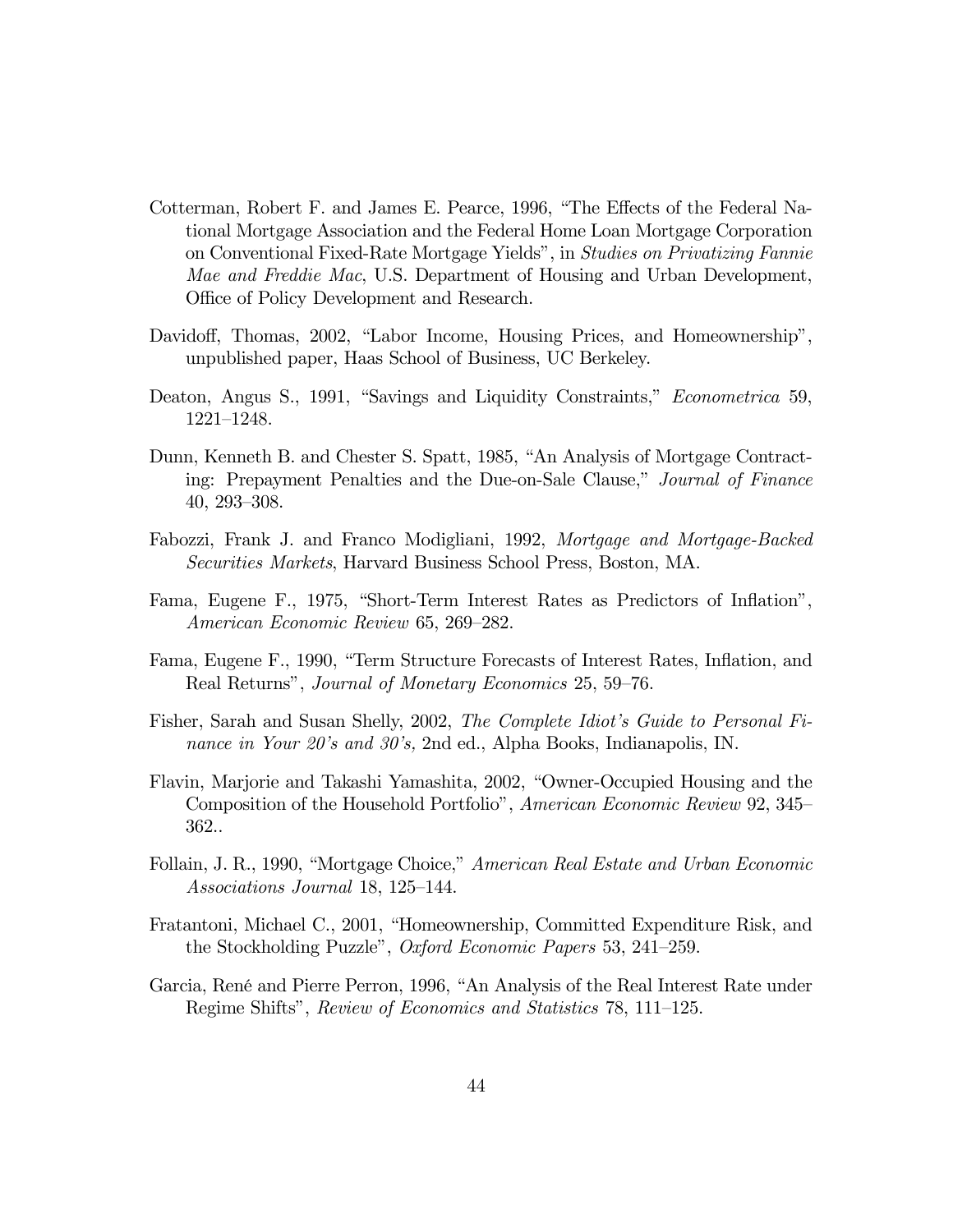- Cotterman, Robert F. and James E. Pearce, 1996, "The Effects of the Federal National Mortgage Association and the Federal Home Loan Mortgage Corporation on Conventional Fixed-Rate Mortgage Yields", in Studies on Privatizing Fannie Mae and Freddie Mac, U.S. Department of Housing and Urban Development, Office of Policy Development and Research.
- Davidoff, Thomas, 2002, "Labor Income, Housing Prices, and Homeownership", unpublished paper, Haas School of Business, UC Berkeley.
- Deaton, Angus S., 1991, "Savings and Liquidity Constraints," *Econometrica* 59, 1221—1248.
- Dunn, Kenneth B. and Chester S. Spatt, 1985, "An Analysis of Mortgage Contracting: Prepayment Penalties and the Due-on-Sale Clause," Journal of Finance 40, 293—308.
- Fabozzi, Frank J. and Franco Modigliani, 1992, Mortgage and Mortgage-Backed Securities Markets, Harvard Business School Press, Boston, MA.
- Fama, Eugene F., 1975, "Short-Term Interest Rates as Predictors of Inflation", American Economic Review 65, 269—282.
- Fama, Eugene F., 1990, "Term Structure Forecasts of Interest Rates, Inflation, and Real Returns", Journal of Monetary Economics 25, 59—76.
- Fisher, Sarah and Susan Shelly, 2002, The Complete Idiot's Guide to Personal Finance in Your 20's and 30's, 2nd ed., Alpha Books, Indianapolis, IN.
- Flavin, Marjorie and Takashi Yamashita, 2002, "Owner-Occupied Housing and the Composition of the Household Portfolio", American Economic Review 92, 345— 362..
- Follain, J. R., 1990, "Mortgage Choice," American Real Estate and Urban Economic Associations Journal 18, 125—144.
- Fratantoni, Michael C., 2001, "Homeownership, Committed Expenditure Risk, and the Stockholding Puzzle", Oxford Economic Papers 53, 241—259.
- Garcia, René and Pierre Perron, 1996, "An Analysis of the Real Interest Rate under Regime Shifts", Review of Economics and Statistics 78, 111—125.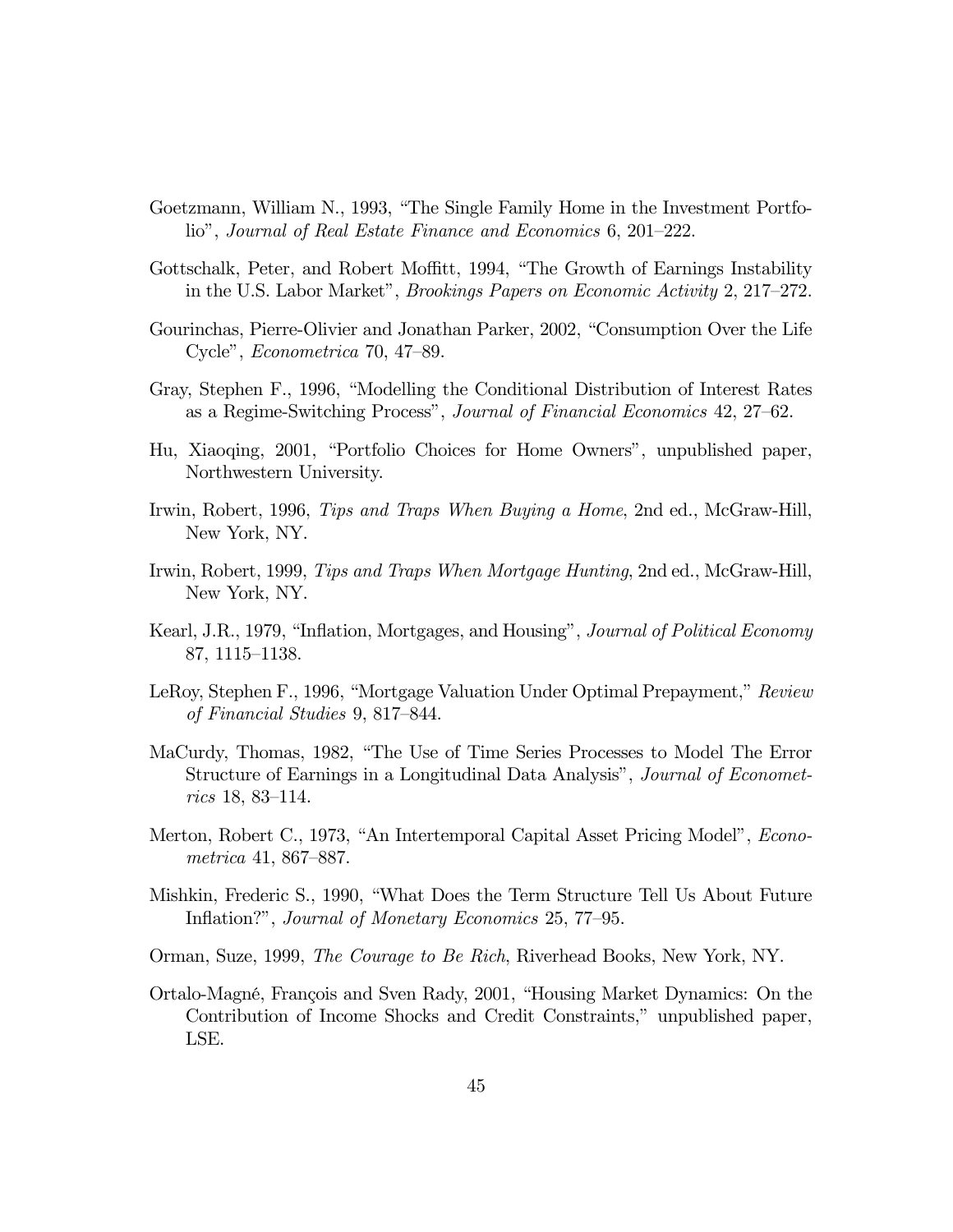- Goetzmann, William N., 1993, "The Single Family Home in the Investment Portfolio", Journal of Real Estate Finance and Economics 6, 201—222.
- Gottschalk, Peter, and Robert Moffitt, 1994, "The Growth of Earnings Instability in the U.S. Labor Market", Brookings Papers on Economic Activity 2, 217—272.
- Gourinchas, Pierre-Olivier and Jonathan Parker, 2002, "Consumption Over the Life Cycle", Econometrica 70, 47—89.
- Gray, Stephen F., 1996, "Modelling the Conditional Distribution of Interest Rates as a Regime-Switching Process", Journal of Financial Economics 42, 27—62.
- Hu, Xiaoqing, 2001, "Portfolio Choices for Home Owners", unpublished paper, Northwestern University.
- Irwin, Robert, 1996, *Tips and Traps When Buying a Home*, 2nd ed., McGraw-Hill, New York, NY.
- Irwin, Robert, 1999, Tips and Traps When Mortgage Hunting, 2nd ed., McGraw-Hill, New York, NY.
- Kearl, J.R., 1979, "Inflation, Mortgages, and Housing", *Journal of Political Economy* 87, 1115—1138.
- LeRoy, Stephen F., 1996, "Mortgage Valuation Under Optimal Prepayment," Review of Financial Studies 9, 817—844.
- MaCurdy, Thomas, 1982, "The Use of Time Series Processes to Model The Error Structure of Earnings in a Longitudinal Data Analysis", Journal of Econometrics 18, 83—114.
- Merton, Robert C., 1973, "An Intertemporal Capital Asset Pricing Model", Econometrica 41, 867—887.
- Mishkin, Frederic S., 1990, "What Does the Term Structure Tell Us About Future Inflation?", Journal of Monetary Economics 25, 77—95.
- Orman, Suze, 1999, The Courage to Be Rich, Riverhead Books, New York, NY.
- Ortalo-Magné, François and Sven Rady, 2001, "Housing Market Dynamics: On the Contribution of Income Shocks and Credit Constraints," unpublished paper, LSE.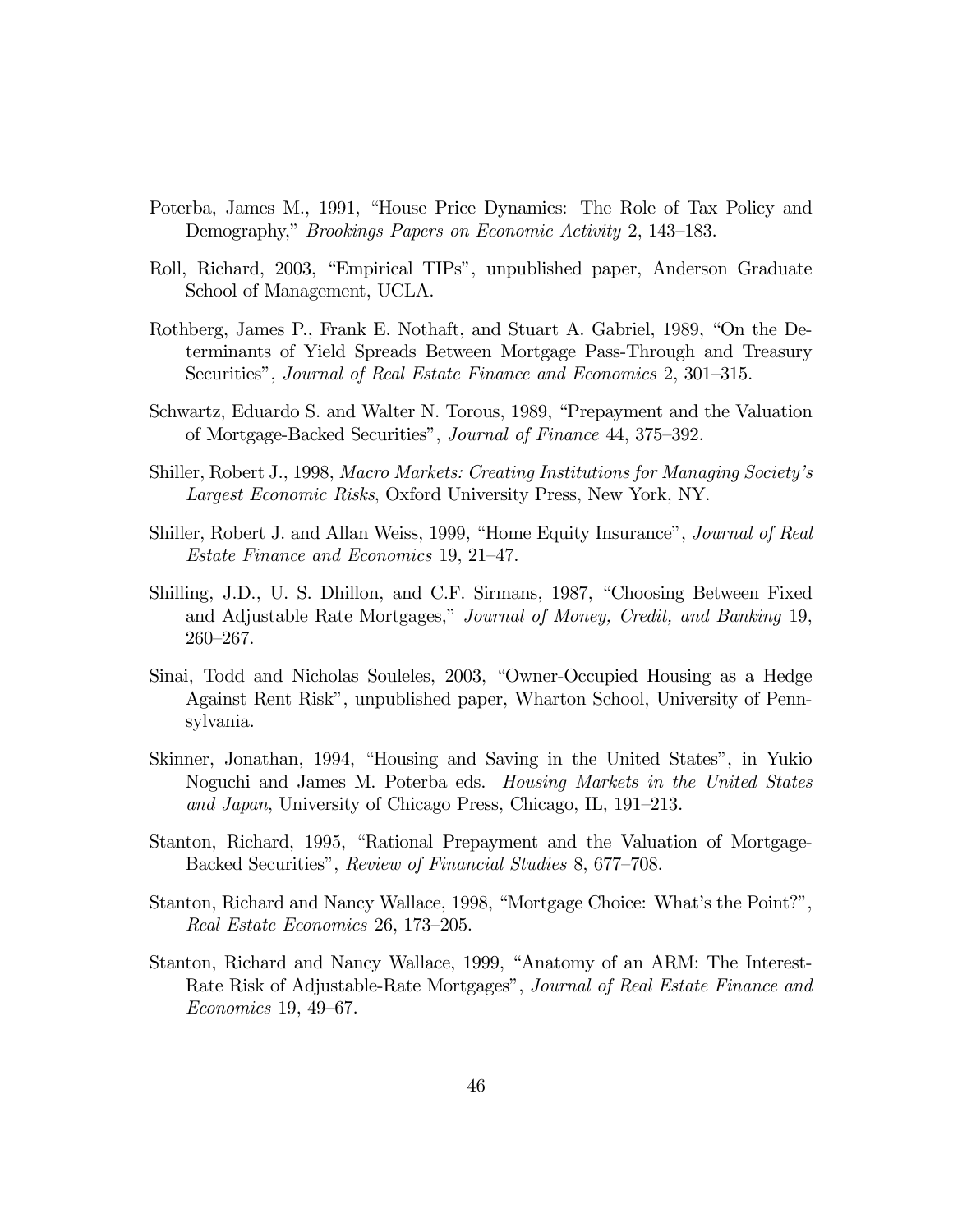- Poterba, James M., 1991, "House Price Dynamics: The Role of Tax Policy and Demography," Brookings Papers on Economic Activity 2, 143—183.
- Roll, Richard, 2003, "Empirical TIPs", unpublished paper, Anderson Graduate School of Management, UCLA.
- Rothberg, James P., Frank E. Nothaft, and Stuart A. Gabriel, 1989, "On the Determinants of Yield Spreads Between Mortgage Pass-Through and Treasury Securities", Journal of Real Estate Finance and Economics 2, 301—315.
- Schwartz, Eduardo S. and Walter N. Torous, 1989, "Prepayment and the Valuation of Mortgage-Backed Securities", Journal of Finance 44, 375—392.
- Shiller, Robert J., 1998, Macro Markets: Creating Institutions for Managing Society's Largest Economic Risks, Oxford University Press, New York, NY.
- Shiller, Robert J. and Allan Weiss, 1999, "Home Equity Insurance", *Journal of Real* Estate Finance and Economics 19, 21—47.
- Shilling, J.D., U. S. Dhillon, and C.F. Sirmans, 1987, "Choosing Between Fixed and Adjustable Rate Mortgages," Journal of Money, Credit, and Banking 19, 260—267.
- Sinai, Todd and Nicholas Souleles, 2003, "Owner-Occupied Housing as a Hedge Against Rent Risk", unpublished paper, Wharton School, University of Pennsylvania.
- Skinner, Jonathan, 1994, "Housing and Saving in the United States", in Yukio Noguchi and James M. Poterba eds. Housing Markets in the United States and Japan, University of Chicago Press, Chicago, IL, 191—213.
- Stanton, Richard, 1995, "Rational Prepayment and the Valuation of Mortgage-Backed Securities", Review of Financial Studies 8, 677—708.
- Stanton, Richard and Nancy Wallace, 1998, "Mortgage Choice: What's the Point?", Real Estate Economics 26, 173—205.
- Stanton, Richard and Nancy Wallace, 1999, "Anatomy of an ARM: The Interest-Rate Risk of Adjustable-Rate Mortgages", Journal of Real Estate Finance and Economics 19, 49—67.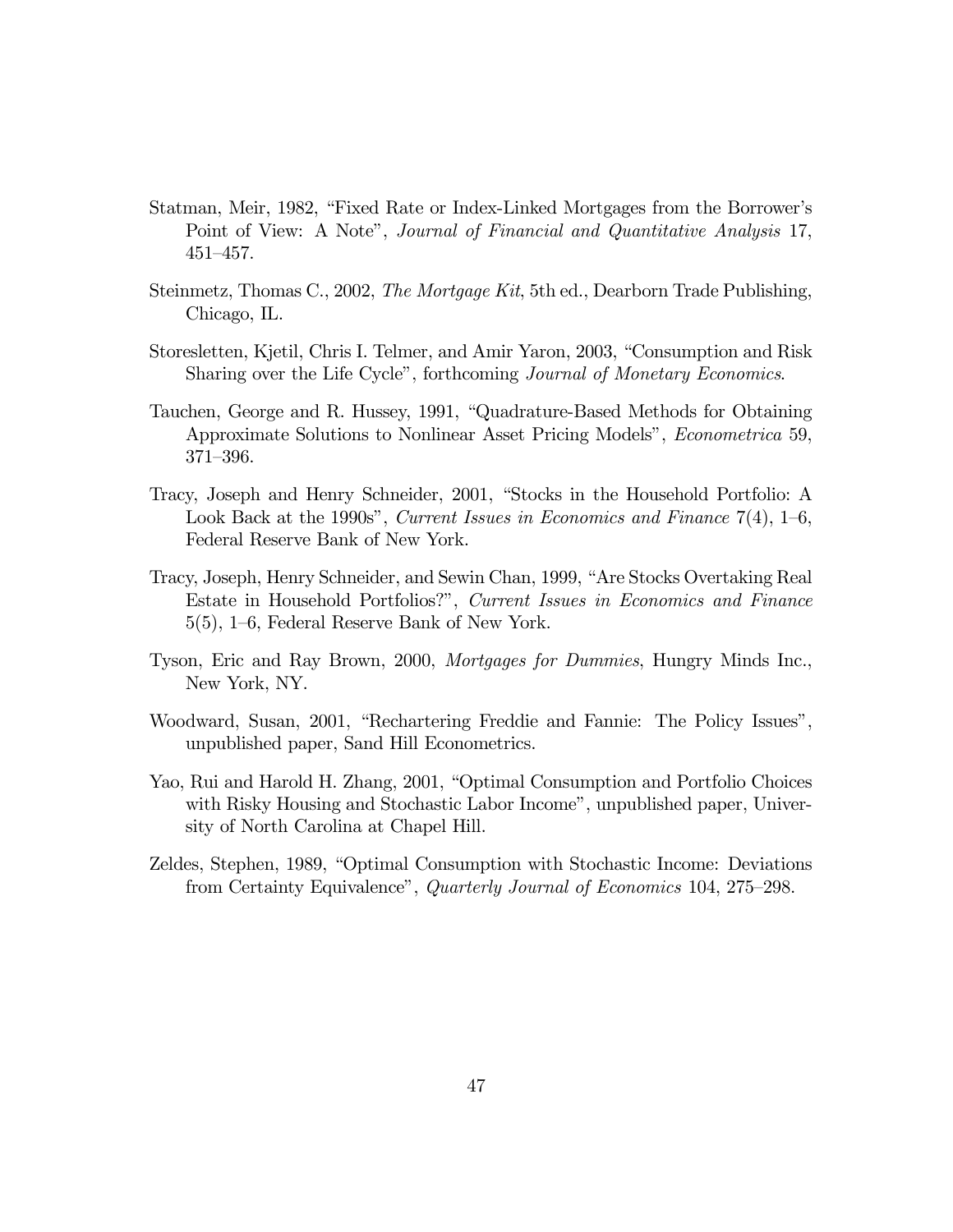- Statman, Meir, 1982, "Fixed Rate or Index-Linked Mortgages from the Borrower's Point of View: A Note", Journal of Financial and Quantitative Analysis 17, 451—457.
- Steinmetz, Thomas C., 2002, The Mortgage Kit, 5th ed., Dearborn Trade Publishing, Chicago, IL.
- Storesletten, Kjetil, Chris I. Telmer, and Amir Yaron, 2003, "Consumption and Risk Sharing over the Life Cycle", forthcoming Journal of Monetary Economics.
- Tauchen, George and R. Hussey, 1991, "Quadrature-Based Methods for Obtaining Approximate Solutions to Nonlinear Asset Pricing Models", Econometrica 59, 371—396.
- Tracy, Joseph and Henry Schneider, 2001, "Stocks in the Household Portfolio: A Look Back at the 1990s", Current Issues in Economics and Finance 7(4), 1–6, Federal Reserve Bank of New York.
- Tracy, Joseph, Henry Schneider, and Sewin Chan, 1999, "Are Stocks Overtaking Real Estate in Household Portfolios?", Current Issues in Economics and Finance 5(5), 1—6, Federal Reserve Bank of New York.
- Tyson, Eric and Ray Brown, 2000, Mortgages for Dummies, Hungry Minds Inc., New York, NY.
- Woodward, Susan, 2001, "Rechartering Freddie and Fannie: The Policy Issues", unpublished paper, Sand Hill Econometrics.
- Yao, Rui and Harold H. Zhang, 2001, "Optimal Consumption and Portfolio Choices with Risky Housing and Stochastic Labor Income", unpublished paper, University of North Carolina at Chapel Hill.
- Zeldes, Stephen, 1989, "Optimal Consumption with Stochastic Income: Deviations from Certainty Equivalence", Quarterly Journal of Economics 104, 275—298.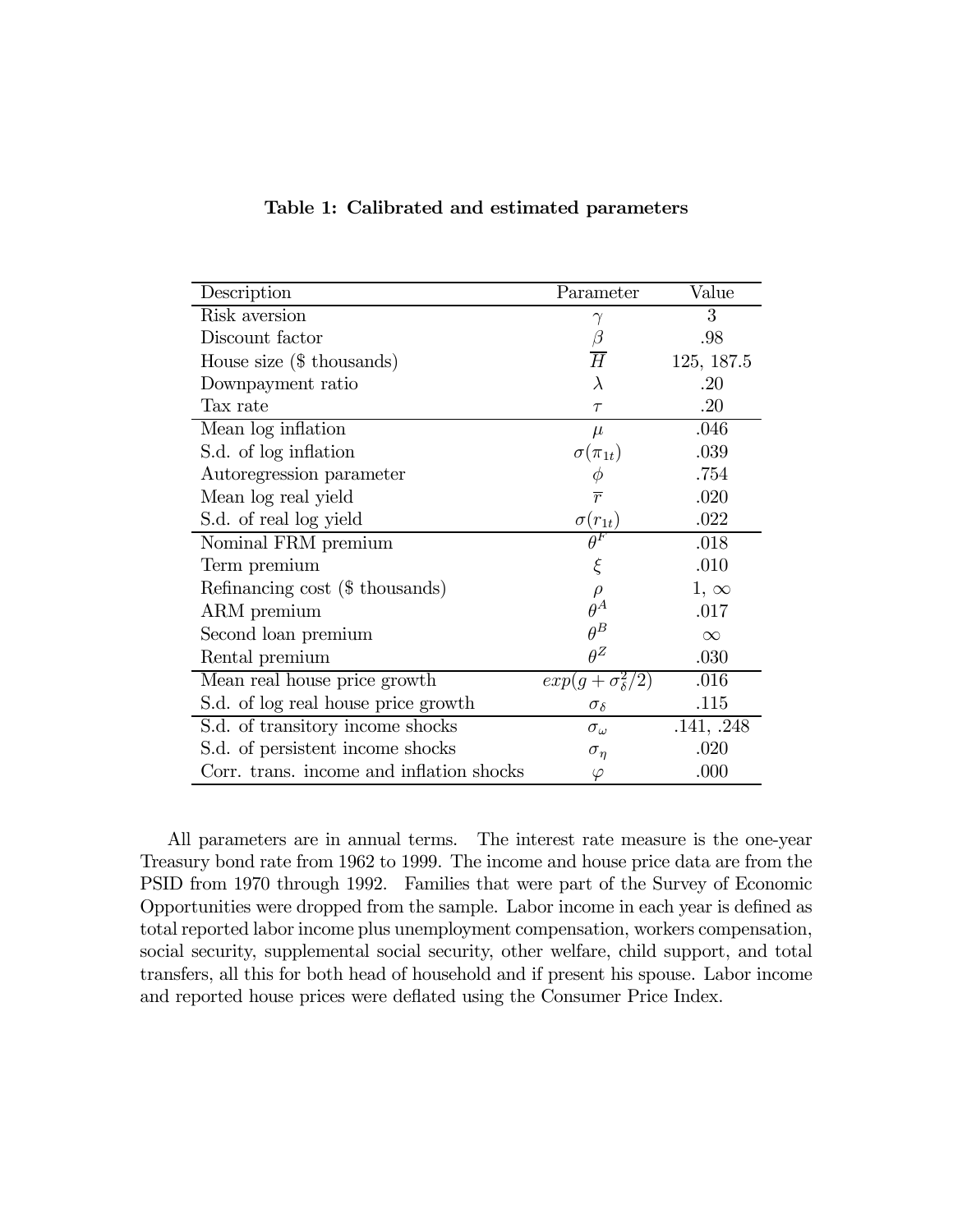| Description                              | Parameter               | Value       |
|------------------------------------------|-------------------------|-------------|
| Risk aversion                            | $\gamma$                | 3           |
| Discount factor                          |                         | .98         |
| House size $($$ thousands)               | $\overline{H}$          | 125, 187.5  |
| Downpayment ratio                        | $\lambda$               | .20         |
| Tax rate                                 | $\tau$                  | .20         |
| Mean log inflation                       | $\mu$                   | .046        |
| S.d. of log inflation                    | $\sigma(\pi_{1t})$      | .039        |
| Autoregression parameter                 | Φ                       | .754        |
| Mean log real yield                      | $\overline{r}$          | .020        |
| S.d. of real log yield                   | $\sigma(r_{1t})$        | .022        |
| Nominal FRM premium                      |                         | .018        |
| Term premium                             |                         | .010        |
| Refinancing cost (\$ thousands)          | $\rho$                  | $1, \infty$ |
| ARM premium                              | $\theta^A$              | .017        |
| Second loan premium                      | $\theta^B$              | $\infty$    |
| Rental premium                           | $\theta^Z$              | .030        |
| Mean real house price growth             | $exp(q + \sigma_s^2/2)$ | .016        |
| S.d. of log real house price growth      | $\sigma_{\delta}$       | .115        |
| S.d. of transitory income shocks         | $\sigma_{\omega}$       | .141, .248  |
| S.d. of persistent income shocks         | $\sigma_{\eta}$         | .020        |
| Corr. trans. income and inflation shocks | $\varphi$               | .000        |

## Table 1: Calibrated and estimated parameters

All parameters are in annual terms. The interest rate measure is the one-year Treasury bond rate from 1962 to 1999. The income and house price data are from the PSID from 1970 through 1992. Families that were part of the Survey of Economic Opportunities were dropped from the sample. Labor income in each year is defined as total reported labor income plus unemployment compensation, workers compensation, social security, supplemental social security, other welfare, child support, and total transfers, all this for both head of household and if present his spouse. Labor income and reported house prices were deflated using the Consumer Price Index.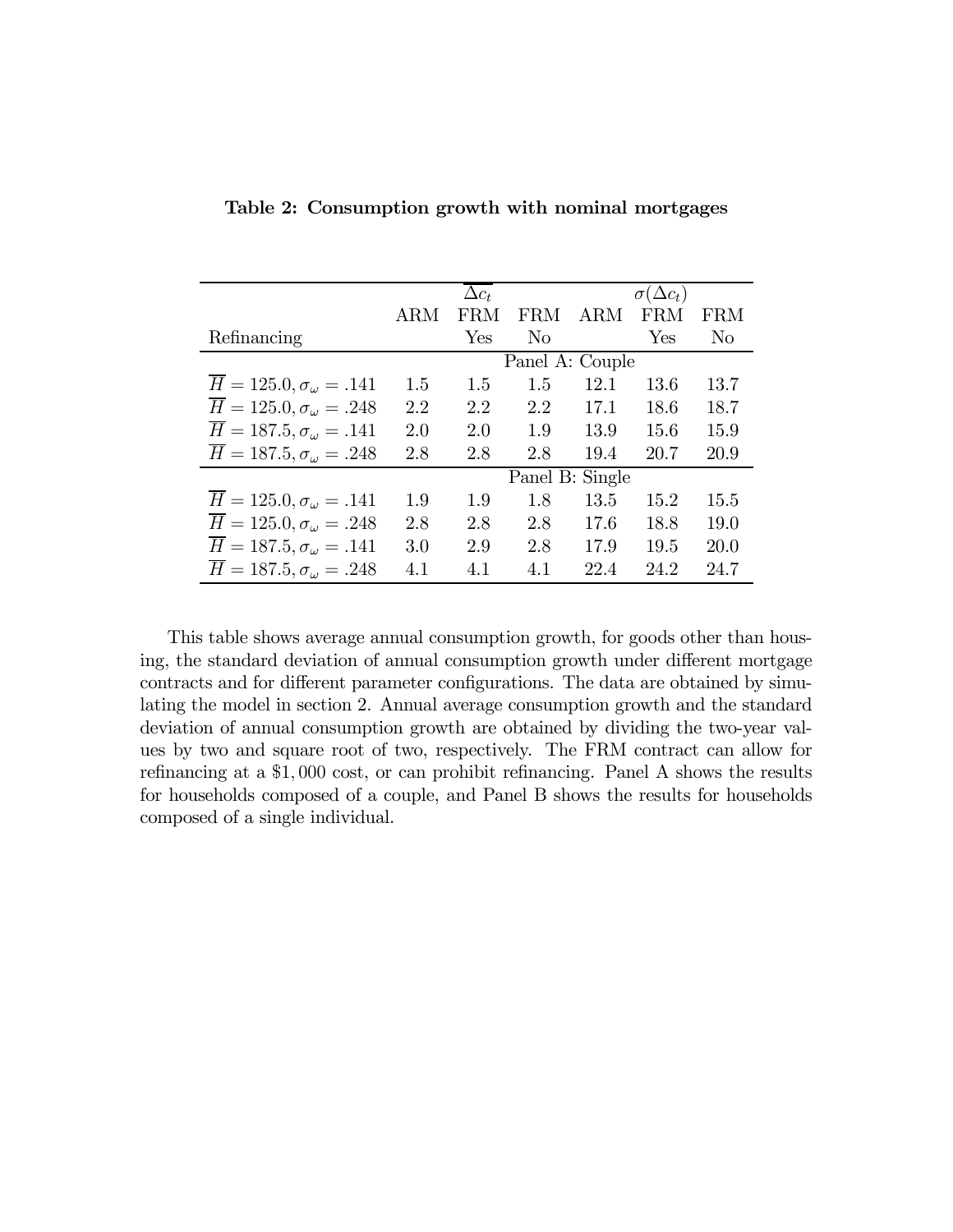|                                                | $\Delta c_t$    |     |                | $\sigma(\Delta c_t)$ |      |                |
|------------------------------------------------|-----------------|-----|----------------|----------------------|------|----------------|
|                                                | ARM             | FRM | FRM            | <b>ARM</b>           | FRM  | FRM            |
| Refinancing                                    |                 | Yes | N <sub>0</sub> |                      | Yes  | N <sub>o</sub> |
|                                                | Panel A: Couple |     |                |                      |      |                |
| $\overline{H} = 125.0, \sigma_{\omega} = .141$ | 1.5             | 1.5 | 1.5            | 12.1                 | 13.6 | 13.7           |
| $\overline{H} = 125.0, \sigma_{\omega} = .248$ | 2.2             | 2.2 | 2.2            | 17.1                 | 18.6 | 18.7           |
| $\overline{H} = 187.5, \sigma_{\omega} = .141$ | 2.0             | 2.0 | 1.9            | 13.9                 | 15.6 | 15.9           |
| $\overline{H} = 187.5, \sigma_{\omega} = .248$ | 2.8             | 2.8 | 2.8            | 19.4                 | 20.7 | 20.9           |
|                                                | Panel B: Single |     |                |                      |      |                |
| $\overline{H} = 125.0, \sigma_{\omega} = .141$ | 1.9             | 1.9 | 1.8            | 13.5                 | 15.2 | 15.5           |
| $\overline{H} = 125.0, \sigma_{\omega} = .248$ | 2.8             | 2.8 | 2.8            | 17.6                 | 18.8 | 19.0           |
| $\overline{H} = 187.5, \sigma_{\omega} = .141$ | 3.0             | 2.9 | 2.8            | 17.9                 | 19.5 | 20.0           |
| $\overline{H} = 187.5, \sigma_\omega = .248$   | 4.1             | 4.1 | 4.1            | 22.4                 | 24.2 | 24.7           |

Table 2: Consumption growth with nominal mortgages

This table shows average annual consumption growth, for goods other than housing, the standard deviation of annual consumption growth under different mortgage contracts and for different parameter configurations. The data are obtained by simulating the model in section 2. Annual average consumption growth and the standard deviation of annual consumption growth are obtained by dividing the two-year values by two and square root of two, respectively. The FRM contract can allow for refinancing at a \$1, 000 cost, or can prohibit refinancing. Panel A shows the results for households composed of a couple, and Panel B shows the results for households composed of a single individual.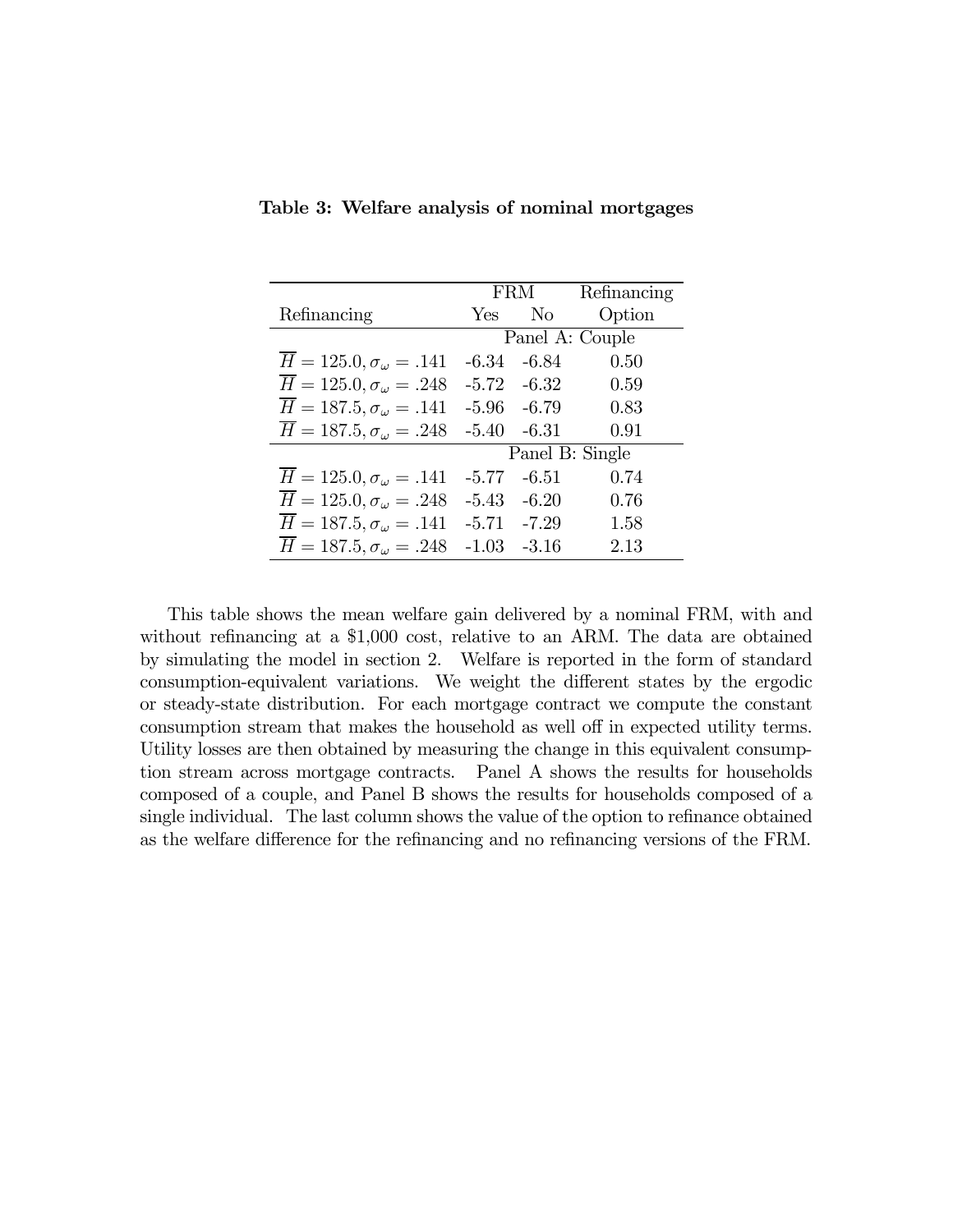|                                                | FRM             |                | Refinancing |  |  |
|------------------------------------------------|-----------------|----------------|-------------|--|--|
| Refinancing                                    | $\rm No$<br>Yes |                | Option      |  |  |
|                                                | Panel A: Couple |                |             |  |  |
| $\overline{H} = 125.0, \sigma_{\omega} = .141$ | $-6.34$         | $-6.84$        | 0.50        |  |  |
| $\overline{H} = 125.0, \sigma_{\omega} = .248$ |                 | $-5.72 -6.32$  | 0.59        |  |  |
| $\overline{H} = 187.5, \sigma_{\omega} = .141$ |                 | $-5.96 - 6.79$ | 0.83        |  |  |
| $\overline{H} = 187.5, \sigma_{\omega} = .248$ | $-5.40$         | $-6.31$        | 0.91        |  |  |
|                                                | Panel B: Single |                |             |  |  |
| $\overline{H} = 125.0, \sigma_{\omega} = .141$ | $-5.77$         | $-6.51$        | 0.74        |  |  |
| $\overline{H} = 125.0, \sigma_{\omega} = .248$ | $-5.43$         | $-6.20$        | 0.76        |  |  |
| $\overline{H} = 187.5, \sigma_{\omega} = .141$ |                 | $-5.71 - 7.29$ | 1.58        |  |  |
| $\overline{H} = 187.5, \sigma_{\omega} = .248$ | $-1.03$         | $-3.16$        | 2.13        |  |  |

Table 3: Welfare analysis of nominal mortgages

This table shows the mean welfare gain delivered by a nominal FRM, with and without refinancing at a \$1,000 cost, relative to an ARM. The data are obtained by simulating the model in section 2. Welfare is reported in the form of standard consumption-equivalent variations. We weight the different states by the ergodic or steady-state distribution. For each mortgage contract we compute the constant consumption stream that makes the household as well off in expected utility terms. Utility losses are then obtained by measuring the change in this equivalent consumption stream across mortgage contracts. Panel A shows the results for households composed of a couple, and Panel B shows the results for households composed of a single individual. The last column shows the value of the option to refinance obtained as the welfare difference for the refinancing and no refinancing versions of the FRM.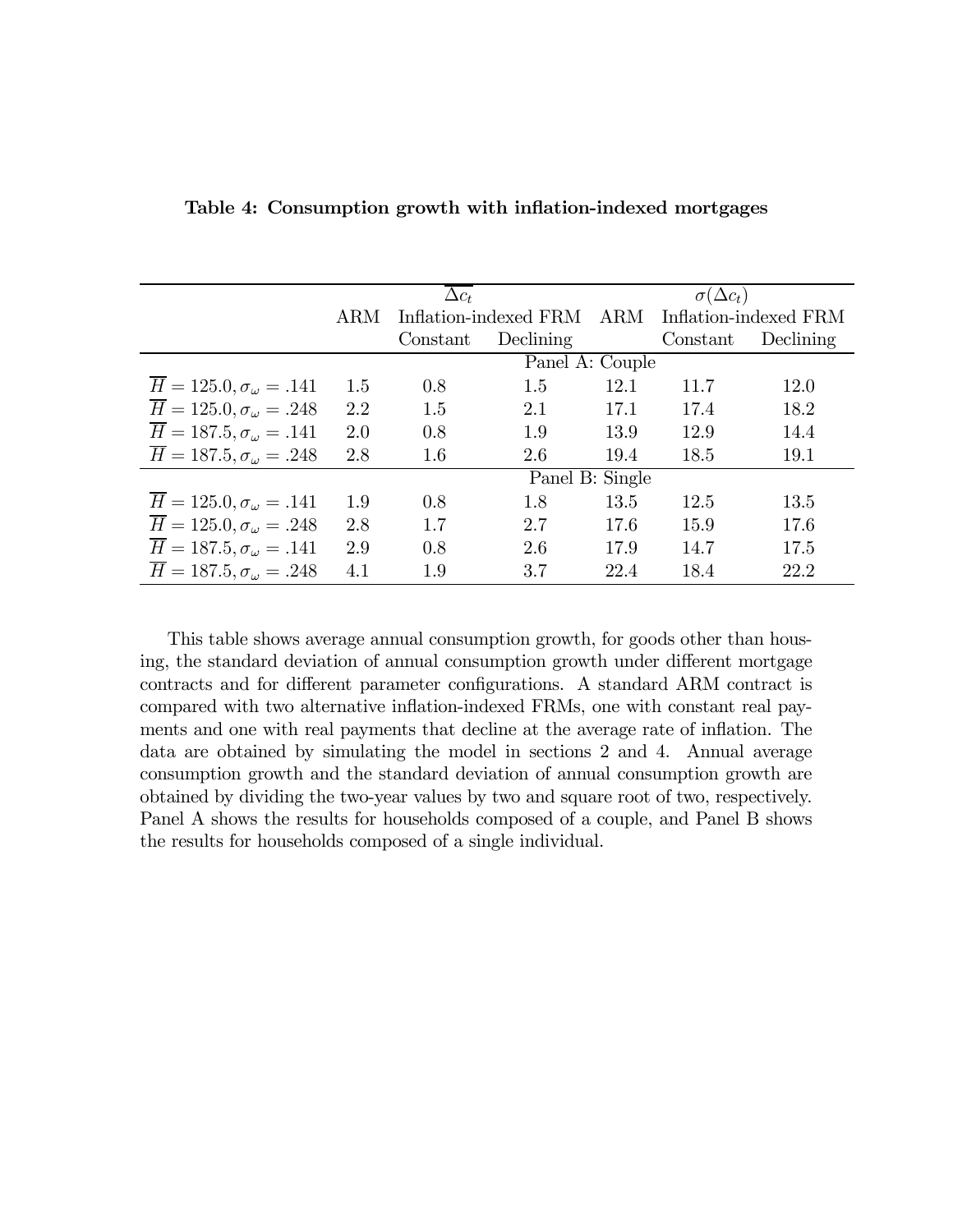|                                                |                 | $\Delta c_t$          |           | $\sigma(\Delta c_t)$ |                       |           |
|------------------------------------------------|-----------------|-----------------------|-----------|----------------------|-----------------------|-----------|
|                                                | ARM             | Inflation-indexed FRM |           | <b>ARM</b>           | Inflation-indexed FRM |           |
|                                                |                 | Constant              | Declining |                      | Constant              | Declining |
|                                                | Panel A: Couple |                       |           |                      |                       |           |
| $\overline{H} = 125.0, \sigma_\omega = .141$   | 1.5             | 0.8                   | 1.5       | 12.1                 | 11.7                  | 12.0      |
| $\overline{H} = 125.0, \sigma_{\omega} = .248$ | 2.2             | 1.5                   | 2.1       | 17.1                 | 17.4                  | 18.2      |
| $\overline{H} = 187.5, \sigma_{\omega} = .141$ | 2.0             | 0.8                   | 1.9       | 13.9                 | 12.9                  | 14.4      |
| $\overline{H} = 187.5, \sigma_{\omega} = .248$ | 2.8             | 1.6                   | 2.6       | 19.4                 | 18.5                  | 19.1      |
|                                                | Panel B: Single |                       |           |                      |                       |           |
| $\overline{H} = 125.0, \sigma_{\omega} = .141$ | 1.9             | 0.8                   | 1.8       | 13.5                 | 12.5                  | 13.5      |
| $\overline{H} = 125.0, \sigma_{\omega} = .248$ | 2.8             | 1.7                   | 2.7       | 17.6                 | 15.9                  | 17.6      |
| $\overline{H} = 187.5, \sigma_{\omega} = .141$ | 2.9             | 0.8                   | 2.6       | 17.9                 | 14.7                  | 17.5      |
| $\overline{H} = 187.5, \sigma_{\omega} = .248$ | 4.1             | 1.9                   | 3.7       | 22.4                 | 18.4                  | 22.2      |

Table 4: Consumption growth with inflation-indexed mortgages

This table shows average annual consumption growth, for goods other than housing, the standard deviation of annual consumption growth under different mortgage contracts and for different parameter configurations. A standard ARM contract is compared with two alternative inflation-indexed FRMs, one with constant real payments and one with real payments that decline at the average rate of inflation. The data are obtained by simulating the model in sections 2 and 4. Annual average consumption growth and the standard deviation of annual consumption growth are obtained by dividing the two-year values by two and square root of two, respectively. Panel A shows the results for households composed of a couple, and Panel B shows the results for households composed of a single individual.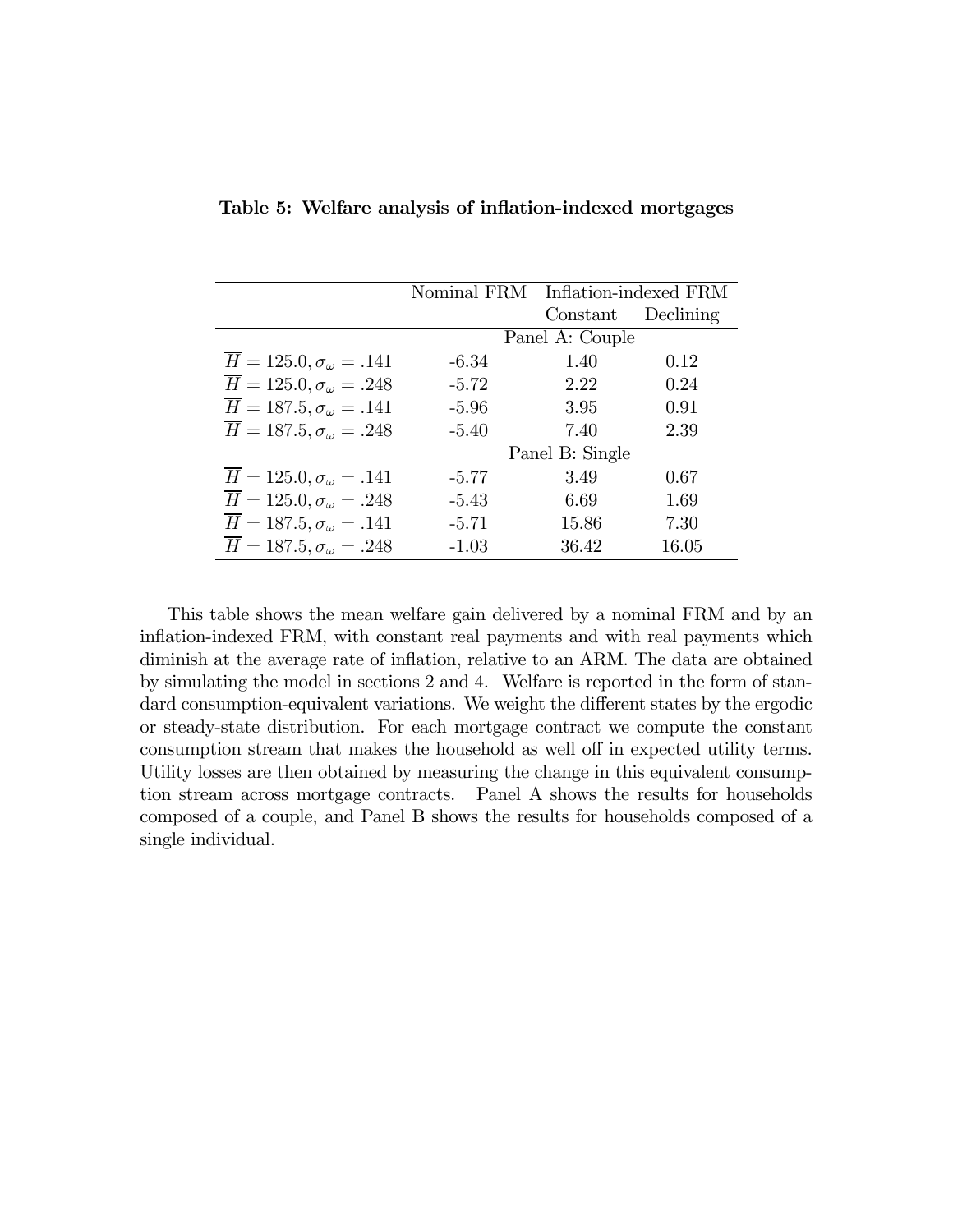|                                                |         | Nominal FRM Inflation-indexed FRM |           |
|------------------------------------------------|---------|-----------------------------------|-----------|
|                                                |         | Constant                          | Declining |
|                                                |         | Panel A: Couple                   |           |
| $H = 125.0, \sigma_{\omega} = .141$            | $-6.34$ | 1.40                              | 0.12      |
| $\overline{H} = 125.0, \sigma_{\omega} = .248$ | $-5.72$ | 2.22                              | 0.24      |
| $\overline{H} = 187.5, \sigma_{\omega} = .141$ | $-5.96$ | 3.95                              | 0.91      |
| $\overline{H} = 187.5, \sigma_{\omega} = .248$ | $-5.40$ | 7.40                              | 2.39      |
|                                                |         | Panel B: Single                   |           |
| $\overline{H} = 125.0, \sigma_{\omega} = .141$ | $-5.77$ | 3.49                              | 0.67      |
| $\overline{H} = 125.0, \sigma_{\omega} = .248$ | $-5.43$ | 6.69                              | 1.69      |
| $\overline{H} = 187.5, \sigma_{\omega} = .141$ | $-5.71$ | 15.86                             | 7.30      |
| $\overline{H} = 187.5, \sigma_{\omega} = .248$ | $-1.03$ | 36.42                             | 16.05     |

Table 5: Welfare analysis of inflation-indexed mortgages

This table shows the mean welfare gain delivered by a nominal FRM and by an inflation-indexed FRM, with constant real payments and with real payments which diminish at the average rate of inflation, relative to an ARM. The data are obtained by simulating the model in sections 2 and 4. Welfare is reported in the form of standard consumption-equivalent variations. We weight the different states by the ergodic or steady-state distribution. For each mortgage contract we compute the constant consumption stream that makes the household as well off in expected utility terms. Utility losses are then obtained by measuring the change in this equivalent consumption stream across mortgage contracts. Panel A shows the results for households composed of a couple, and Panel B shows the results for households composed of a single individual.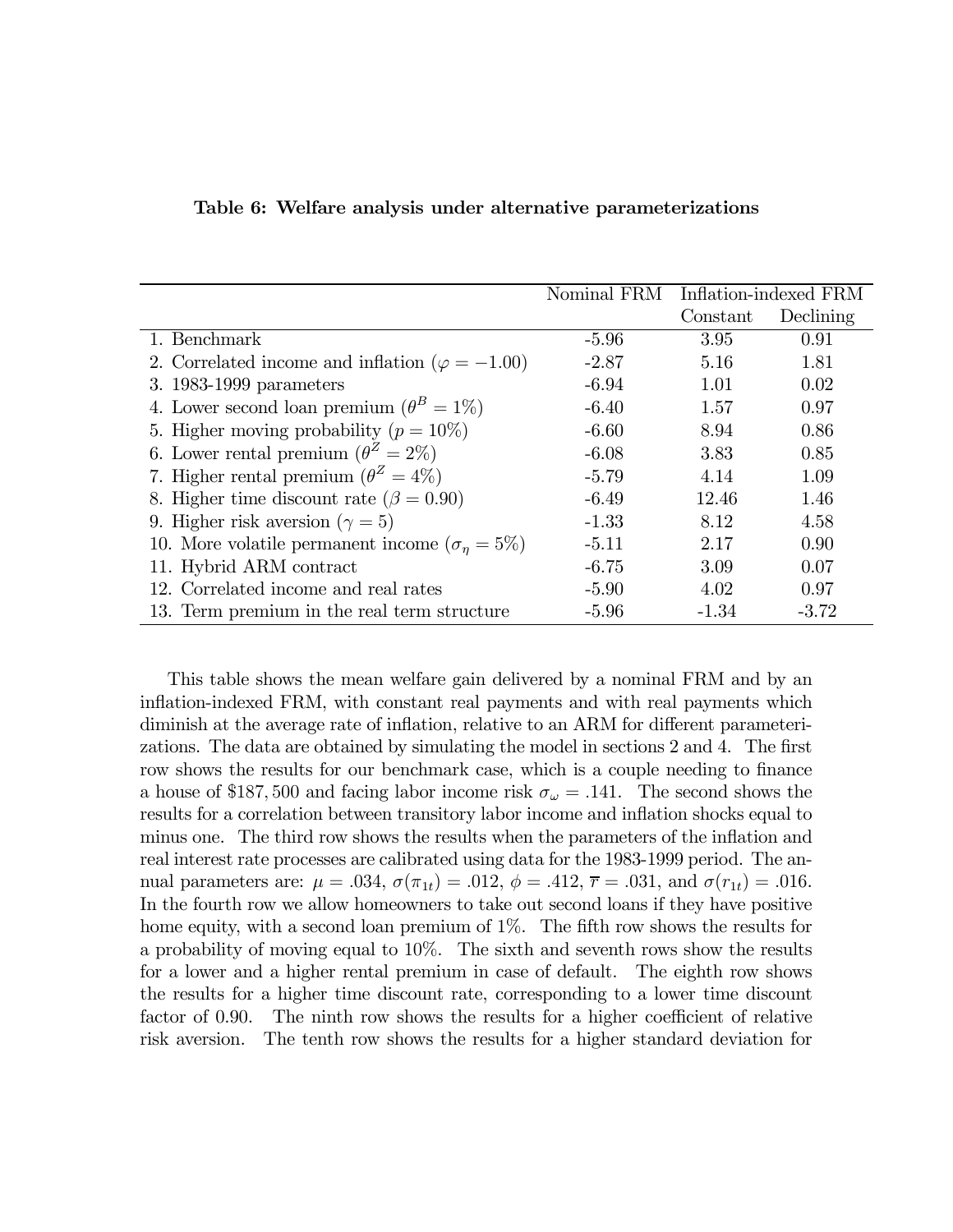|  |  | Table 6: Welfare analysis under alternative parameterizations |  |  |
|--|--|---------------------------------------------------------------|--|--|
|  |  |                                                               |  |  |

|                                                            | Nominal FRM | Inflation-indexed FRM |           |
|------------------------------------------------------------|-------------|-----------------------|-----------|
|                                                            |             | Constant              | Declining |
| 1. Benchmark                                               | $-5.96$     | 3.95                  | 0.91      |
| 2. Correlated income and inflation ( $\varphi = -1.00$ )   | $-2.87$     | 5.16                  | 1.81      |
| 3. 1983-1999 parameters                                    | $-6.94$     | 1.01                  | 0.02      |
| 4. Lower second loan premium $(\theta^B = 1\%)$            | $-6.40$     | 1.57                  | 0.97      |
| 5. Higher moving probability ( $p = 10\%$ )                | $-6.60$     | 8.94                  | 0.86      |
| 6. Lower rental premium $(\theta^2 = 2\%)$                 | $-6.08$     | 3.83                  | 0.85      |
| 7. Higher rental premium $(\theta^Z = 4\%)$                | $-5.79$     | 4.14                  | 1.09      |
| 8. Higher time discount rate ( $\beta = 0.90$ )            | $-6.49$     | 12.46                 | 1.46      |
| 9. Higher risk aversion ( $\gamma = 5$ )                   | $-1.33$     | 8.12                  | 4.58      |
| 10. More volatile permanent income $(\sigma_{\eta} = 5\%)$ | $-5.11$     | 2.17                  | 0.90      |
| 11. Hybrid ARM contract                                    | $-6.75$     | 3.09                  | 0.07      |
| 12. Correlated income and real rates                       | $-5.90$     | 4.02                  | 0.97      |
| 13. Term premium in the real term structure                | $-5.96$     | $-1.34$               | $-3.72$   |

This table shows the mean welfare gain delivered by a nominal FRM and by an inflation-indexed FRM, with constant real payments and with real payments which diminish at the average rate of inflation, relative to an ARM for different parameterizations. The data are obtained by simulating the model in sections 2 and 4. The first row shows the results for our benchmark case, which is a couple needing to finance a house of \$187,500 and facing labor income risk  $\sigma_{\omega} = .141$ . The second shows the results for a correlation between transitory labor income and inflation shocks equal to minus one. The third row shows the results when the parameters of the inflation and real interest rate processes are calibrated using data for the 1983-1999 period. The annual parameters are:  $\mu = .034$ ,  $\sigma(\pi_{1t}) = .012$ ,  $\phi = .412$ ,  $\bar{r} = .031$ , and  $\sigma(r_{1t}) = .016$ . In the fourth row we allow homeowners to take out second loans if they have positive home equity, with a second loan premium of  $1\%$ . The fifth row shows the results for a probability of moving equal to 10%. The sixth and seventh rows show the results for a lower and a higher rental premium in case of default. The eighth row shows the results for a higher time discount rate, corresponding to a lower time discount factor of 0.90. The ninth row shows the results for a higher coefficient of relative risk aversion. The tenth row shows the results for a higher standard deviation for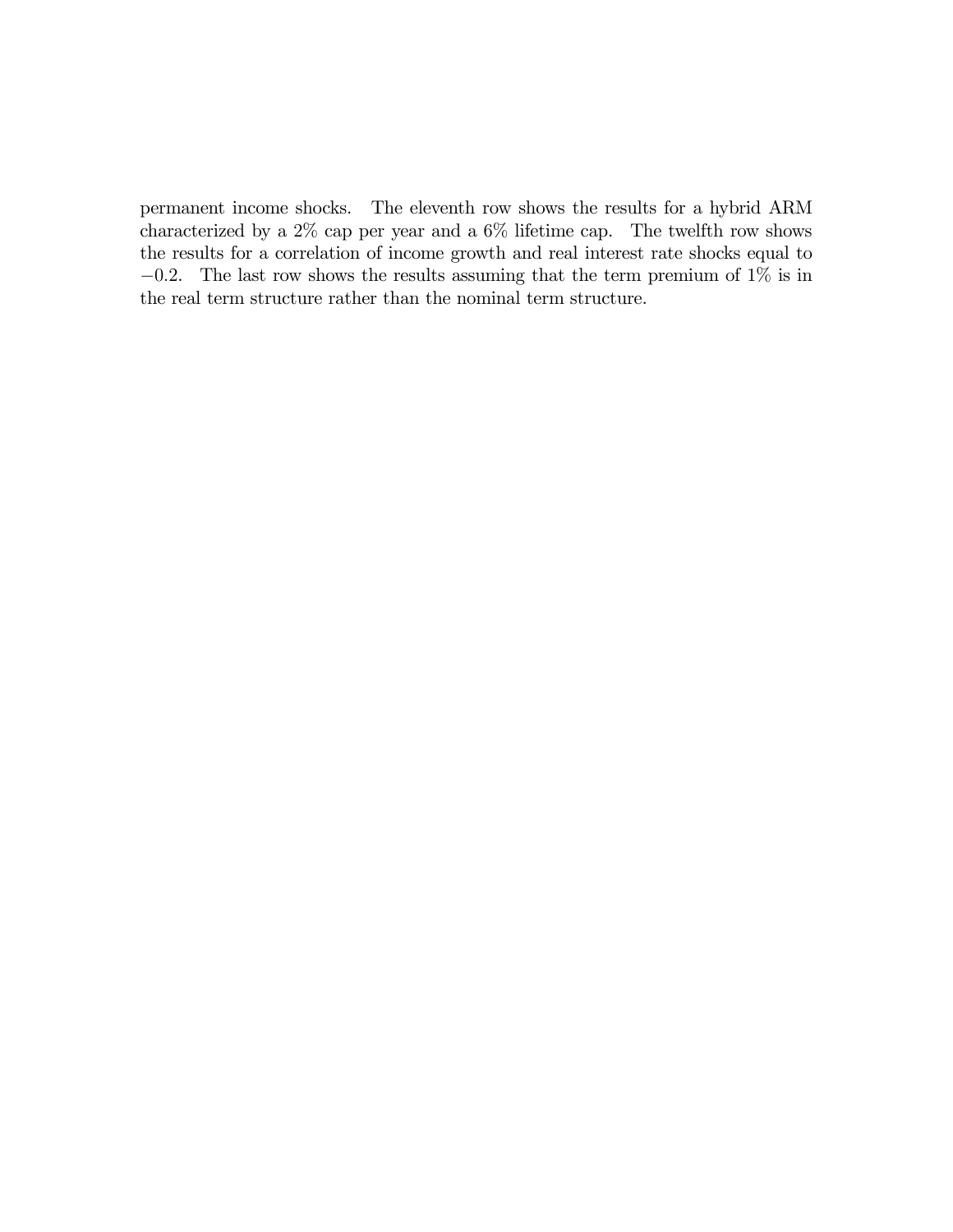permanent income shocks. The eleventh row shows the results for a hybrid ARM characterized by a 2% cap per year and a 6% lifetime cap. The twelfth row shows the results for a correlation of income growth and real interest rate shocks equal to  $-0.2$ . The last row shows the results assuming that the term premium of 1% is in the real term structure rather than the nominal term structure.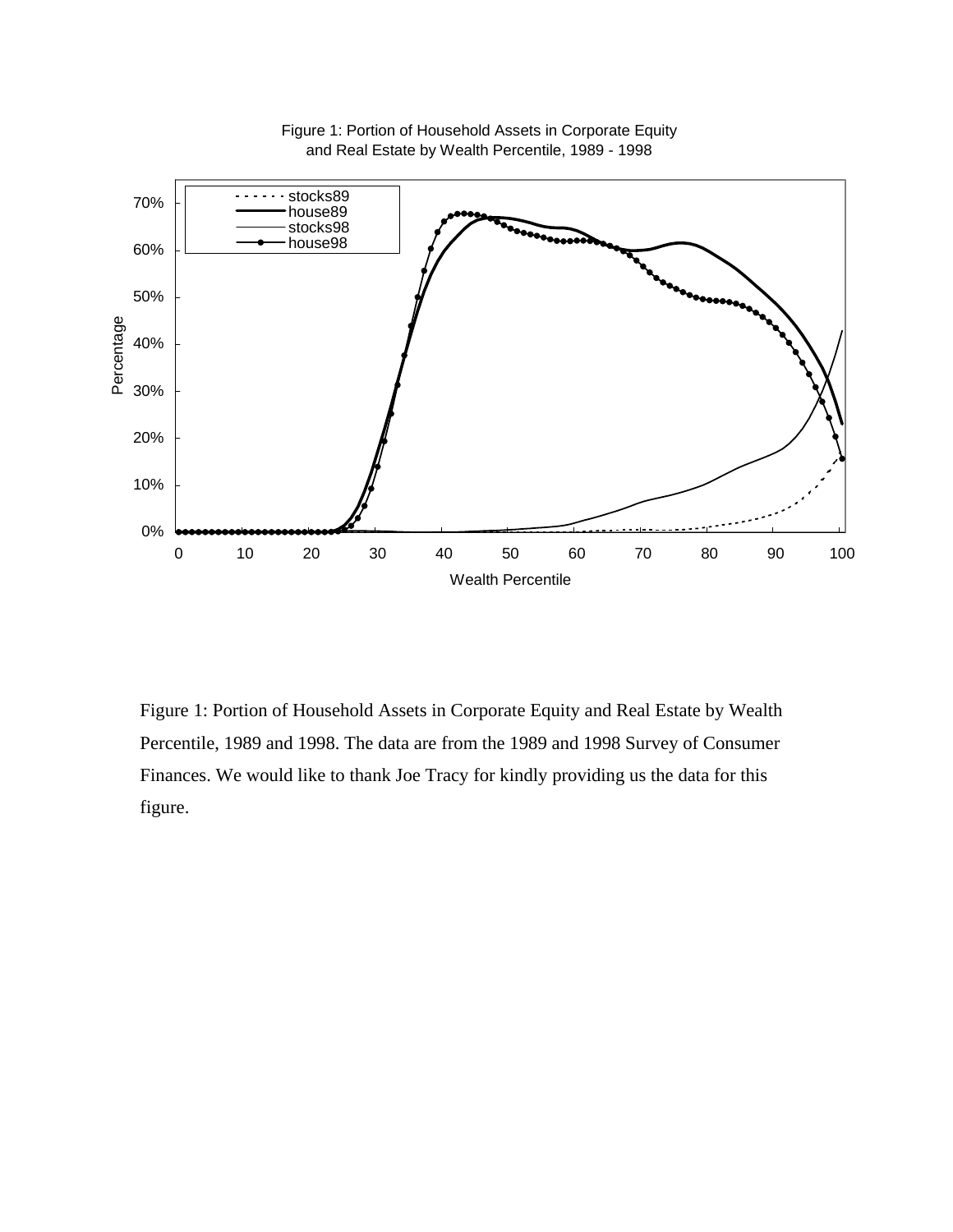

Figure 1: Portion of Household Assets in Corporate Equity and Real Estate by Wealth Percentile, 1989 and 1998. The data are from the 1989 and 1998 Survey of Consumer Finances. We would like to thank Joe Tracy for kindly providing us the data for this figure.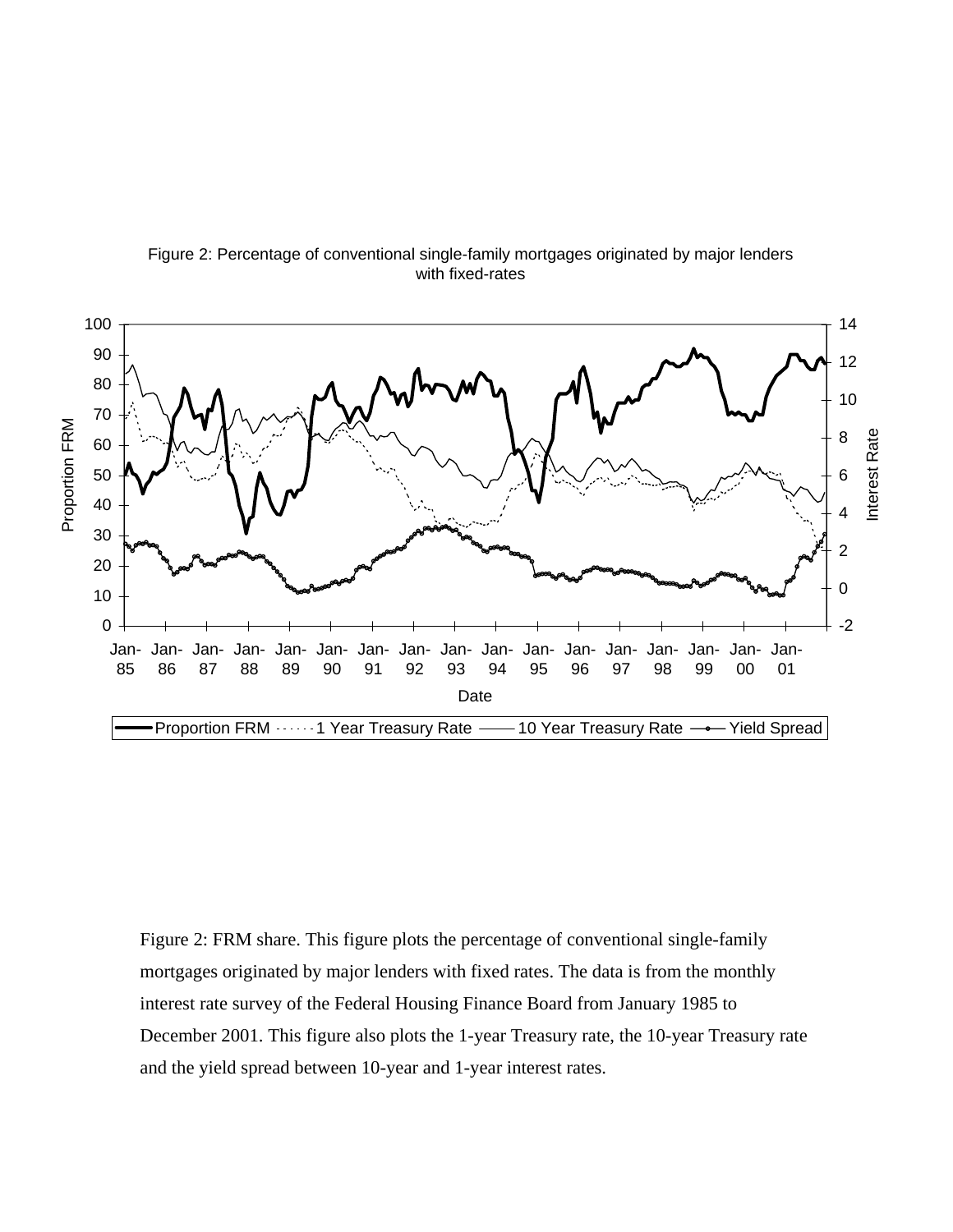

Figure 2: Percentage of conventional single-family mortgages originated by major lenders with fixed-rates

Figure 2: FRM share. This figure plots the percentage of conventional single-family mortgages originated by major lenders with fixed rates. The data is from the monthly interest rate survey of the Federal Housing Finance Board from January 1985 to December 2001. This figure also plots the 1-year Treasury rate, the 10-year Treasury rate and the yield spread between 10-year and 1-year interest rates.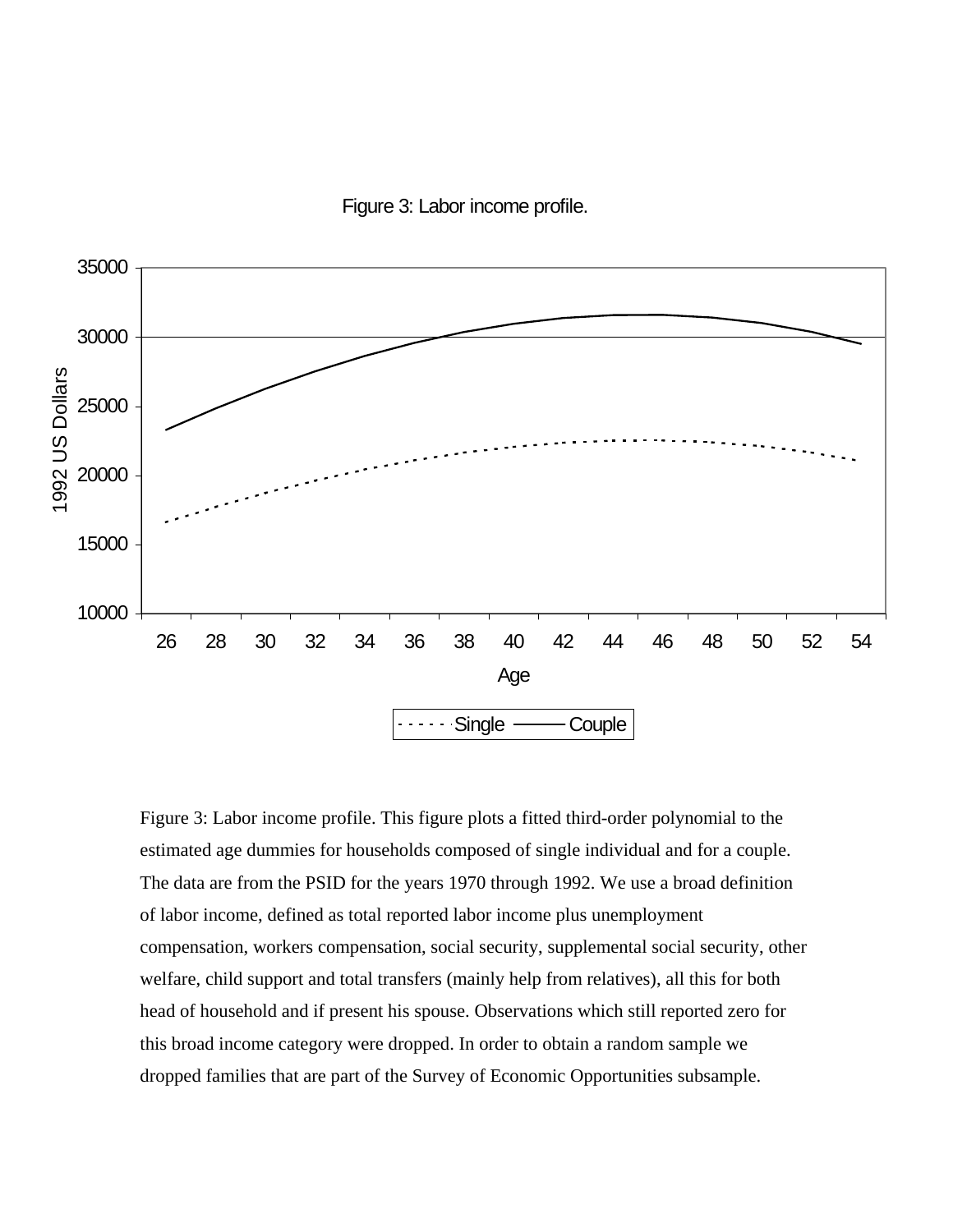Figure 3: Labor income profile.



Figure 3: Labor income profile. This figure plots a fitted third-order polynomial to the estimated age dummies for households composed of single individual and for a couple. The data are from the PSID for the years 1970 through 1992. We use a broad definition of labor income, defined as total reported labor income plus unemployment compensation, workers compensation, social security, supplemental social security, other welfare, child support and total transfers (mainly help from relatives), all this for both head of household and if present his spouse. Observations which still reported zero for this broad income category were dropped. In order to obtain a random sample we dropped families that are part of the Survey of Economic Opportunities subsample.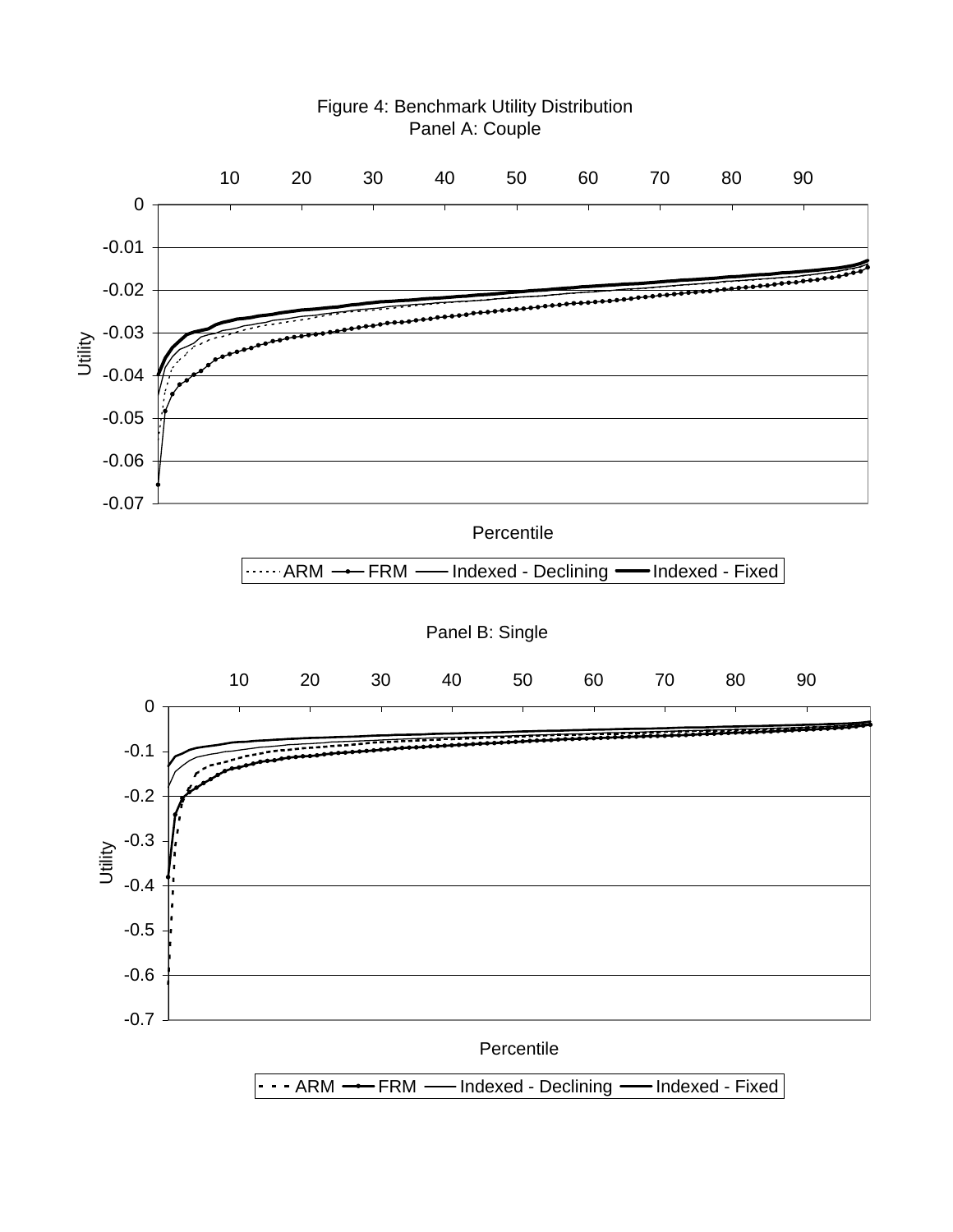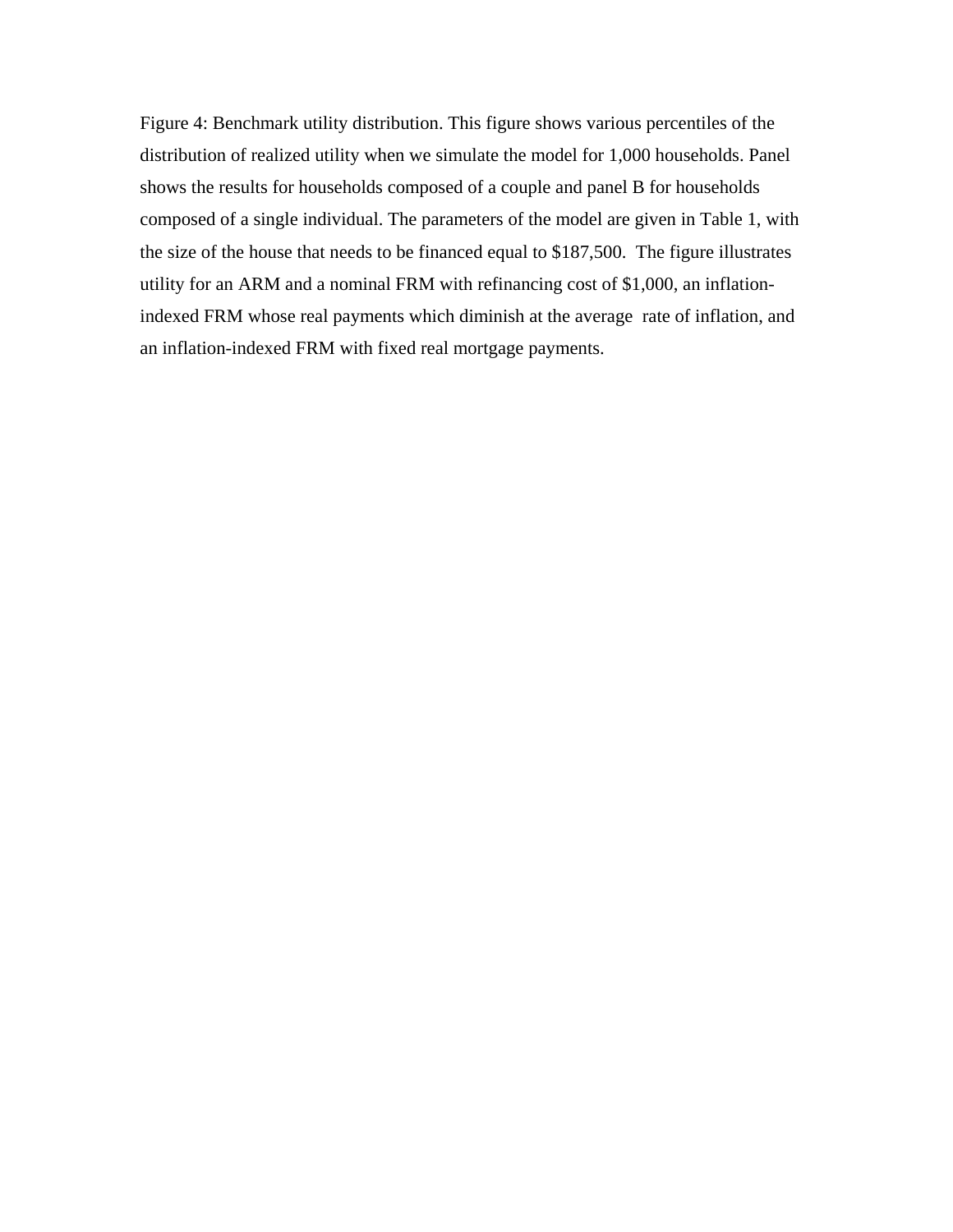Figure 4: Benchmark utility distribution. This figure shows various percentiles of the distribution of realized utility when we simulate the model for 1,000 households. Panel shows the results for households composed of a couple and panel B for households composed of a single individual. The parameters of the model are given in Table 1, with the size of the house that needs to be financed equal to \$187,500. The figure illustrates utility for an ARM and a nominal FRM with refinancing cost of \$1,000, an inflationindexed FRM whose real payments which diminish at the average rate of inflation, and an inflation-indexed FRM with fixed real mortgage payments.